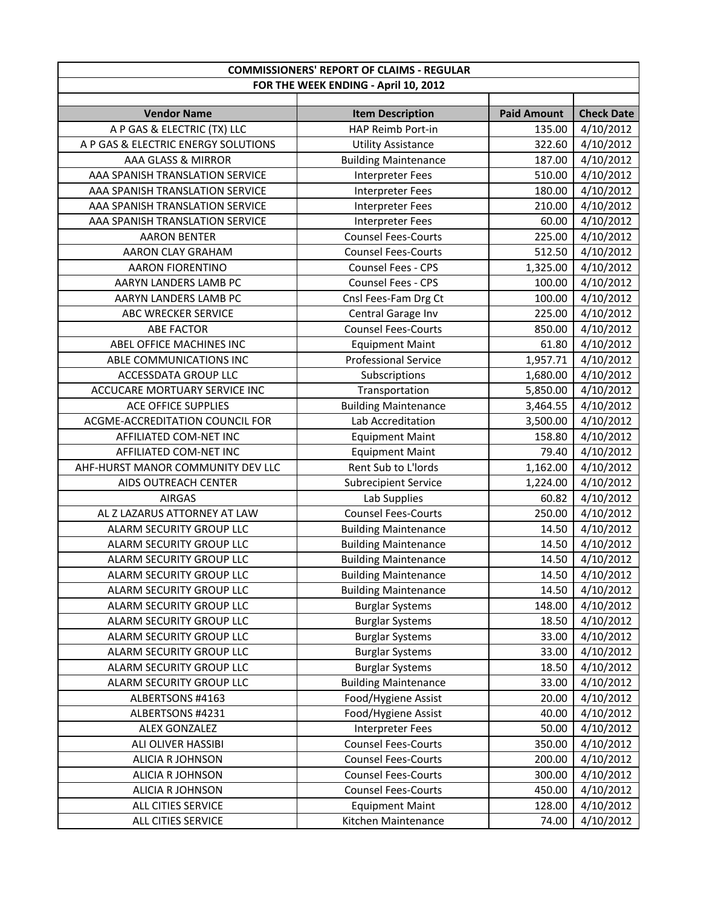| <b>COMMISSIONERS' REPORT OF CLAIMS - REGULAR</b> |                                      |                    |                        |
|--------------------------------------------------|--------------------------------------|--------------------|------------------------|
|                                                  | FOR THE WEEK ENDING - April 10, 2012 |                    |                        |
|                                                  |                                      |                    |                        |
| <b>Vendor Name</b>                               | <b>Item Description</b>              | <b>Paid Amount</b> | <b>Check Date</b>      |
| A P GAS & ELECTRIC (TX) LLC                      | HAP Reimb Port-in                    | 135.00             | 4/10/2012              |
| A P GAS & ELECTRIC ENERGY SOLUTIONS              | <b>Utility Assistance</b>            | 322.60             | 4/10/2012              |
| AAA GLASS & MIRROR                               | <b>Building Maintenance</b>          | 187.00             | 4/10/2012              |
| AAA SPANISH TRANSLATION SERVICE                  | <b>Interpreter Fees</b>              | 510.00             | 4/10/2012              |
| AAA SPANISH TRANSLATION SERVICE                  | <b>Interpreter Fees</b>              | 180.00             | 4/10/2012              |
| AAA SPANISH TRANSLATION SERVICE                  | <b>Interpreter Fees</b>              | 210.00             | 4/10/2012              |
| AAA SPANISH TRANSLATION SERVICE                  | <b>Interpreter Fees</b>              | 60.00              | 4/10/2012              |
| <b>AARON BENTER</b>                              | <b>Counsel Fees-Courts</b>           | 225.00             | 4/10/2012              |
| AARON CLAY GRAHAM                                | <b>Counsel Fees-Courts</b>           | 512.50             | 4/10/2012              |
| <b>AARON FIORENTINO</b>                          | Counsel Fees - CPS                   | 1,325.00           | 4/10/2012              |
| AARYN LANDERS LAMB PC                            | Counsel Fees - CPS                   | 100.00             | 4/10/2012              |
| AARYN LANDERS LAMB PC                            | Cnsl Fees-Fam Drg Ct                 | 100.00             | 4/10/2012              |
| ABC WRECKER SERVICE                              | Central Garage Inv                   | 225.00             | 4/10/2012              |
| <b>ABE FACTOR</b>                                | <b>Counsel Fees-Courts</b>           | 850.00             | 4/10/2012              |
| ABEL OFFICE MACHINES INC                         | <b>Equipment Maint</b>               | 61.80              | 4/10/2012              |
| ABLE COMMUNICATIONS INC                          | <b>Professional Service</b>          | 1,957.71           | 4/10/2012              |
| ACCESSDATA GROUP LLC                             | Subscriptions                        | 1,680.00           | 4/10/2012              |
| ACCUCARE MORTUARY SERVICE INC                    | Transportation                       | 5,850.00           | 4/10/2012              |
| <b>ACE OFFICE SUPPLIES</b>                       | <b>Building Maintenance</b>          | 3,464.55           | 4/10/2012              |
| ACGME-ACCREDITATION COUNCIL FOR                  | Lab Accreditation                    | 3,500.00           | 4/10/2012              |
| AFFILIATED COM-NET INC                           | <b>Equipment Maint</b>               | 158.80             | 4/10/2012              |
| AFFILIATED COM-NET INC                           | <b>Equipment Maint</b>               | 79.40              | 4/10/2012              |
| AHF-HURST MANOR COMMUNITY DEV LLC                | Rent Sub to L'Iords                  | 1,162.00           | 4/10/2012              |
| AIDS OUTREACH CENTER                             | <b>Subrecipient Service</b>          | 1,224.00           | 4/10/2012              |
| <b>AIRGAS</b>                                    | Lab Supplies                         | 60.82              | 4/10/2012              |
| AL Z LAZARUS ATTORNEY AT LAW                     | <b>Counsel Fees-Courts</b>           | 250.00             | $\frac{1}{4}$ /10/2012 |
| ALARM SECURITY GROUP LLC                         | <b>Building Maintenance</b>          | 14.50              | 4/10/2012              |
| ALARM SECURITY GROUP LLC                         | <b>Building Maintenance</b>          | 14.50              | 4/10/2012              |
| ALARM SECURITY GROUP LLC                         | <b>Building Maintenance</b>          | 14.50              | 4/10/2012              |
| ALARM SECURITY GROUP LLC                         | <b>Building Maintenance</b>          | 14.50              | $\frac{4}{10/2012}$    |
| ALARM SECURITY GROUP LLC                         | <b>Building Maintenance</b>          | 14.50              | 4/10/2012              |
| ALARM SECURITY GROUP LLC                         | <b>Burglar Systems</b>               | 148.00             | 4/10/2012              |
| ALARM SECURITY GROUP LLC                         | <b>Burglar Systems</b>               | 18.50              | 4/10/2012              |
| ALARM SECURITY GROUP LLC                         | <b>Burglar Systems</b>               | 33.00              | 4/10/2012              |
| ALARM SECURITY GROUP LLC                         | <b>Burglar Systems</b>               | 33.00              | 4/10/2012              |
| ALARM SECURITY GROUP LLC                         | <b>Burglar Systems</b>               | 18.50              | 4/10/2012              |
| ALARM SECURITY GROUP LLC                         | <b>Building Maintenance</b>          | 33.00              | 4/10/2012              |
| ALBERTSONS #4163                                 | Food/Hygiene Assist                  | 20.00              | 4/10/2012              |
| ALBERTSONS #4231                                 | Food/Hygiene Assist                  | 40.00              | 4/10/2012              |
| ALEX GONZALEZ                                    | <b>Interpreter Fees</b>              | 50.00              | 4/10/2012              |
| ALI OLIVER HASSIBI                               | <b>Counsel Fees-Courts</b>           | 350.00             | 4/10/2012              |
| <b>ALICIA R JOHNSON</b>                          | <b>Counsel Fees-Courts</b>           | 200.00             | 4/10/2012              |
| ALICIA R JOHNSON                                 | <b>Counsel Fees-Courts</b>           | 300.00             | 4/10/2012              |
| ALICIA R JOHNSON                                 | <b>Counsel Fees-Courts</b>           | 450.00             | 4/10/2012              |
| ALL CITIES SERVICE                               | <b>Equipment Maint</b>               | 128.00             | 4/10/2012              |
| ALL CITIES SERVICE                               | Kitchen Maintenance                  | 74.00              | 4/10/2012              |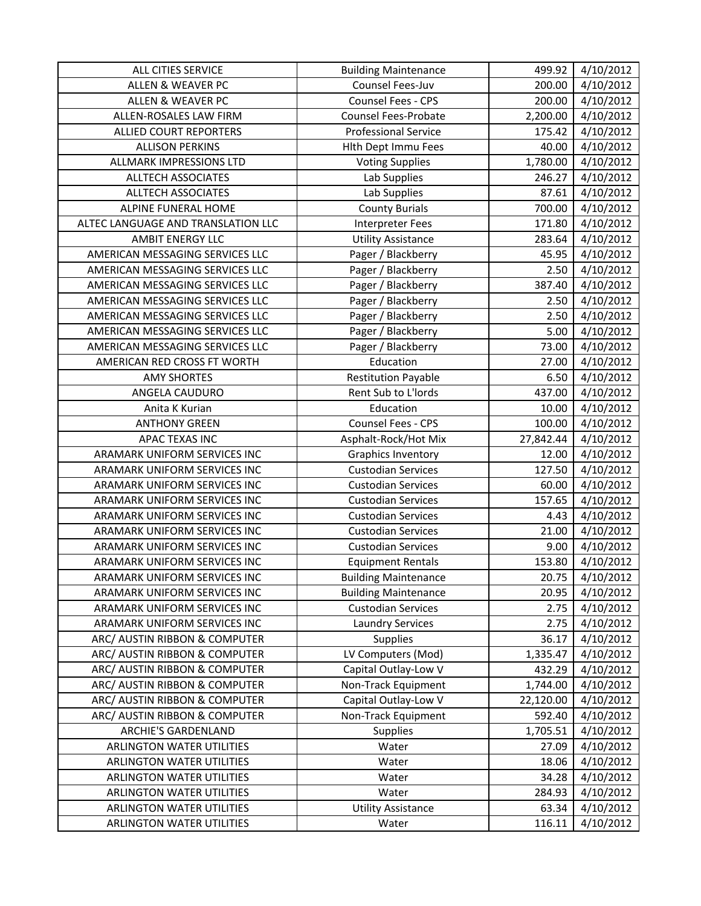| ALL CITIES SERVICE                 | <b>Building Maintenance</b> | 499.92    | 4/10/2012 |
|------------------------------------|-----------------------------|-----------|-----------|
| <b>ALLEN &amp; WEAVER PC</b>       | Counsel Fees-Juv            | 200.00    | 4/10/2012 |
| ALLEN & WEAVER PC                  | Counsel Fees - CPS          | 200.00    | 4/10/2012 |
| ALLEN-ROSALES LAW FIRM             | <b>Counsel Fees-Probate</b> | 2,200.00  | 4/10/2012 |
| <b>ALLIED COURT REPORTERS</b>      | <b>Professional Service</b> | 175.42    | 4/10/2012 |
| <b>ALLISON PERKINS</b>             | Hlth Dept Immu Fees         | 40.00     | 4/10/2012 |
| ALLMARK IMPRESSIONS LTD            | <b>Voting Supplies</b>      | 1,780.00  | 4/10/2012 |
| <b>ALLTECH ASSOCIATES</b>          | Lab Supplies                | 246.27    | 4/10/2012 |
| <b>ALLTECH ASSOCIATES</b>          | Lab Supplies                | 87.61     | 4/10/2012 |
| ALPINE FUNERAL HOME                | <b>County Burials</b>       | 700.00    | 4/10/2012 |
| ALTEC LANGUAGE AND TRANSLATION LLC | <b>Interpreter Fees</b>     | 171.80    | 4/10/2012 |
| AMBIT ENERGY LLC                   | <b>Utility Assistance</b>   | 283.64    | 4/10/2012 |
| AMERICAN MESSAGING SERVICES LLC    | Pager / Blackberry          | 45.95     | 4/10/2012 |
| AMERICAN MESSAGING SERVICES LLC    | Pager / Blackberry          | 2.50      | 4/10/2012 |
| AMERICAN MESSAGING SERVICES LLC    | Pager / Blackberry          | 387.40    | 4/10/2012 |
| AMERICAN MESSAGING SERVICES LLC    | Pager / Blackberry          | 2.50      | 4/10/2012 |
| AMERICAN MESSAGING SERVICES LLC    | Pager / Blackberry          | 2.50      | 4/10/2012 |
| AMERICAN MESSAGING SERVICES LLC    | Pager / Blackberry          | 5.00      | 4/10/2012 |
| AMERICAN MESSAGING SERVICES LLC    | Pager / Blackberry          | 73.00     | 4/10/2012 |
| AMERICAN RED CROSS FT WORTH        | Education                   | 27.00     | 4/10/2012 |
| <b>AMY SHORTES</b>                 | <b>Restitution Payable</b>  | 6.50      | 4/10/2012 |
| ANGELA CAUDURO                     | Rent Sub to L'Iords         | 437.00    | 4/10/2012 |
| Anita K Kurian                     | Education                   | 10.00     | 4/10/2012 |
| <b>ANTHONY GREEN</b>               | Counsel Fees - CPS          | 100.00    | 4/10/2012 |
| APAC TEXAS INC                     | Asphalt-Rock/Hot Mix        | 27,842.44 | 4/10/2012 |
| ARAMARK UNIFORM SERVICES INC       | <b>Graphics Inventory</b>   | 12.00     | 4/10/2012 |
| ARAMARK UNIFORM SERVICES INC       | <b>Custodian Services</b>   | 127.50    | 4/10/2012 |
| ARAMARK UNIFORM SERVICES INC       | <b>Custodian Services</b>   | 60.00     | 4/10/2012 |
| ARAMARK UNIFORM SERVICES INC       | <b>Custodian Services</b>   | 157.65    | 4/10/2012 |
| ARAMARK UNIFORM SERVICES INC       | <b>Custodian Services</b>   | 4.43      | 4/10/2012 |
| ARAMARK UNIFORM SERVICES INC       | <b>Custodian Services</b>   | 21.00     | 4/10/2012 |
| ARAMARK UNIFORM SERVICES INC       | <b>Custodian Services</b>   | 9.00      | 4/10/2012 |
| ARAMARK UNIFORM SERVICES INC       | <b>Equipment Rentals</b>    | 153.80    | 4/10/2012 |
| ARAMARK UNIFORM SERVICES INC       | <b>Building Maintenance</b> | 20.75     | 4/10/2012 |
| ARAMARK UNIFORM SERVICES INC       | <b>Building Maintenance</b> | 20.95     | 4/10/2012 |
| ARAMARK UNIFORM SERVICES INC       | <b>Custodian Services</b>   | 2.75      | 4/10/2012 |
| ARAMARK UNIFORM SERVICES INC       | <b>Laundry Services</b>     | 2.75      | 4/10/2012 |
| ARC/ AUSTIN RIBBON & COMPUTER      | <b>Supplies</b>             | 36.17     | 4/10/2012 |
| ARC/ AUSTIN RIBBON & COMPUTER      | LV Computers (Mod)          | 1,335.47  | 4/10/2012 |
| ARC/ AUSTIN RIBBON & COMPUTER      | Capital Outlay-Low V        | 432.29    | 4/10/2012 |
| ARC/ AUSTIN RIBBON & COMPUTER      | Non-Track Equipment         | 1,744.00  | 4/10/2012 |
| ARC/ AUSTIN RIBBON & COMPUTER      | Capital Outlay-Low V        | 22,120.00 | 4/10/2012 |
| ARC/ AUSTIN RIBBON & COMPUTER      | Non-Track Equipment         | 592.40    | 4/10/2012 |
| <b>ARCHIE'S GARDENLAND</b>         | <b>Supplies</b>             | 1,705.51  | 4/10/2012 |
| <b>ARLINGTON WATER UTILITIES</b>   | Water                       | 27.09     | 4/10/2012 |
| <b>ARLINGTON WATER UTILITIES</b>   | Water                       | 18.06     | 4/10/2012 |
| <b>ARLINGTON WATER UTILITIES</b>   | Water                       | 34.28     | 4/10/2012 |
| <b>ARLINGTON WATER UTILITIES</b>   | Water                       | 284.93    | 4/10/2012 |
| ARLINGTON WATER UTILITIES          | <b>Utility Assistance</b>   | 63.34     | 4/10/2012 |
| <b>ARLINGTON WATER UTILITIES</b>   | Water                       | 116.11    | 4/10/2012 |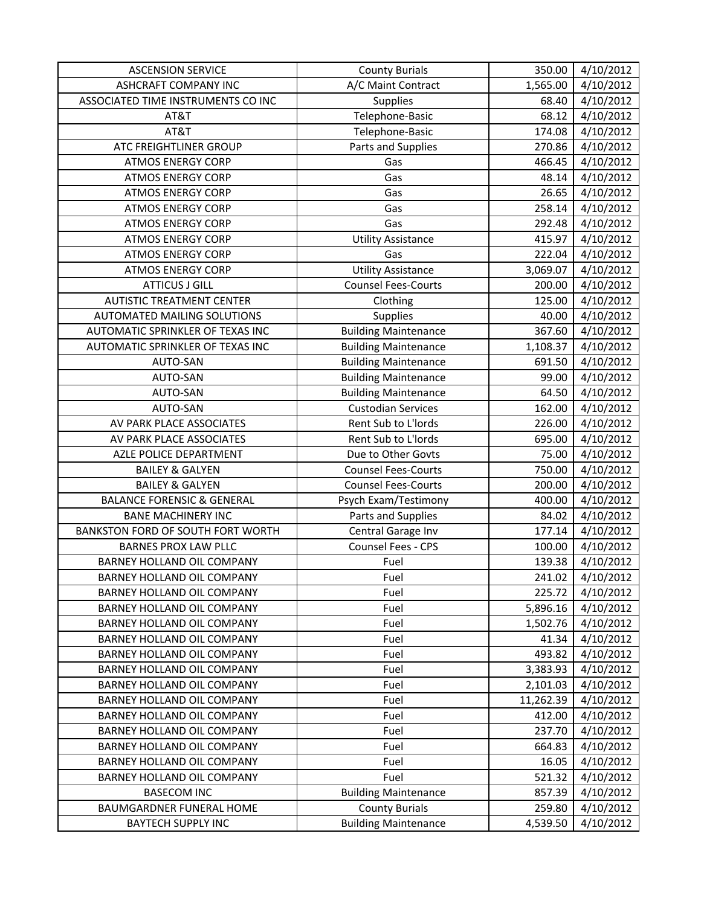| <b>ASCENSION SERVICE</b>              | <b>County Burials</b>       | 350.00    | 4/10/2012        |
|---------------------------------------|-----------------------------|-----------|------------------|
| <b>ASHCRAFT COMPANY INC</b>           | A/C Maint Contract          | 1,565.00  | 4/10/2012        |
| ASSOCIATED TIME INSTRUMENTS CO INC    | Supplies                    | 68.40     | 4/10/2012        |
| AT&T                                  | Telephone-Basic             | 68.12     | 4/10/2012        |
| AT&T                                  | Telephone-Basic             | 174.08    | 4/10/2012        |
| ATC FREIGHTLINER GROUP                | Parts and Supplies          | 270.86    | 4/10/2012        |
| <b>ATMOS ENERGY CORP</b>              | Gas                         | 466.45    | 4/10/2012        |
| <b>ATMOS ENERGY CORP</b>              | Gas                         | 48.14     | 4/10/2012        |
| <b>ATMOS ENERGY CORP</b>              | Gas                         | 26.65     | 4/10/2012        |
| <b>ATMOS ENERGY CORP</b>              | Gas                         | 258.14    | 4/10/2012        |
| <b>ATMOS ENERGY CORP</b>              | Gas                         | 292.48    | 4/10/2012        |
| <b>ATMOS ENERGY CORP</b>              | <b>Utility Assistance</b>   | 415.97    | 4/10/2012        |
| <b>ATMOS ENERGY CORP</b>              | Gas                         | 222.04    | 4/10/2012        |
| <b>ATMOS ENERGY CORP</b>              | <b>Utility Assistance</b>   | 3,069.07  | 4/10/2012        |
| <b>ATTICUS J GILL</b>                 | <b>Counsel Fees-Courts</b>  | 200.00    | 4/10/2012        |
| <b>AUTISTIC TREATMENT CENTER</b>      | Clothing                    | 125.00    | 4/10/2012        |
| <b>AUTOMATED MAILING SOLUTIONS</b>    | Supplies                    | 40.00     | 4/10/2012        |
| AUTOMATIC SPRINKLER OF TEXAS INC      | <b>Building Maintenance</b> | 367.60    | 4/10/2012        |
| AUTOMATIC SPRINKLER OF TEXAS INC      | <b>Building Maintenance</b> | 1,108.37  | 4/10/2012        |
| AUTO-SAN                              | <b>Building Maintenance</b> | 691.50    | 4/10/2012        |
| AUTO-SAN                              | <b>Building Maintenance</b> | 99.00     | 4/10/2012        |
| AUTO-SAN                              | <b>Building Maintenance</b> | 64.50     | 4/10/2012        |
| AUTO-SAN                              | <b>Custodian Services</b>   | 162.00    | 4/10/2012        |
| AV PARK PLACE ASSOCIATES              | Rent Sub to L'Iords         | 226.00    | 4/10/2012        |
| AV PARK PLACE ASSOCIATES              | Rent Sub to L'Iords         | 695.00    | 4/10/2012        |
| AZLE POLICE DEPARTMENT                | Due to Other Govts          | 75.00     | 4/10/2012        |
| <b>BAILEY &amp; GALYEN</b>            | <b>Counsel Fees-Courts</b>  | 750.00    | 4/10/2012        |
| <b>BAILEY &amp; GALYEN</b>            | <b>Counsel Fees-Courts</b>  | 200.00    | 4/10/2012        |
| <b>BALANCE FORENSIC &amp; GENERAL</b> | Psych Exam/Testimony        | 400.00    | 4/10/2012        |
| <b>BANE MACHINERY INC</b>             | Parts and Supplies          | 84.02     | 4/10/2012        |
| BANKSTON FORD OF SOUTH FORT WORTH     | Central Garage Inv          | 177.14    | 4/10/2012        |
| <b>BARNES PROX LAW PLLC</b>           | Counsel Fees - CPS          | 100.00    | 4/10/2012        |
| BARNEY HOLLAND OIL COMPANY            | Fuel                        | 139.38    | 4/10/2012        |
| BARNEY HOLLAND OIL COMPANY            | Fuel                        |           | 241.02 4/10/2012 |
| BARNEY HOLLAND OIL COMPANY            | Fuel                        | 225.72    | 4/10/2012        |
| <b>BARNEY HOLLAND OIL COMPANY</b>     | Fuel                        | 5,896.16  | 4/10/2012        |
| BARNEY HOLLAND OIL COMPANY            | Fuel                        | 1,502.76  | 4/10/2012        |
| <b>BARNEY HOLLAND OIL COMPANY</b>     | Fuel                        | 41.34     | 4/10/2012        |
| BARNEY HOLLAND OIL COMPANY            | Fuel                        | 493.82    | 4/10/2012        |
| BARNEY HOLLAND OIL COMPANY            | Fuel                        | 3,383.93  | 4/10/2012        |
| <b>BARNEY HOLLAND OIL COMPANY</b>     | Fuel                        | 2,101.03  | 4/10/2012        |
| BARNEY HOLLAND OIL COMPANY            | Fuel                        | 11,262.39 | 4/10/2012        |
| BARNEY HOLLAND OIL COMPANY            | Fuel                        | 412.00    | 4/10/2012        |
| BARNEY HOLLAND OIL COMPANY            | Fuel                        | 237.70    | 4/10/2012        |
| BARNEY HOLLAND OIL COMPANY            | Fuel                        | 664.83    | 4/10/2012        |
| BARNEY HOLLAND OIL COMPANY            | Fuel                        | 16.05     | 4/10/2012        |
| BARNEY HOLLAND OIL COMPANY            | Fuel                        | 521.32    | 4/10/2012        |
| <b>BASECOM INC</b>                    | <b>Building Maintenance</b> | 857.39    | 4/10/2012        |
| BAUMGARDNER FUNERAL HOME              | <b>County Burials</b>       | 259.80    | 4/10/2012        |
| <b>BAYTECH SUPPLY INC</b>             | <b>Building Maintenance</b> | 4,539.50  | 4/10/2012        |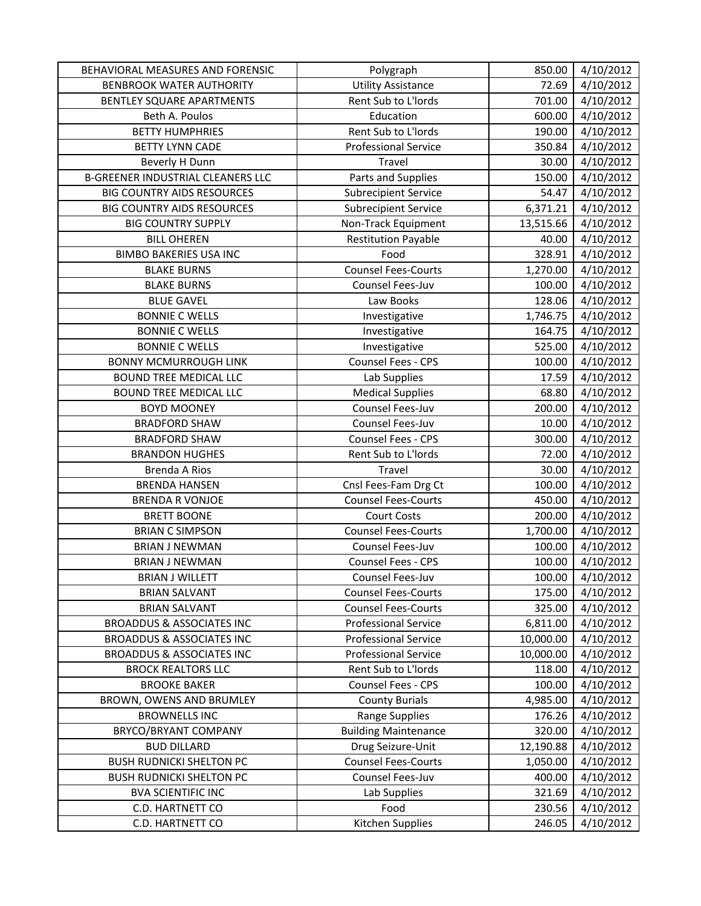| BEHAVIORAL MEASURES AND FORENSIC         | Polygraph                   | 850.00    | 4/10/2012 |
|------------------------------------------|-----------------------------|-----------|-----------|
| <b>BENBROOK WATER AUTHORITY</b>          | <b>Utility Assistance</b>   | 72.69     | 4/10/2012 |
| BENTLEY SQUARE APARTMENTS                | Rent Sub to L'Iords         | 701.00    | 4/10/2012 |
| Beth A. Poulos                           | Education                   | 600.00    | 4/10/2012 |
| <b>BETTY HUMPHRIES</b>                   | Rent Sub to L'Iords         | 190.00    | 4/10/2012 |
| <b>BETTY LYNN CADE</b>                   | <b>Professional Service</b> | 350.84    | 4/10/2012 |
| Beverly H Dunn                           | Travel                      | 30.00     | 4/10/2012 |
| <b>B-GREENER INDUSTRIAL CLEANERS LLC</b> | Parts and Supplies          | 150.00    | 4/10/2012 |
| <b>BIG COUNTRY AIDS RESOURCES</b>        | <b>Subrecipient Service</b> | 54.47     | 4/10/2012 |
| <b>BIG COUNTRY AIDS RESOURCES</b>        | <b>Subrecipient Service</b> | 6,371.21  | 4/10/2012 |
| <b>BIG COUNTRY SUPPLY</b>                | Non-Track Equipment         | 13,515.66 | 4/10/2012 |
| <b>BILL OHEREN</b>                       | <b>Restitution Payable</b>  | 40.00     | 4/10/2012 |
| <b>BIMBO BAKERIES USA INC</b>            | Food                        | 328.91    | 4/10/2012 |
| <b>BLAKE BURNS</b>                       | <b>Counsel Fees-Courts</b>  | 1,270.00  | 4/10/2012 |
| <b>BLAKE BURNS</b>                       | Counsel Fees-Juv            | 100.00    | 4/10/2012 |
| <b>BLUE GAVEL</b>                        | Law Books                   | 128.06    | 4/10/2012 |
| <b>BONNIE C WELLS</b>                    | Investigative               | 1,746.75  | 4/10/2012 |
| <b>BONNIE C WELLS</b>                    | Investigative               | 164.75    | 4/10/2012 |
| <b>BONNIE C WELLS</b>                    | Investigative               | 525.00    | 4/10/2012 |
| <b>BONNY MCMURROUGH LINK</b>             | Counsel Fees - CPS          | 100.00    | 4/10/2012 |
| <b>BOUND TREE MEDICAL LLC</b>            | Lab Supplies                | 17.59     | 4/10/2012 |
| <b>BOUND TREE MEDICAL LLC</b>            | <b>Medical Supplies</b>     | 68.80     | 4/10/2012 |
| <b>BOYD MOONEY</b>                       | Counsel Fees-Juv            | 200.00    | 4/10/2012 |
| <b>BRADFORD SHAW</b>                     | Counsel Fees-Juv            | 10.00     | 4/10/2012 |
| <b>BRADFORD SHAW</b>                     | Counsel Fees - CPS          | 300.00    | 4/10/2012 |
| <b>BRANDON HUGHES</b>                    | Rent Sub to L'Iords         | 72.00     | 4/10/2012 |
| <b>Brenda A Rios</b>                     | Travel                      | 30.00     | 4/10/2012 |
| <b>BRENDA HANSEN</b>                     | Cnsl Fees-Fam Drg Ct        | 100.00    | 4/10/2012 |
| <b>BRENDA R VONJOE</b>                   | <b>Counsel Fees-Courts</b>  | 450.00    | 4/10/2012 |
| <b>BRETT BOONE</b>                       | <b>Court Costs</b>          | 200.00    | 4/10/2012 |
| <b>BRIAN C SIMPSON</b>                   | <b>Counsel Fees-Courts</b>  | 1,700.00  | 4/10/2012 |
| <b>BRIAN J NEWMAN</b>                    | Counsel Fees-Juv            | 100.00    | 4/10/2012 |
| <b>BRIAN J NEWMAN</b>                    | Counsel Fees - CPS          | 100.00    | 4/10/2012 |
| <b>BRIAN J WILLETT</b>                   | Counsel Fees-Juv            | 100.00    | 4/10/2012 |
| <b>BRIAN SALVANT</b>                     | <b>Counsel Fees-Courts</b>  | 175.00    | 4/10/2012 |
| <b>BRIAN SALVANT</b>                     | <b>Counsel Fees-Courts</b>  | 325.00    | 4/10/2012 |
| <b>BROADDUS &amp; ASSOCIATES INC</b>     | <b>Professional Service</b> | 6,811.00  | 4/10/2012 |
| <b>BROADDUS &amp; ASSOCIATES INC</b>     | <b>Professional Service</b> | 10,000.00 | 4/10/2012 |
| <b>BROADDUS &amp; ASSOCIATES INC</b>     | <b>Professional Service</b> | 10,000.00 | 4/10/2012 |
| <b>BROCK REALTORS LLC</b>                | Rent Sub to L'Iords         | 118.00    | 4/10/2012 |
| <b>BROOKE BAKER</b>                      | Counsel Fees - CPS          | 100.00    | 4/10/2012 |
| BROWN, OWENS AND BRUMLEY                 | <b>County Burials</b>       | 4,985.00  | 4/10/2012 |
| <b>BROWNELLS INC</b>                     | Range Supplies              | 176.26    | 4/10/2012 |
| BRYCO/BRYANT COMPANY                     | <b>Building Maintenance</b> | 320.00    | 4/10/2012 |
| <b>BUD DILLARD</b>                       | Drug Seizure-Unit           | 12,190.88 | 4/10/2012 |
| <b>BUSH RUDNICKI SHELTON PC</b>          | <b>Counsel Fees-Courts</b>  | 1,050.00  | 4/10/2012 |
| <b>BUSH RUDNICKI SHELTON PC</b>          | Counsel Fees-Juv            | 400.00    | 4/10/2012 |
| <b>BVA SCIENTIFIC INC</b>                | Lab Supplies                | 321.69    | 4/10/2012 |
| C.D. HARTNETT CO                         | Food                        | 230.56    | 4/10/2012 |
| C.D. HARTNETT CO                         | Kitchen Supplies            | 246.05    | 4/10/2012 |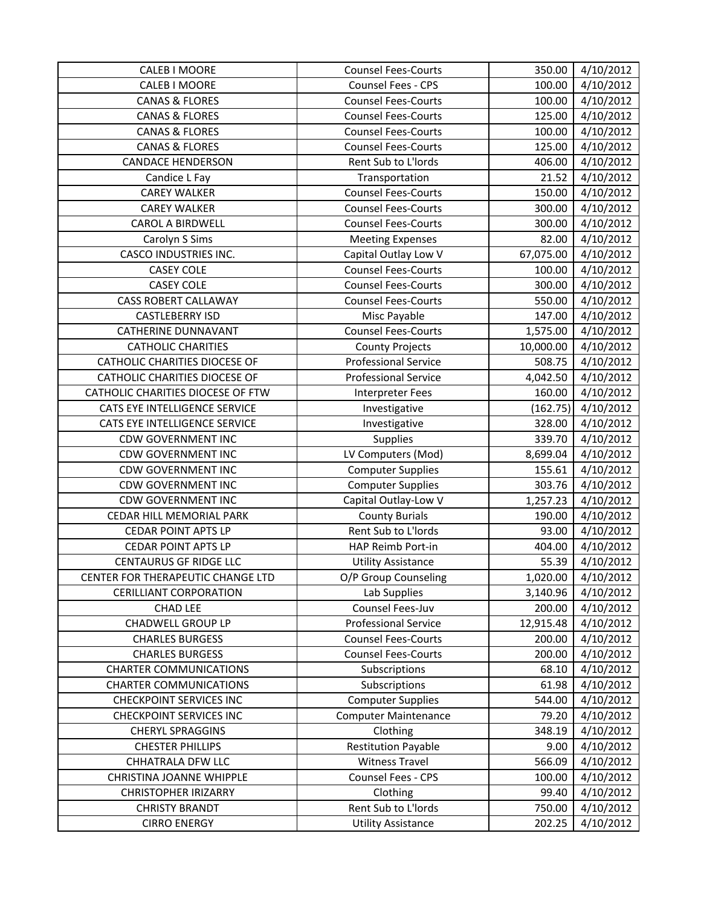| CALEB I MOORE                        | <b>Counsel Fees-Courts</b>  | 350.00    | 4/10/2012 |
|--------------------------------------|-----------------------------|-----------|-----------|
| CALEB I MOORE                        | Counsel Fees - CPS          | 100.00    | 4/10/2012 |
| <b>CANAS &amp; FLORES</b>            | <b>Counsel Fees-Courts</b>  | 100.00    | 4/10/2012 |
| <b>CANAS &amp; FLORES</b>            | <b>Counsel Fees-Courts</b>  | 125.00    | 4/10/2012 |
| CANAS & FLORES                       | <b>Counsel Fees-Courts</b>  | 100.00    | 4/10/2012 |
| <b>CANAS &amp; FLORES</b>            | <b>Counsel Fees-Courts</b>  | 125.00    | 4/10/2012 |
| <b>CANDACE HENDERSON</b>             | Rent Sub to L'Iords         | 406.00    | 4/10/2012 |
| Candice L Fay                        | Transportation              | 21.52     | 4/10/2012 |
| <b>CAREY WALKER</b>                  | <b>Counsel Fees-Courts</b>  | 150.00    | 4/10/2012 |
| <b>CAREY WALKER</b>                  | <b>Counsel Fees-Courts</b>  | 300.00    | 4/10/2012 |
| <b>CAROL A BIRDWELL</b>              | <b>Counsel Fees-Courts</b>  | 300.00    | 4/10/2012 |
| Carolyn S Sims                       | <b>Meeting Expenses</b>     | 82.00     | 4/10/2012 |
| <b>CASCO INDUSTRIES INC.</b>         | Capital Outlay Low V        | 67,075.00 | 4/10/2012 |
| <b>CASEY COLE</b>                    | <b>Counsel Fees-Courts</b>  | 100.00    | 4/10/2012 |
| <b>CASEY COLE</b>                    | <b>Counsel Fees-Courts</b>  | 300.00    | 4/10/2012 |
| <b>CASS ROBERT CALLAWAY</b>          | <b>Counsel Fees-Courts</b>  | 550.00    | 4/10/2012 |
| <b>CASTLEBERRY ISD</b>               | Misc Payable                | 147.00    | 4/10/2012 |
| CATHERINE DUNNAVANT                  | <b>Counsel Fees-Courts</b>  | 1,575.00  | 4/10/2012 |
| <b>CATHOLIC CHARITIES</b>            | <b>County Projects</b>      | 10,000.00 | 4/10/2012 |
| CATHOLIC CHARITIES DIOCESE OF        | <b>Professional Service</b> | 508.75    | 4/10/2012 |
| <b>CATHOLIC CHARITIES DIOCESE OF</b> | <b>Professional Service</b> | 4,042.50  | 4/10/2012 |
| CATHOLIC CHARITIES DIOCESE OF FTW    | Interpreter Fees            | 160.00    | 4/10/2012 |
| CATS EYE INTELLIGENCE SERVICE        | Investigative               | (162.75)  | 4/10/2012 |
| CATS EYE INTELLIGENCE SERVICE        | Investigative               | 328.00    | 4/10/2012 |
| <b>CDW GOVERNMENT INC</b>            | Supplies                    | 339.70    | 4/10/2012 |
| <b>CDW GOVERNMENT INC</b>            | LV Computers (Mod)          | 8,699.04  | 4/10/2012 |
| <b>CDW GOVERNMENT INC</b>            | <b>Computer Supplies</b>    | 155.61    | 4/10/2012 |
| <b>CDW GOVERNMENT INC</b>            | <b>Computer Supplies</b>    | 303.76    | 4/10/2012 |
| <b>CDW GOVERNMENT INC</b>            | Capital Outlay-Low V        | 1,257.23  | 4/10/2012 |
| CEDAR HILL MEMORIAL PARK             | <b>County Burials</b>       | 190.00    | 4/10/2012 |
| <b>CEDAR POINT APTS LP</b>           | Rent Sub to L'Iords         | 93.00     | 4/10/2012 |
| <b>CEDAR POINT APTS LP</b>           | HAP Reimb Port-in           | 404.00    | 4/10/2012 |
| <b>CENTAURUS GF RIDGE LLC</b>        | <b>Utility Assistance</b>   | 55.39     | 4/10/2012 |
| CENTER FOR THERAPEUTIC CHANGE LTD    | O/P Group Counseling        | 1,020.00  | 4/10/2012 |
| <b>CERILLIANT CORPORATION</b>        | Lab Supplies                | 3,140.96  | 4/10/2012 |
| <b>CHAD LEE</b>                      | Counsel Fees-Juv            | 200.00    | 4/10/2012 |
| CHADWELL GROUP LP                    | <b>Professional Service</b> | 12,915.48 | 4/10/2012 |
| <b>CHARLES BURGESS</b>               | <b>Counsel Fees-Courts</b>  | 200.00    | 4/10/2012 |
| <b>CHARLES BURGESS</b>               | <b>Counsel Fees-Courts</b>  | 200.00    | 4/10/2012 |
| <b>CHARTER COMMUNICATIONS</b>        | Subscriptions               | 68.10     | 4/10/2012 |
| <b>CHARTER COMMUNICATIONS</b>        | Subscriptions               | 61.98     | 4/10/2012 |
| <b>CHECKPOINT SERVICES INC</b>       | <b>Computer Supplies</b>    | 544.00    | 4/10/2012 |
| <b>CHECKPOINT SERVICES INC</b>       | <b>Computer Maintenance</b> | 79.20     | 4/10/2012 |
| <b>CHERYL SPRAGGINS</b>              | Clothing                    | 348.19    | 4/10/2012 |
| <b>CHESTER PHILLIPS</b>              | <b>Restitution Payable</b>  | 9.00      | 4/10/2012 |
| CHHATRALA DFW LLC                    | <b>Witness Travel</b>       | 566.09    | 4/10/2012 |
| <b>CHRISTINA JOANNE WHIPPLE</b>      | Counsel Fees - CPS          | 100.00    | 4/10/2012 |
| <b>CHRISTOPHER IRIZARRY</b>          | Clothing                    | 99.40     | 4/10/2012 |
| <b>CHRISTY BRANDT</b>                | Rent Sub to L'Iords         | 750.00    | 4/10/2012 |
| <b>CIRRO ENERGY</b>                  | <b>Utility Assistance</b>   | 202.25    | 4/10/2012 |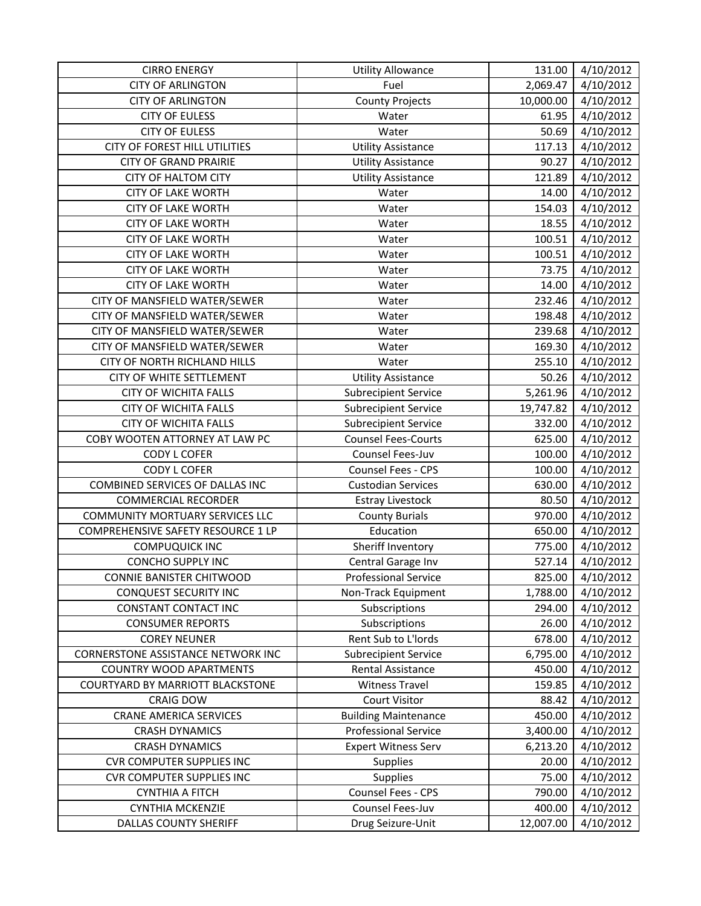| <b>CIRRO ENERGY</b>                       | <b>Utility Allowance</b>    | 131.00    | 4/10/2012             |
|-------------------------------------------|-----------------------------|-----------|-----------------------|
| <b>CITY OF ARLINGTON</b>                  | Fuel                        | 2,069.47  | 4/10/2012             |
| <b>CITY OF ARLINGTON</b>                  | <b>County Projects</b>      | 10,000.00 | 4/10/2012             |
| <b>CITY OF EULESS</b>                     | Water                       | 61.95     | 4/10/2012             |
| <b>CITY OF EULESS</b>                     | Water                       | 50.69     | 4/10/2012             |
| CITY OF FOREST HILL UTILITIES             | <b>Utility Assistance</b>   | 117.13    | 4/10/2012             |
| <b>CITY OF GRAND PRAIRIE</b>              | <b>Utility Assistance</b>   | 90.27     | 4/10/2012             |
| <b>CITY OF HALTOM CITY</b>                | <b>Utility Assistance</b>   | 121.89    | 4/10/2012             |
| <b>CITY OF LAKE WORTH</b>                 | Water                       | 14.00     | 4/10/2012             |
| <b>CITY OF LAKE WORTH</b>                 | Water                       | 154.03    | 4/10/2012             |
| <b>CITY OF LAKE WORTH</b>                 | Water                       | 18.55     | 4/10/2012             |
| <b>CITY OF LAKE WORTH</b>                 | Water                       | 100.51    | 4/10/2012             |
| <b>CITY OF LAKE WORTH</b>                 | Water                       | 100.51    | 4/10/2012             |
| <b>CITY OF LAKE WORTH</b>                 | Water                       | 73.75     | 4/10/2012             |
| <b>CITY OF LAKE WORTH</b>                 | Water                       | 14.00     | 4/10/2012             |
| CITY OF MANSFIELD WATER/SEWER             | Water                       | 232.46    | 4/10/2012             |
| CITY OF MANSFIELD WATER/SEWER             | Water                       | 198.48    | 4/10/2012             |
| CITY OF MANSFIELD WATER/SEWER             | Water                       | 239.68    | 4/10/2012             |
| CITY OF MANSFIELD WATER/SEWER             | Water                       | 169.30    | 4/10/2012             |
| CITY OF NORTH RICHLAND HILLS              | Water                       | 255.10    | 4/10/2012             |
| CITY OF WHITE SETTLEMENT                  | <b>Utility Assistance</b>   | 50.26     | 4/10/2012             |
| <b>CITY OF WICHITA FALLS</b>              | <b>Subrecipient Service</b> | 5,261.96  | 4/10/2012             |
| <b>CITY OF WICHITA FALLS</b>              | <b>Subrecipient Service</b> | 19,747.82 | 4/10/2012             |
| <b>CITY OF WICHITA FALLS</b>              | <b>Subrecipient Service</b> | 332.00    | 4/10/2012             |
| COBY WOOTEN ATTORNEY AT LAW PC            | <b>Counsel Fees-Courts</b>  | 625.00    | 4/10/2012             |
| <b>CODY L COFER</b>                       | Counsel Fees-Juv            | 100.00    | 4/10/2012             |
| <b>CODY L COFER</b>                       | Counsel Fees - CPS          | 100.00    | 4/10/2012             |
| COMBINED SERVICES OF DALLAS INC           | <b>Custodian Services</b>   | 630.00    | 4/10/2012             |
| <b>COMMERCIAL RECORDER</b>                | <b>Estray Livestock</b>     | 80.50     | 4/10/2012             |
| COMMUNITY MORTUARY SERVICES LLC           | <b>County Burials</b>       | 970.00    | 4/10/2012             |
| COMPREHENSIVE SAFETY RESOURCE 1 LP        | Education                   | 650.00    | 4/10/2012             |
| <b>COMPUQUICK INC</b>                     | Sheriff Inventory           | 775.00    | 4/10/2012             |
| <b>CONCHO SUPPLY INC</b>                  | Central Garage Inv          | 527.14    | 4/10/2012             |
| CONNIE BANISTER CHITWOOD                  | <b>Professional Service</b> | 825.00    | $\frac{1}{4}$ 10/2012 |
| CONQUEST SECURITY INC                     | Non-Track Equipment         | 1,788.00  | 4/10/2012             |
| <b>CONSTANT CONTACT INC</b>               | Subscriptions               | 294.00    | 4/10/2012             |
| <b>CONSUMER REPORTS</b>                   | Subscriptions               | 26.00     | 4/10/2012             |
| <b>COREY NEUNER</b>                       | Rent Sub to L'Iords         | 678.00    | 4/10/2012             |
| <b>CORNERSTONE ASSISTANCE NETWORK INC</b> | <b>Subrecipient Service</b> | 6,795.00  | 4/10/2012             |
| <b>COUNTRY WOOD APARTMENTS</b>            | Rental Assistance           | 450.00    | 4/10/2012             |
| COURTYARD BY MARRIOTT BLACKSTONE          | <b>Witness Travel</b>       | 159.85    | 4/10/2012             |
| <b>CRAIG DOW</b>                          | <b>Court Visitor</b>        | 88.42     | 4/10/2012             |
| <b>CRANE AMERICA SERVICES</b>             | <b>Building Maintenance</b> | 450.00    | 4/10/2012             |
| <b>CRASH DYNAMICS</b>                     | <b>Professional Service</b> | 3,400.00  | 4/10/2012             |
| <b>CRASH DYNAMICS</b>                     | <b>Expert Witness Serv</b>  | 6,213.20  | 4/10/2012             |
| <b>CVR COMPUTER SUPPLIES INC</b>          | <b>Supplies</b>             | 20.00     | 4/10/2012             |
| <b>CVR COMPUTER SUPPLIES INC</b>          | Supplies                    | 75.00     | 4/10/2012             |
| <b>CYNTHIA A FITCH</b>                    | Counsel Fees - CPS          | 790.00    | 4/10/2012             |
| <b>CYNTHIA MCKENZIE</b>                   | Counsel Fees-Juv            | 400.00    | 4/10/2012             |
| <b>DALLAS COUNTY SHERIFF</b>              | Drug Seizure-Unit           | 12,007.00 | 4/10/2012             |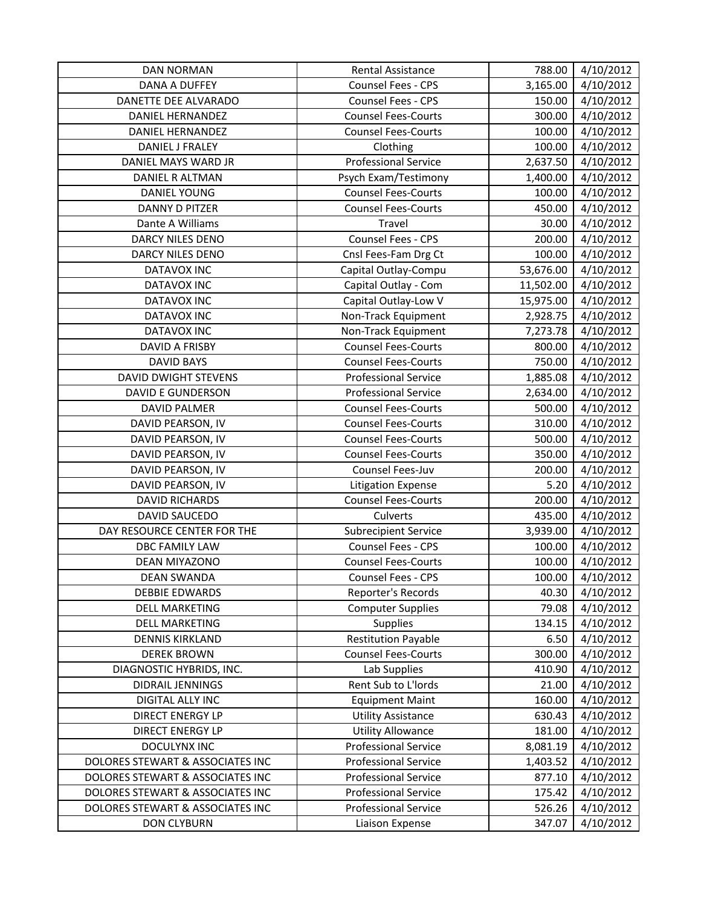| <b>DAN NORMAN</b>                | Rental Assistance           | 788.00    | 4/10/2012 |
|----------------------------------|-----------------------------|-----------|-----------|
| <b>DANA A DUFFEY</b>             | Counsel Fees - CPS          | 3,165.00  | 4/10/2012 |
| DANETTE DEE ALVARADO             | Counsel Fees - CPS          | 150.00    | 4/10/2012 |
| DANIEL HERNANDEZ                 | <b>Counsel Fees-Courts</b>  | 300.00    | 4/10/2012 |
| <b>DANIEL HERNANDEZ</b>          | <b>Counsel Fees-Courts</b>  | 100.00    | 4/10/2012 |
| DANIEL J FRALEY                  | Clothing                    | 100.00    | 4/10/2012 |
| DANIEL MAYS WARD JR              | <b>Professional Service</b> | 2,637.50  | 4/10/2012 |
| DANIEL R ALTMAN                  | Psych Exam/Testimony        | 1,400.00  | 4/10/2012 |
| DANIEL YOUNG                     | <b>Counsel Fees-Courts</b>  | 100.00    | 4/10/2012 |
| DANNY D PITZER                   | <b>Counsel Fees-Courts</b>  | 450.00    | 4/10/2012 |
| Dante A Williams                 | Travel                      | 30.00     | 4/10/2012 |
| DARCY NILES DENO                 | Counsel Fees - CPS          | 200.00    | 4/10/2012 |
| DARCY NILES DENO                 | Cnsl Fees-Fam Drg Ct        | 100.00    | 4/10/2012 |
| <b>DATAVOX INC</b>               | Capital Outlay-Compu        | 53,676.00 | 4/10/2012 |
| <b>DATAVOX INC</b>               | Capital Outlay - Com        | 11,502.00 | 4/10/2012 |
| <b>DATAVOX INC</b>               | Capital Outlay-Low V        | 15,975.00 | 4/10/2012 |
| <b>DATAVOX INC</b>               | Non-Track Equipment         | 2,928.75  | 4/10/2012 |
| <b>DATAVOX INC</b>               | Non-Track Equipment         | 7,273.78  | 4/10/2012 |
| DAVID A FRISBY                   | <b>Counsel Fees-Courts</b>  | 800.00    | 4/10/2012 |
| <b>DAVID BAYS</b>                | <b>Counsel Fees-Courts</b>  | 750.00    | 4/10/2012 |
| DAVID DWIGHT STEVENS             | <b>Professional Service</b> | 1,885.08  | 4/10/2012 |
| <b>DAVID E GUNDERSON</b>         | <b>Professional Service</b> | 2,634.00  | 4/10/2012 |
| <b>DAVID PALMER</b>              | <b>Counsel Fees-Courts</b>  | 500.00    | 4/10/2012 |
| DAVID PEARSON, IV                | <b>Counsel Fees-Courts</b>  | 310.00    | 4/10/2012 |
| DAVID PEARSON, IV                | <b>Counsel Fees-Courts</b>  | 500.00    | 4/10/2012 |
| DAVID PEARSON, IV                | <b>Counsel Fees-Courts</b>  | 350.00    | 4/10/2012 |
| DAVID PEARSON, IV                | Counsel Fees-Juv            | 200.00    | 4/10/2012 |
| DAVID PEARSON, IV                | <b>Litigation Expense</b>   | 5.20      | 4/10/2012 |
| <b>DAVID RICHARDS</b>            | <b>Counsel Fees-Courts</b>  | 200.00    | 4/10/2012 |
| <b>DAVID SAUCEDO</b>             | Culverts                    | 435.00    | 4/10/2012 |
| DAY RESOURCE CENTER FOR THE      | <b>Subrecipient Service</b> | 3,939.00  | 4/10/2012 |
| <b>DBC FAMILY LAW</b>            | Counsel Fees - CPS          | 100.00    | 4/10/2012 |
| DEAN MIYAZONO                    | <b>Counsel Fees-Courts</b>  | 100.00    | 4/10/2012 |
| <b>DEAN SWANDA</b>               | Counsel Fees - CPS          | 100.00    | 4/10/2012 |
| <b>DEBBIE EDWARDS</b>            | Reporter's Records          | 40.30     | 4/10/2012 |
| <b>DELL MARKETING</b>            | <b>Computer Supplies</b>    | 79.08     | 4/10/2012 |
| <b>DELL MARKETING</b>            | <b>Supplies</b>             | 134.15    | 4/10/2012 |
| <b>DENNIS KIRKLAND</b>           | <b>Restitution Payable</b>  | 6.50      | 4/10/2012 |
| <b>DEREK BROWN</b>               | <b>Counsel Fees-Courts</b>  | 300.00    | 4/10/2012 |
| DIAGNOSTIC HYBRIDS, INC.         | Lab Supplies                | 410.90    | 4/10/2012 |
| DIDRAIL JENNINGS                 | Rent Sub to L'Iords         | 21.00     | 4/10/2012 |
| <b>DIGITAL ALLY INC</b>          | <b>Equipment Maint</b>      | 160.00    | 4/10/2012 |
| DIRECT ENERGY LP                 | <b>Utility Assistance</b>   | 630.43    | 4/10/2012 |
| DIRECT ENERGY LP                 | <b>Utility Allowance</b>    | 181.00    | 4/10/2012 |
| <b>DOCULYNX INC</b>              | <b>Professional Service</b> | 8,081.19  | 4/10/2012 |
| DOLORES STEWART & ASSOCIATES INC | <b>Professional Service</b> | 1,403.52  | 4/10/2012 |
| DOLORES STEWART & ASSOCIATES INC | <b>Professional Service</b> | 877.10    | 4/10/2012 |
| DOLORES STEWART & ASSOCIATES INC | <b>Professional Service</b> | 175.42    | 4/10/2012 |
| DOLORES STEWART & ASSOCIATES INC | <b>Professional Service</b> | 526.26    | 4/10/2012 |
| <b>DON CLYBURN</b>               | Liaison Expense             | 347.07    | 4/10/2012 |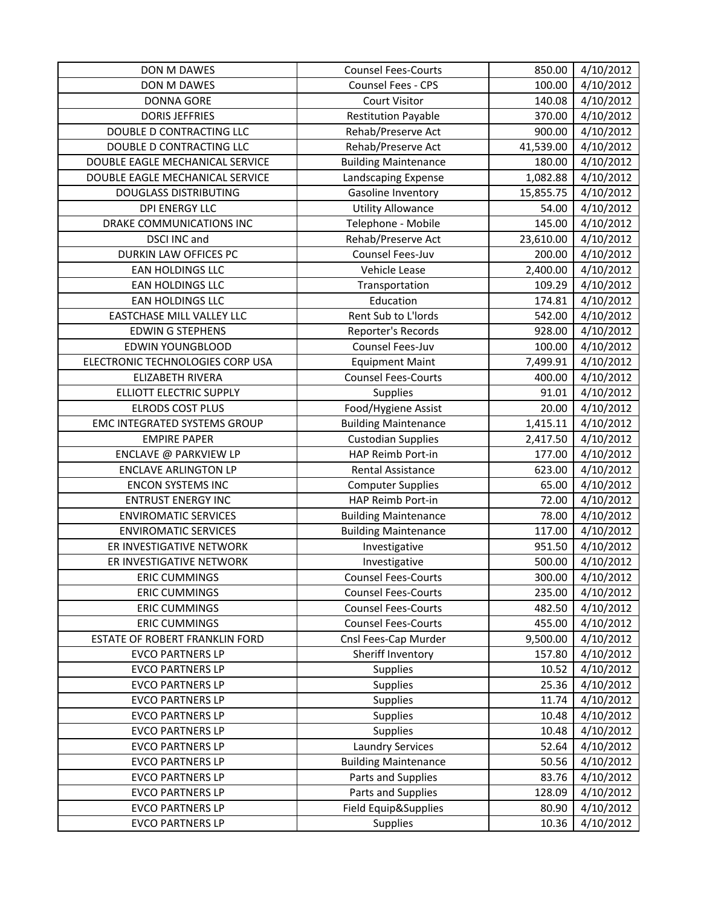| DON M DAWES                      | <b>Counsel Fees-Courts</b>  | 850.00    | 4/10/2012 |
|----------------------------------|-----------------------------|-----------|-----------|
| DON M DAWES                      | Counsel Fees - CPS          | 100.00    | 4/10/2012 |
| <b>DONNA GORE</b>                | Court Visitor               | 140.08    | 4/10/2012 |
| <b>DORIS JEFFRIES</b>            | <b>Restitution Payable</b>  | 370.00    | 4/10/2012 |
| DOUBLE D CONTRACTING LLC         | Rehab/Preserve Act          | 900.00    | 4/10/2012 |
| DOUBLE D CONTRACTING LLC         | Rehab/Preserve Act          | 41,539.00 | 4/10/2012 |
| DOUBLE EAGLE MECHANICAL SERVICE  | <b>Building Maintenance</b> | 180.00    | 4/10/2012 |
| DOUBLE EAGLE MECHANICAL SERVICE  | Landscaping Expense         | 1,082.88  | 4/10/2012 |
| <b>DOUGLASS DISTRIBUTING</b>     | Gasoline Inventory          | 15,855.75 | 4/10/2012 |
| DPI ENERGY LLC                   | <b>Utility Allowance</b>    | 54.00     | 4/10/2012 |
| DRAKE COMMUNICATIONS INC         | Telephone - Mobile          | 145.00    | 4/10/2012 |
| DSCI INC and                     | Rehab/Preserve Act          | 23,610.00 | 4/10/2012 |
| <b>DURKIN LAW OFFICES PC</b>     | Counsel Fees-Juv            | 200.00    | 4/10/2012 |
| EAN HOLDINGS LLC                 | Vehicle Lease               | 2,400.00  | 4/10/2012 |
| EAN HOLDINGS LLC                 | Transportation              | 109.29    | 4/10/2012 |
| EAN HOLDINGS LLC                 | Education                   | 174.81    | 4/10/2012 |
| <b>EASTCHASE MILL VALLEY LLC</b> | Rent Sub to L'Iords         | 542.00    | 4/10/2012 |
| <b>EDWIN G STEPHENS</b>          | Reporter's Records          | 928.00    | 4/10/2012 |
| <b>EDWIN YOUNGBLOOD</b>          | Counsel Fees-Juv            | 100.00    | 4/10/2012 |
| ELECTRONIC TECHNOLOGIES CORP USA | <b>Equipment Maint</b>      | 7,499.91  | 4/10/2012 |
| ELIZABETH RIVERA                 | <b>Counsel Fees-Courts</b>  | 400.00    | 4/10/2012 |
| ELLIOTT ELECTRIC SUPPLY          | <b>Supplies</b>             | 91.01     | 4/10/2012 |
| <b>ELRODS COST PLUS</b>          | Food/Hygiene Assist         | 20.00     | 4/10/2012 |
| EMC INTEGRATED SYSTEMS GROUP     | <b>Building Maintenance</b> | 1,415.11  | 4/10/2012 |
| <b>EMPIRE PAPER</b>              | <b>Custodian Supplies</b>   | 2,417.50  | 4/10/2012 |
| ENCLAVE @ PARKVIEW LP            | HAP Reimb Port-in           | 177.00    | 4/10/2012 |
| <b>ENCLAVE ARLINGTON LP</b>      | Rental Assistance           | 623.00    | 4/10/2012 |
| <b>ENCON SYSTEMS INC</b>         | <b>Computer Supplies</b>    | 65.00     | 4/10/2012 |
| <b>ENTRUST ENERGY INC</b>        | HAP Reimb Port-in           | 72.00     | 4/10/2012 |
| <b>ENVIROMATIC SERVICES</b>      | <b>Building Maintenance</b> | 78.00     | 4/10/2012 |
| <b>ENVIROMATIC SERVICES</b>      | <b>Building Maintenance</b> | 117.00    | 4/10/2012 |
| ER INVESTIGATIVE NETWORK         | Investigative               | 951.50    | 4/10/2012 |
| ER INVESTIGATIVE NETWORK         | Investigative               | 500.00    | 4/10/2012 |
| <b>ERIC CUMMINGS</b>             | <b>Counsel Fees-Courts</b>  | 300.00    | 4/10/2012 |
| <b>ERIC CUMMINGS</b>             | <b>Counsel Fees-Courts</b>  | 235.00    | 4/10/2012 |
| <b>ERIC CUMMINGS</b>             | <b>Counsel Fees-Courts</b>  | 482.50    | 4/10/2012 |
| <b>ERIC CUMMINGS</b>             | <b>Counsel Fees-Courts</b>  | 455.00    | 4/10/2012 |
| ESTATE OF ROBERT FRANKLIN FORD   | Cnsl Fees-Cap Murder        | 9,500.00  | 4/10/2012 |
| <b>EVCO PARTNERS LP</b>          | Sheriff Inventory           | 157.80    | 4/10/2012 |
| <b>EVCO PARTNERS LP</b>          | Supplies                    | 10.52     | 4/10/2012 |
| <b>EVCO PARTNERS LP</b>          | Supplies                    | 25.36     | 4/10/2012 |
| <b>EVCO PARTNERS LP</b>          | <b>Supplies</b>             | 11.74     | 4/10/2012 |
| <b>EVCO PARTNERS LP</b>          | Supplies                    | 10.48     | 4/10/2012 |
| <b>EVCO PARTNERS LP</b>          | <b>Supplies</b>             | 10.48     | 4/10/2012 |
| <b>EVCO PARTNERS LP</b>          | <b>Laundry Services</b>     | 52.64     | 4/10/2012 |
| <b>EVCO PARTNERS LP</b>          | <b>Building Maintenance</b> | 50.56     | 4/10/2012 |
| <b>EVCO PARTNERS LP</b>          | Parts and Supplies          | 83.76     | 4/10/2012 |
| <b>EVCO PARTNERS LP</b>          | Parts and Supplies          | 128.09    | 4/10/2012 |
| <b>EVCO PARTNERS LP</b>          | Field Equip&Supplies        | 80.90     | 4/10/2012 |
| <b>EVCO PARTNERS LP</b>          | Supplies                    | 10.36     | 4/10/2012 |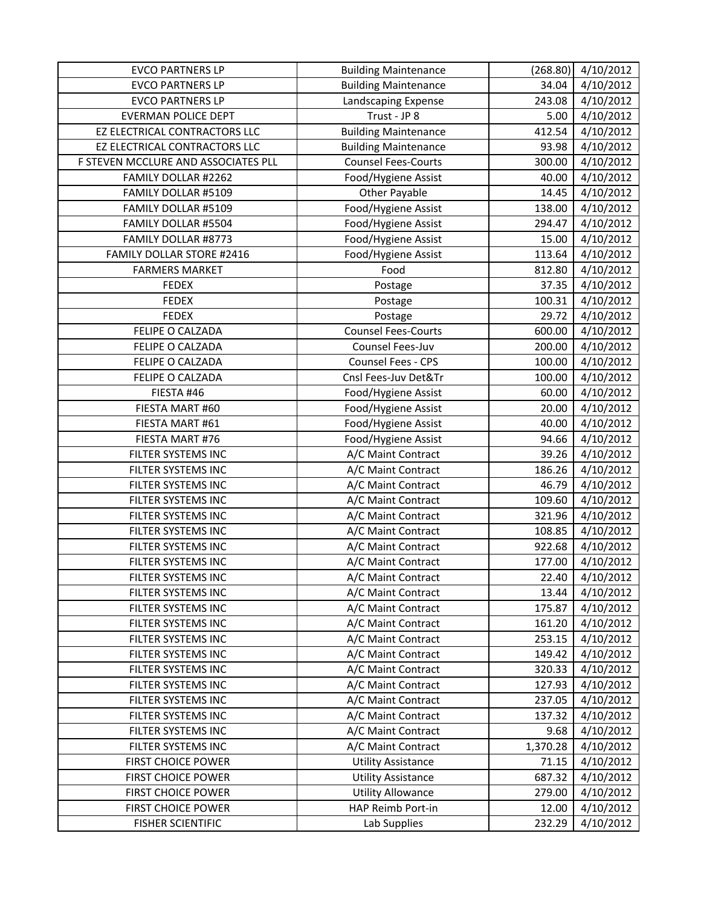| <b>EVCO PARTNERS LP</b>             | <b>Building Maintenance</b> | (268.80) | 4/10/2012 |
|-------------------------------------|-----------------------------|----------|-----------|
| <b>EVCO PARTNERS LP</b>             | <b>Building Maintenance</b> | 34.04    | 4/10/2012 |
| <b>EVCO PARTNERS LP</b>             | Landscaping Expense         | 243.08   | 4/10/2012 |
| <b>EVERMAN POLICE DEPT</b>          | Trust - JP 8                | 5.00     | 4/10/2012 |
| EZ ELECTRICAL CONTRACTORS LLC       | <b>Building Maintenance</b> | 412.54   | 4/10/2012 |
| EZ ELECTRICAL CONTRACTORS LLC       | <b>Building Maintenance</b> | 93.98    | 4/10/2012 |
| F STEVEN MCCLURE AND ASSOCIATES PLL | <b>Counsel Fees-Courts</b>  | 300.00   | 4/10/2012 |
| FAMILY DOLLAR #2262                 | Food/Hygiene Assist         | 40.00    | 4/10/2012 |
| FAMILY DOLLAR #5109                 | <b>Other Payable</b>        | 14.45    | 4/10/2012 |
| FAMILY DOLLAR #5109                 | Food/Hygiene Assist         | 138.00   | 4/10/2012 |
| FAMILY DOLLAR #5504                 | Food/Hygiene Assist         | 294.47   | 4/10/2012 |
| FAMILY DOLLAR #8773                 | Food/Hygiene Assist         | 15.00    | 4/10/2012 |
| <b>FAMILY DOLLAR STORE #2416</b>    | Food/Hygiene Assist         | 113.64   | 4/10/2012 |
| <b>FARMERS MARKET</b>               | Food                        | 812.80   | 4/10/2012 |
| <b>FEDEX</b>                        | Postage                     | 37.35    | 4/10/2012 |
| <b>FEDEX</b>                        | Postage                     | 100.31   | 4/10/2012 |
| <b>FEDEX</b>                        | Postage                     | 29.72    | 4/10/2012 |
| FELIPE O CALZADA                    | <b>Counsel Fees-Courts</b>  | 600.00   | 4/10/2012 |
| FELIPE O CALZADA                    | Counsel Fees-Juv            | 200.00   | 4/10/2012 |
| FELIPE O CALZADA                    | Counsel Fees - CPS          | 100.00   | 4/10/2012 |
| FELIPE O CALZADA                    | Cnsl Fees-Juv Det&Tr        | 100.00   | 4/10/2012 |
| FIESTA #46                          | Food/Hygiene Assist         | 60.00    | 4/10/2012 |
| FIESTA MART #60                     | Food/Hygiene Assist         | 20.00    | 4/10/2012 |
| FIESTA MART #61                     | Food/Hygiene Assist         | 40.00    | 4/10/2012 |
| FIESTA MART #76                     | Food/Hygiene Assist         | 94.66    | 4/10/2012 |
| FILTER SYSTEMS INC                  | A/C Maint Contract          | 39.26    | 4/10/2012 |
| FILTER SYSTEMS INC                  | A/C Maint Contract          | 186.26   | 4/10/2012 |
| FILTER SYSTEMS INC                  | A/C Maint Contract          | 46.79    | 4/10/2012 |
| FILTER SYSTEMS INC                  | A/C Maint Contract          | 109.60   | 4/10/2012 |
| FILTER SYSTEMS INC                  | A/C Maint Contract          | 321.96   | 4/10/2012 |
| FILTER SYSTEMS INC                  | A/C Maint Contract          | 108.85   | 4/10/2012 |
| FILTER SYSTEMS INC                  | A/C Maint Contract          | 922.68   | 4/10/2012 |
| FILTER SYSTEMS INC                  | A/C Maint Contract          | 177.00   | 4/10/2012 |
| FILTER SYSTEMS INC                  | A/C Maint Contract          | 22.40    | 4/10/2012 |
| FILTER SYSTEMS INC                  | A/C Maint Contract          | 13.44    | 4/10/2012 |
| FILTER SYSTEMS INC                  | A/C Maint Contract          | 175.87   | 4/10/2012 |
| FILTER SYSTEMS INC                  | A/C Maint Contract          | 161.20   | 4/10/2012 |
| FILTER SYSTEMS INC                  | A/C Maint Contract          | 253.15   | 4/10/2012 |
| FILTER SYSTEMS INC                  | A/C Maint Contract          | 149.42   | 4/10/2012 |
| FILTER SYSTEMS INC                  | A/C Maint Contract          | 320.33   | 4/10/2012 |
| FILTER SYSTEMS INC                  | A/C Maint Contract          | 127.93   | 4/10/2012 |
| FILTER SYSTEMS INC                  | A/C Maint Contract          | 237.05   | 4/10/2012 |
| FILTER SYSTEMS INC                  | A/C Maint Contract          | 137.32   | 4/10/2012 |
| FILTER SYSTEMS INC                  | A/C Maint Contract          | 9.68     | 4/10/2012 |
| FILTER SYSTEMS INC                  | A/C Maint Contract          | 1,370.28 | 4/10/2012 |
| <b>FIRST CHOICE POWER</b>           | <b>Utility Assistance</b>   | 71.15    | 4/10/2012 |
| <b>FIRST CHOICE POWER</b>           | <b>Utility Assistance</b>   | 687.32   | 4/10/2012 |
| <b>FIRST CHOICE POWER</b>           | <b>Utility Allowance</b>    | 279.00   | 4/10/2012 |
| <b>FIRST CHOICE POWER</b>           | HAP Reimb Port-in           | 12.00    | 4/10/2012 |
| <b>FISHER SCIENTIFIC</b>            | Lab Supplies                | 232.29   | 4/10/2012 |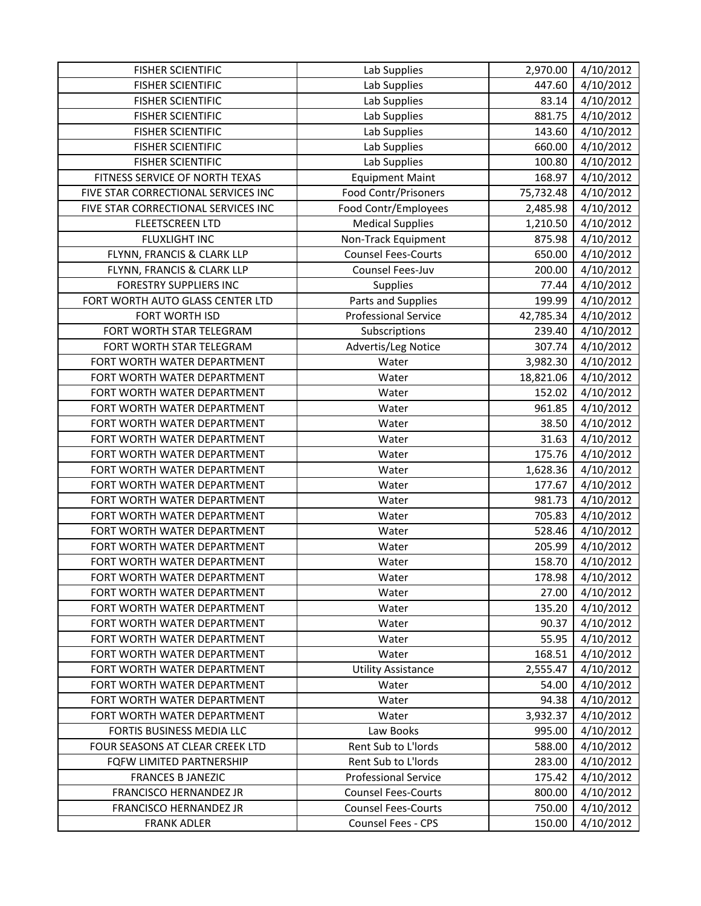| <b>FISHER SCIENTIFIC</b>            | Lab Supplies                | 2,970.00  | 4/10/2012 |
|-------------------------------------|-----------------------------|-----------|-----------|
| <b>FISHER SCIENTIFIC</b>            | Lab Supplies                | 447.60    | 4/10/2012 |
| <b>FISHER SCIENTIFIC</b>            | Lab Supplies                | 83.14     | 4/10/2012 |
| <b>FISHER SCIENTIFIC</b>            | Lab Supplies                | 881.75    | 4/10/2012 |
| <b>FISHER SCIENTIFIC</b>            | Lab Supplies                | 143.60    | 4/10/2012 |
| <b>FISHER SCIENTIFIC</b>            | Lab Supplies                | 660.00    | 4/10/2012 |
| <b>FISHER SCIENTIFIC</b>            | Lab Supplies                | 100.80    | 4/10/2012 |
| FITNESS SERVICE OF NORTH TEXAS      | <b>Equipment Maint</b>      | 168.97    | 4/10/2012 |
| FIVE STAR CORRECTIONAL SERVICES INC | <b>Food Contr/Prisoners</b> | 75,732.48 | 4/10/2012 |
| FIVE STAR CORRECTIONAL SERVICES INC | Food Contr/Employees        | 2,485.98  | 4/10/2012 |
| <b>FLEETSCREEN LTD</b>              | <b>Medical Supplies</b>     | 1,210.50  | 4/10/2012 |
| <b>FLUXLIGHT INC</b>                | Non-Track Equipment         | 875.98    | 4/10/2012 |
| FLYNN, FRANCIS & CLARK LLP          | <b>Counsel Fees-Courts</b>  | 650.00    | 4/10/2012 |
| FLYNN, FRANCIS & CLARK LLP          | Counsel Fees-Juv            | 200.00    | 4/10/2012 |
| <b>FORESTRY SUPPLIERS INC</b>       | Supplies                    | 77.44     | 4/10/2012 |
| FORT WORTH AUTO GLASS CENTER LTD    | Parts and Supplies          | 199.99    | 4/10/2012 |
| FORT WORTH ISD                      | <b>Professional Service</b> | 42,785.34 | 4/10/2012 |
| FORT WORTH STAR TELEGRAM            | Subscriptions               | 239.40    | 4/10/2012 |
| FORT WORTH STAR TELEGRAM            | Advertis/Leg Notice         | 307.74    | 4/10/2012 |
| FORT WORTH WATER DEPARTMENT         | Water                       | 3,982.30  | 4/10/2012 |
| FORT WORTH WATER DEPARTMENT         | Water                       | 18,821.06 | 4/10/2012 |
| FORT WORTH WATER DEPARTMENT         | Water                       | 152.02    | 4/10/2012 |
| FORT WORTH WATER DEPARTMENT         | Water                       | 961.85    | 4/10/2012 |
| FORT WORTH WATER DEPARTMENT         | Water                       | 38.50     | 4/10/2012 |
| FORT WORTH WATER DEPARTMENT         | Water                       | 31.63     | 4/10/2012 |
| FORT WORTH WATER DEPARTMENT         | Water                       | 175.76    | 4/10/2012 |
| FORT WORTH WATER DEPARTMENT         | Water                       | 1,628.36  | 4/10/2012 |
| FORT WORTH WATER DEPARTMENT         | Water                       | 177.67    | 4/10/2012 |
| FORT WORTH WATER DEPARTMENT         | Water                       | 981.73    | 4/10/2012 |
| FORT WORTH WATER DEPARTMENT         | Water                       | 705.83    | 4/10/2012 |
| FORT WORTH WATER DEPARTMENT         | Water                       | 528.46    | 4/10/2012 |
| FORT WORTH WATER DEPARTMENT         | Water                       | 205.99    | 4/10/2012 |
| FORT WORTH WATER DEPARTMENT         | Water                       | 158.70    | 4/10/2012 |
| FORT WORTH WATER DEPARTMENT         | Water                       | 178.98    | 4/10/2012 |
| FORT WORTH WATER DEPARTMENT         | Water                       | 27.00     | 4/10/2012 |
| FORT WORTH WATER DEPARTMENT         | Water                       | 135.20    | 4/10/2012 |
| FORT WORTH WATER DEPARTMENT         | Water                       | 90.37     | 4/10/2012 |
| FORT WORTH WATER DEPARTMENT         | Water                       | 55.95     | 4/10/2012 |
| FORT WORTH WATER DEPARTMENT         | Water                       | 168.51    | 4/10/2012 |
| FORT WORTH WATER DEPARTMENT         | <b>Utility Assistance</b>   | 2,555.47  | 4/10/2012 |
| FORT WORTH WATER DEPARTMENT         | Water                       | 54.00     | 4/10/2012 |
| FORT WORTH WATER DEPARTMENT         | Water                       | 94.38     | 4/10/2012 |
| FORT WORTH WATER DEPARTMENT         | Water                       | 3,932.37  | 4/10/2012 |
| FORTIS BUSINESS MEDIA LLC           | Law Books                   | 995.00    | 4/10/2012 |
| FOUR SEASONS AT CLEAR CREEK LTD     | Rent Sub to L'Iords         | 588.00    | 4/10/2012 |
| FQFW LIMITED PARTNERSHIP            | Rent Sub to L'Iords         | 283.00    | 4/10/2012 |
| <b>FRANCES B JANEZIC</b>            | <b>Professional Service</b> | 175.42    | 4/10/2012 |
| FRANCISCO HERNANDEZ JR              | <b>Counsel Fees-Courts</b>  | 800.00    | 4/10/2012 |
| FRANCISCO HERNANDEZ JR              | <b>Counsel Fees-Courts</b>  | 750.00    | 4/10/2012 |
| <b>FRANK ADLER</b>                  | Counsel Fees - CPS          | 150.00    | 4/10/2012 |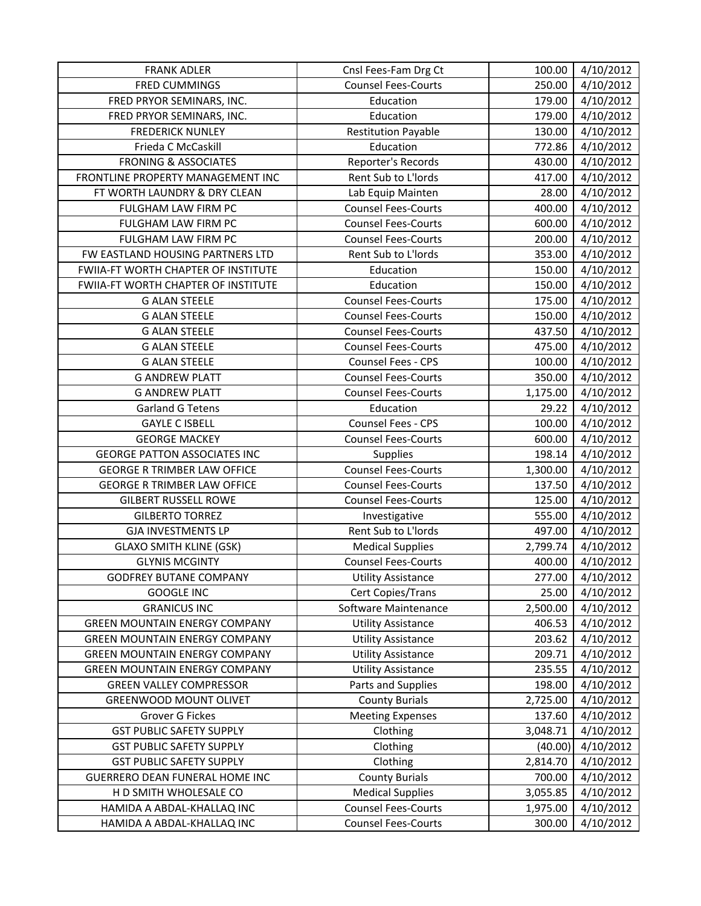| <b>FRANK ADLER</b>                   | Cnsl Fees-Fam Drg Ct       | 100.00   | 4/10/2012 |
|--------------------------------------|----------------------------|----------|-----------|
| <b>FRED CUMMINGS</b>                 | <b>Counsel Fees-Courts</b> | 250.00   | 4/10/2012 |
| FRED PRYOR SEMINARS, INC.            | Education                  | 179.00   | 4/10/2012 |
| FRED PRYOR SEMINARS, INC.            | Education                  | 179.00   | 4/10/2012 |
| <b>FREDERICK NUNLEY</b>              | <b>Restitution Payable</b> | 130.00   | 4/10/2012 |
| Frieda C McCaskill                   | Education                  | 772.86   | 4/10/2012 |
| <b>FRONING &amp; ASSOCIATES</b>      | Reporter's Records         | 430.00   | 4/10/2012 |
| FRONTLINE PROPERTY MANAGEMENT INC    | Rent Sub to L'Iords        | 417.00   | 4/10/2012 |
| FT WORTH LAUNDRY & DRY CLEAN         | Lab Equip Mainten          | 28.00    | 4/10/2012 |
| FULGHAM LAW FIRM PC                  | <b>Counsel Fees-Courts</b> | 400.00   | 4/10/2012 |
| FULGHAM LAW FIRM PC                  | <b>Counsel Fees-Courts</b> | 600.00   | 4/10/2012 |
| FULGHAM LAW FIRM PC                  | <b>Counsel Fees-Courts</b> | 200.00   | 4/10/2012 |
| FW EASTLAND HOUSING PARTNERS LTD     | Rent Sub to L'Iords        | 353.00   | 4/10/2012 |
| FWIIA-FT WORTH CHAPTER OF INSTITUTE  | Education                  | 150.00   | 4/10/2012 |
| FWIIA-FT WORTH CHAPTER OF INSTITUTE  | Education                  | 150.00   | 4/10/2012 |
| <b>G ALAN STEELE</b>                 | <b>Counsel Fees-Courts</b> | 175.00   | 4/10/2012 |
| <b>G ALAN STEELE</b>                 | <b>Counsel Fees-Courts</b> | 150.00   | 4/10/2012 |
| <b>G ALAN STEELE</b>                 | <b>Counsel Fees-Courts</b> | 437.50   | 4/10/2012 |
| <b>G ALAN STEELE</b>                 | <b>Counsel Fees-Courts</b> | 475.00   | 4/10/2012 |
| <b>G ALAN STEELE</b>                 | Counsel Fees - CPS         | 100.00   | 4/10/2012 |
| <b>G ANDREW PLATT</b>                | <b>Counsel Fees-Courts</b> | 350.00   | 4/10/2012 |
| <b>G ANDREW PLATT</b>                | <b>Counsel Fees-Courts</b> | 1,175.00 | 4/10/2012 |
| <b>Garland G Tetens</b>              | Education                  | 29.22    | 4/10/2012 |
| <b>GAYLE C ISBELL</b>                | Counsel Fees - CPS         | 100.00   | 4/10/2012 |
| <b>GEORGE MACKEY</b>                 | <b>Counsel Fees-Courts</b> | 600.00   | 4/10/2012 |
| <b>GEORGE PATTON ASSOCIATES INC</b>  | Supplies                   | 198.14   | 4/10/2012 |
| <b>GEORGE R TRIMBER LAW OFFICE</b>   | <b>Counsel Fees-Courts</b> | 1,300.00 | 4/10/2012 |
| <b>GEORGE R TRIMBER LAW OFFICE</b>   | <b>Counsel Fees-Courts</b> | 137.50   | 4/10/2012 |
| <b>GILBERT RUSSELL ROWE</b>          | <b>Counsel Fees-Courts</b> | 125.00   | 4/10/2012 |
| <b>GILBERTO TORREZ</b>               | Investigative              | 555.00   | 4/10/2012 |
| <b>GJA INVESTMENTS LP</b>            | Rent Sub to L'Iords        | 497.00   | 4/10/2012 |
| <b>GLAXO SMITH KLINE (GSK)</b>       | <b>Medical Supplies</b>    | 2,799.74 | 4/10/2012 |
| <b>GLYNIS MCGINTY</b>                | <b>Counsel Fees-Courts</b> | 400.00   | 4/10/2012 |
| <b>GODFREY BUTANE COMPANY</b>        | Utility Assistance         | 277.00   | 4/10/2012 |
| <b>GOOGLE INC</b>                    | Cert Copies/Trans          | 25.00    | 4/10/2012 |
| <b>GRANICUS INC</b>                  | Software Maintenance       | 2,500.00 | 4/10/2012 |
| <b>GREEN MOUNTAIN ENERGY COMPANY</b> | <b>Utility Assistance</b>  | 406.53   | 4/10/2012 |
| <b>GREEN MOUNTAIN ENERGY COMPANY</b> | <b>Utility Assistance</b>  | 203.62   | 4/10/2012 |
| <b>GREEN MOUNTAIN ENERGY COMPANY</b> | <b>Utility Assistance</b>  | 209.71   | 4/10/2012 |
| <b>GREEN MOUNTAIN ENERGY COMPANY</b> | <b>Utility Assistance</b>  | 235.55   | 4/10/2012 |
| <b>GREEN VALLEY COMPRESSOR</b>       | Parts and Supplies         | 198.00   | 4/10/2012 |
| <b>GREENWOOD MOUNT OLIVET</b>        | <b>County Burials</b>      | 2,725.00 | 4/10/2012 |
| Grover G Fickes                      | <b>Meeting Expenses</b>    | 137.60   | 4/10/2012 |
| <b>GST PUBLIC SAFETY SUPPLY</b>      | Clothing                   | 3,048.71 | 4/10/2012 |
| <b>GST PUBLIC SAFETY SUPPLY</b>      | Clothing                   | (40.00)  | 4/10/2012 |
| <b>GST PUBLIC SAFETY SUPPLY</b>      | Clothing                   | 2,814.70 | 4/10/2012 |
| GUERRERO DEAN FUNERAL HOME INC       | <b>County Burials</b>      | 700.00   | 4/10/2012 |
| H D SMITH WHOLESALE CO               | <b>Medical Supplies</b>    | 3,055.85 | 4/10/2012 |
| HAMIDA A ABDAL-KHALLAQ INC           | <b>Counsel Fees-Courts</b> | 1,975.00 | 4/10/2012 |
| HAMIDA A ABDAL-KHALLAQ INC           | <b>Counsel Fees-Courts</b> | 300.00   | 4/10/2012 |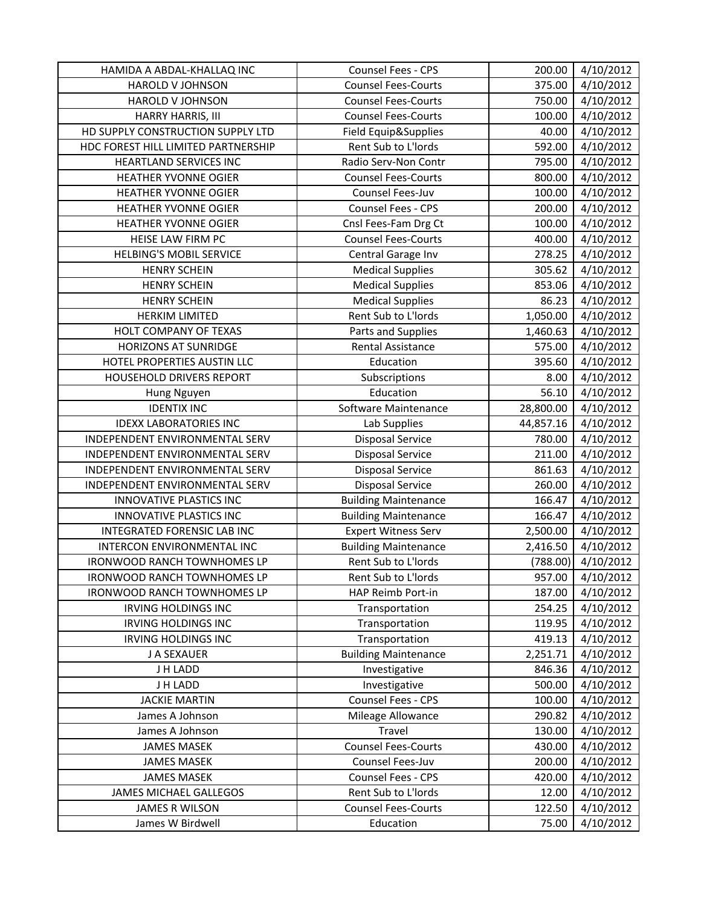| HAMIDA A ABDAL-KHALLAQ INC          | Counsel Fees - CPS          | 200.00    | 4/10/2012 |
|-------------------------------------|-----------------------------|-----------|-----------|
| <b>HAROLD V JOHNSON</b>             | <b>Counsel Fees-Courts</b>  | 375.00    | 4/10/2012 |
| HAROLD V JOHNSON                    | <b>Counsel Fees-Courts</b>  | 750.00    | 4/10/2012 |
| HARRY HARRIS, III                   | <b>Counsel Fees-Courts</b>  | 100.00    | 4/10/2012 |
| HD SUPPLY CONSTRUCTION SUPPLY LTD   | Field Equip&Supplies        | 40.00     | 4/10/2012 |
| HDC FOREST HILL LIMITED PARTNERSHIP | Rent Sub to L'Iords         | 592.00    | 4/10/2012 |
| HEARTLAND SERVICES INC              | Radio Serv-Non Contr        | 795.00    | 4/10/2012 |
| <b>HEATHER YVONNE OGIER</b>         | <b>Counsel Fees-Courts</b>  | 800.00    | 4/10/2012 |
| <b>HEATHER YVONNE OGIER</b>         | Counsel Fees-Juv            | 100.00    | 4/10/2012 |
| HEATHER YVONNE OGIER                | Counsel Fees - CPS          | 200.00    | 4/10/2012 |
| HEATHER YVONNE OGIER                | Cnsl Fees-Fam Drg Ct        | 100.00    | 4/10/2012 |
| HEISE LAW FIRM PC                   | <b>Counsel Fees-Courts</b>  | 400.00    | 4/10/2012 |
| <b>HELBING'S MOBIL SERVICE</b>      | Central Garage Inv          | 278.25    | 4/10/2012 |
| <b>HENRY SCHEIN</b>                 | <b>Medical Supplies</b>     | 305.62    | 4/10/2012 |
| <b>HENRY SCHEIN</b>                 | <b>Medical Supplies</b>     | 853.06    | 4/10/2012 |
| <b>HENRY SCHEIN</b>                 | <b>Medical Supplies</b>     | 86.23     | 4/10/2012 |
| <b>HERKIM LIMITED</b>               | Rent Sub to L'Iords         | 1,050.00  | 4/10/2012 |
| HOLT COMPANY OF TEXAS               | Parts and Supplies          | 1,460.63  | 4/10/2012 |
| <b>HORIZONS AT SUNRIDGE</b>         | <b>Rental Assistance</b>    | 575.00    | 4/10/2012 |
| HOTEL PROPERTIES AUSTIN LLC         | Education                   | 395.60    | 4/10/2012 |
| HOUSEHOLD DRIVERS REPORT            | Subscriptions               | 8.00      | 4/10/2012 |
| Hung Nguyen                         | Education                   | 56.10     | 4/10/2012 |
| <b>IDENTIX INC</b>                  | Software Maintenance        | 28,800.00 | 4/10/2012 |
| <b>IDEXX LABORATORIES INC</b>       | Lab Supplies                | 44,857.16 | 4/10/2012 |
| INDEPENDENT ENVIRONMENTAL SERV      | <b>Disposal Service</b>     | 780.00    | 4/10/2012 |
| INDEPENDENT ENVIRONMENTAL SERV      | <b>Disposal Service</b>     | 211.00    | 4/10/2012 |
| INDEPENDENT ENVIRONMENTAL SERV      | <b>Disposal Service</b>     | 861.63    | 4/10/2012 |
| INDEPENDENT ENVIRONMENTAL SERV      | <b>Disposal Service</b>     | 260.00    | 4/10/2012 |
| INNOVATIVE PLASTICS INC             | <b>Building Maintenance</b> | 166.47    | 4/10/2012 |
| INNOVATIVE PLASTICS INC             | <b>Building Maintenance</b> | 166.47    | 4/10/2012 |
| INTEGRATED FORENSIC LAB INC         | <b>Expert Witness Serv</b>  | 2,500.00  | 4/10/2012 |
| INTERCON ENVIRONMENTAL INC          | <b>Building Maintenance</b> | 2,416.50  | 4/10/2012 |
| <b>IRONWOOD RANCH TOWNHOMES LP</b>  | Rent Sub to L'Iords         | (788.00)  | 4/10/2012 |
| <b>IRONWOOD RANCH TOWNHOMES LP</b>  | Rent Sub to L'Iords         | 957.00    | 4/10/2012 |
| <b>IRONWOOD RANCH TOWNHOMES LP</b>  | HAP Reimb Port-in           | 187.00    | 4/10/2012 |
| <b>IRVING HOLDINGS INC</b>          | Transportation              | 254.25    | 4/10/2012 |
| <b>IRVING HOLDINGS INC</b>          | Transportation              | 119.95    | 4/10/2012 |
| IRVING HOLDINGS INC                 | Transportation              | 419.13    | 4/10/2012 |
| J A SEXAUER                         | <b>Building Maintenance</b> | 2,251.71  | 4/10/2012 |
| J H LADD                            | Investigative               | 846.36    | 4/10/2012 |
| J H LADD                            | Investigative               | 500.00    | 4/10/2012 |
| <b>JACKIE MARTIN</b>                | Counsel Fees - CPS          | 100.00    | 4/10/2012 |
| James A Johnson                     | Mileage Allowance           | 290.82    | 4/10/2012 |
| James A Johnson                     | Travel                      | 130.00    | 4/10/2012 |
| <b>JAMES MASEK</b>                  | <b>Counsel Fees-Courts</b>  | 430.00    | 4/10/2012 |
| <b>JAMES MASEK</b>                  | Counsel Fees-Juv            | 200.00    | 4/10/2012 |
| <b>JAMES MASEK</b>                  | Counsel Fees - CPS          | 420.00    | 4/10/2012 |
| JAMES MICHAEL GALLEGOS              | Rent Sub to L'Iords         | 12.00     | 4/10/2012 |
| <b>JAMES R WILSON</b>               | <b>Counsel Fees-Courts</b>  | 122.50    | 4/10/2012 |
| James W Birdwell                    | Education                   | 75.00     | 4/10/2012 |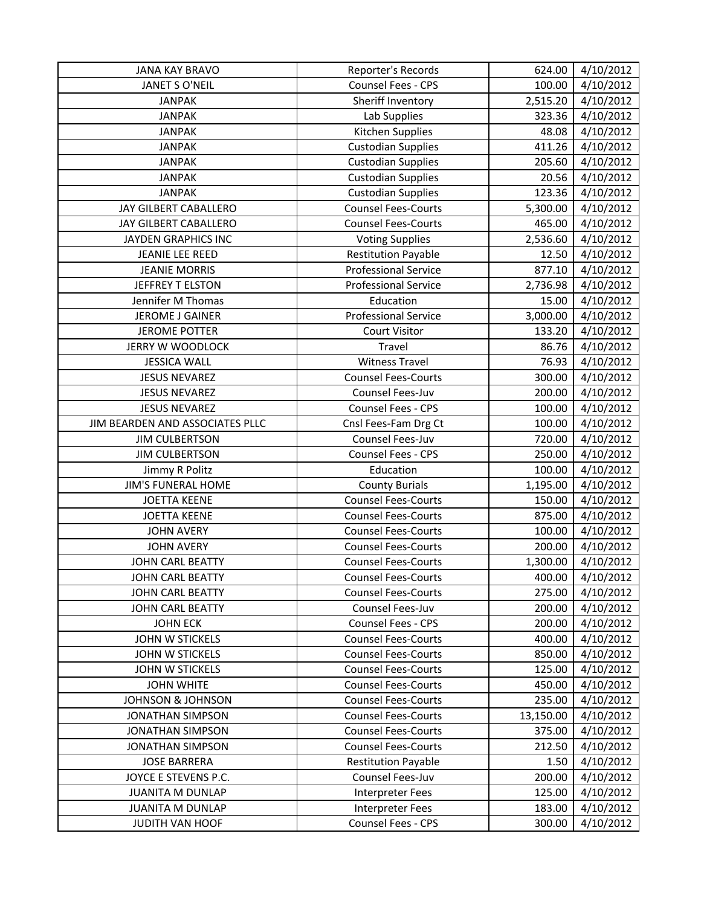| <b>JANA KAY BRAVO</b>           | Reporter's Records          | 624.00    | 4/10/2012 |
|---------------------------------|-----------------------------|-----------|-----------|
| JANET S O'NEIL                  | Counsel Fees - CPS          | 100.00    | 4/10/2012 |
| <b>JANPAK</b>                   | Sheriff Inventory           | 2,515.20  | 4/10/2012 |
| <b>JANPAK</b>                   | Lab Supplies                | 323.36    | 4/10/2012 |
| <b>JANPAK</b>                   | Kitchen Supplies            | 48.08     | 4/10/2012 |
| <b>JANPAK</b>                   | <b>Custodian Supplies</b>   | 411.26    | 4/10/2012 |
| <b>JANPAK</b>                   | <b>Custodian Supplies</b>   | 205.60    | 4/10/2012 |
| <b>JANPAK</b>                   | <b>Custodian Supplies</b>   | 20.56     | 4/10/2012 |
| <b>JANPAK</b>                   | <b>Custodian Supplies</b>   | 123.36    | 4/10/2012 |
| JAY GILBERT CABALLERO           | <b>Counsel Fees-Courts</b>  | 5,300.00  | 4/10/2012 |
| JAY GILBERT CABALLERO           | <b>Counsel Fees-Courts</b>  | 465.00    | 4/10/2012 |
| JAYDEN GRAPHICS INC             | <b>Voting Supplies</b>      | 2,536.60  | 4/10/2012 |
| JEANIE LEE REED                 | <b>Restitution Payable</b>  | 12.50     | 4/10/2012 |
| <b>JEANIE MORRIS</b>            | <b>Professional Service</b> | 877.10    | 4/10/2012 |
| JEFFREY T ELSTON                | <b>Professional Service</b> | 2,736.98  | 4/10/2012 |
| Jennifer M Thomas               | Education                   | 15.00     | 4/10/2012 |
| <b>JEROME J GAINER</b>          | <b>Professional Service</b> | 3,000.00  | 4/10/2012 |
| <b>JEROME POTTER</b>            | <b>Court Visitor</b>        | 133.20    | 4/10/2012 |
| JERRY W WOODLOCK                | Travel                      | 86.76     | 4/10/2012 |
| <b>JESSICA WALL</b>             | <b>Witness Travel</b>       | 76.93     | 4/10/2012 |
| <b>JESUS NEVAREZ</b>            | <b>Counsel Fees-Courts</b>  | 300.00    | 4/10/2012 |
| <b>JESUS NEVAREZ</b>            | Counsel Fees-Juv            | 200.00    | 4/10/2012 |
| <b>JESUS NEVAREZ</b>            | Counsel Fees - CPS          | 100.00    | 4/10/2012 |
| JIM BEARDEN AND ASSOCIATES PLLC | Cnsl Fees-Fam Drg Ct        | 100.00    | 4/10/2012 |
| <b>JIM CULBERTSON</b>           | Counsel Fees-Juv            | 720.00    | 4/10/2012 |
| <b>JIM CULBERTSON</b>           | Counsel Fees - CPS          | 250.00    | 4/10/2012 |
| Jimmy R Politz                  | Education                   | 100.00    | 4/10/2012 |
| <b>JIM'S FUNERAL HOME</b>       | <b>County Burials</b>       | 1,195.00  | 4/10/2012 |
| <b>JOETTA KEENE</b>             | <b>Counsel Fees-Courts</b>  | 150.00    | 4/10/2012 |
| <b>JOETTA KEENE</b>             | <b>Counsel Fees-Courts</b>  | 875.00    | 4/10/2012 |
| <b>JOHN AVERY</b>               | <b>Counsel Fees-Courts</b>  | 100.00    | 4/10/2012 |
| <b>JOHN AVERY</b>               | <b>Counsel Fees-Courts</b>  | 200.00    | 4/10/2012 |
| <b>JOHN CARL BEATTY</b>         | <b>Counsel Fees-Courts</b>  | 1,300.00  | 4/10/2012 |
| JOHN CARL BEATTY                | <b>Counsel Fees-Courts</b>  | 400.00    | 4/10/2012 |
| JOHN CARL BEATTY                | <b>Counsel Fees-Courts</b>  | 275.00    | 4/10/2012 |
| <b>JOHN CARL BEATTY</b>         | Counsel Fees-Juv            | 200.00    | 4/10/2012 |
| <b>JOHN ECK</b>                 | Counsel Fees - CPS          | 200.00    | 4/10/2012 |
| JOHN W STICKELS                 | <b>Counsel Fees-Courts</b>  | 400.00    | 4/10/2012 |
| JOHN W STICKELS                 | <b>Counsel Fees-Courts</b>  | 850.00    | 4/10/2012 |
| JOHN W STICKELS                 | <b>Counsel Fees-Courts</b>  | 125.00    | 4/10/2012 |
| <b>JOHN WHITE</b>               | <b>Counsel Fees-Courts</b>  | 450.00    | 4/10/2012 |
| <b>JOHNSON &amp; JOHNSON</b>    | <b>Counsel Fees-Courts</b>  | 235.00    | 4/10/2012 |
| <b>JONATHAN SIMPSON</b>         | <b>Counsel Fees-Courts</b>  | 13,150.00 | 4/10/2012 |
| <b>JONATHAN SIMPSON</b>         | <b>Counsel Fees-Courts</b>  | 375.00    | 4/10/2012 |
| <b>JONATHAN SIMPSON</b>         | <b>Counsel Fees-Courts</b>  | 212.50    | 4/10/2012 |
| <b>JOSE BARRERA</b>             | <b>Restitution Payable</b>  | 1.50      | 4/10/2012 |
| JOYCE E STEVENS P.C.            | Counsel Fees-Juv            | 200.00    | 4/10/2012 |
| <b>JUANITA M DUNLAP</b>         | <b>Interpreter Fees</b>     | 125.00    | 4/10/2012 |
| <b>JUANITA M DUNLAP</b>         | Interpreter Fees            | 183.00    | 4/10/2012 |
| JUDITH VAN HOOF                 | Counsel Fees - CPS          | 300.00    | 4/10/2012 |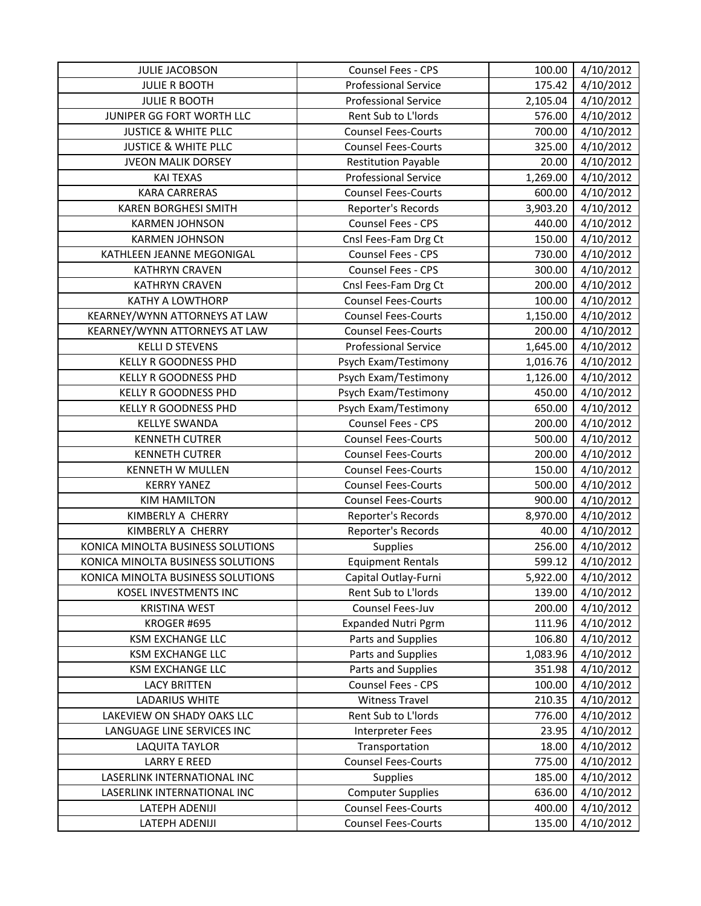| <b>JULIE JACOBSON</b>             | Counsel Fees - CPS          | 100.00   | 4/10/2012              |
|-----------------------------------|-----------------------------|----------|------------------------|
| <b>JULIE R BOOTH</b>              | <b>Professional Service</b> | 175.42   | 4/10/2012              |
| <b>JULIE R BOOTH</b>              | <b>Professional Service</b> | 2,105.04 | 4/10/2012              |
| JUNIPER GG FORT WORTH LLC         | Rent Sub to L'Iords         | 576.00   | 4/10/2012              |
| <b>JUSTICE &amp; WHITE PLLC</b>   | <b>Counsel Fees-Courts</b>  | 700.00   | 4/10/2012              |
| <b>JUSTICE &amp; WHITE PLLC</b>   | <b>Counsel Fees-Courts</b>  | 325.00   | 4/10/2012              |
| <b>JVEON MALIK DORSEY</b>         | <b>Restitution Payable</b>  | 20.00    | 4/10/2012              |
| <b>KAI TEXAS</b>                  | <b>Professional Service</b> | 1,269.00 | 4/10/2012              |
| <b>KARA CARRERAS</b>              | <b>Counsel Fees-Courts</b>  | 600.00   | 4/10/2012              |
| <b>KAREN BORGHESI SMITH</b>       | Reporter's Records          | 3,903.20 | 4/10/2012              |
| <b>KARMEN JOHNSON</b>             | Counsel Fees - CPS          | 440.00   | 4/10/2012              |
| <b>KARMEN JOHNSON</b>             | Cnsl Fees-Fam Drg Ct        | 150.00   | 4/10/2012              |
| KATHLEEN JEANNE MEGONIGAL         | Counsel Fees - CPS          | 730.00   | 4/10/2012              |
| <b>KATHRYN CRAVEN</b>             | Counsel Fees - CPS          | 300.00   | 4/10/2012              |
| <b>KATHRYN CRAVEN</b>             | Cnsl Fees-Fam Drg Ct        | 200.00   | 4/10/2012              |
| <b>KATHY A LOWTHORP</b>           | <b>Counsel Fees-Courts</b>  | 100.00   | 4/10/2012              |
| KEARNEY/WYNN ATTORNEYS AT LAW     | <b>Counsel Fees-Courts</b>  | 1,150.00 | 4/10/2012              |
| KEARNEY/WYNN ATTORNEYS AT LAW     | <b>Counsel Fees-Courts</b>  | 200.00   | 4/10/2012              |
| <b>KELLI D STEVENS</b>            | <b>Professional Service</b> | 1,645.00 | 4/10/2012              |
| <b>KELLY R GOODNESS PHD</b>       | Psych Exam/Testimony        | 1,016.76 | 4/10/2012              |
| <b>KELLY R GOODNESS PHD</b>       | Psych Exam/Testimony        | 1,126.00 | 4/10/2012              |
| <b>KELLY R GOODNESS PHD</b>       | Psych Exam/Testimony        | 450.00   | 4/10/2012              |
| <b>KELLY R GOODNESS PHD</b>       | Psych Exam/Testimony        | 650.00   | 4/10/2012              |
| <b>KELLYE SWANDA</b>              | Counsel Fees - CPS          | 200.00   | 4/10/2012              |
| <b>KENNETH CUTRER</b>             | <b>Counsel Fees-Courts</b>  | 500.00   | 4/10/2012              |
| <b>KENNETH CUTRER</b>             | <b>Counsel Fees-Courts</b>  | 200.00   | 4/10/2012              |
| <b>KENNETH W MULLEN</b>           | <b>Counsel Fees-Courts</b>  | 150.00   | 4/10/2012              |
| <b>KERRY YANEZ</b>                | <b>Counsel Fees-Courts</b>  | 500.00   | 4/10/2012              |
| <b>KIM HAMILTON</b>               | <b>Counsel Fees-Courts</b>  | 900.00   | 4/10/2012              |
| KIMBERLY A CHERRY                 | Reporter's Records          | 8,970.00 | 4/10/2012              |
| KIMBERLY A CHERRY                 | Reporter's Records          | 40.00    | 4/10/2012              |
| KONICA MINOLTA BUSINESS SOLUTIONS | <b>Supplies</b>             | 256.00   | 4/10/2012              |
| KONICA MINOLTA BUSINESS SOLUTIONS | <b>Equipment Rentals</b>    | 599.12   | 4/10/2012              |
| KONICA MINOLTA BUSINESS SOLUTIONS | Capital Outlay-Furni        | 5,922.00 | $\frac{1}{4}$ /10/2012 |
| KOSEL INVESTMENTS INC             | Rent Sub to L'Iords         | 139.00   | 4/10/2012              |
| <b>KRISTINA WEST</b>              | Counsel Fees-Juv            | 200.00   | 4/10/2012              |
| KROGER #695                       | <b>Expanded Nutri Pgrm</b>  | 111.96   | 4/10/2012              |
| <b>KSM EXCHANGE LLC</b>           | Parts and Supplies          | 106.80   | 4/10/2012              |
| <b>KSM EXCHANGE LLC</b>           | Parts and Supplies          | 1,083.96 | 4/10/2012              |
| <b>KSM EXCHANGE LLC</b>           | Parts and Supplies          | 351.98   | 4/10/2012              |
| <b>LACY BRITTEN</b>               | Counsel Fees - CPS          | 100.00   | 4/10/2012              |
| <b>LADARIUS WHITE</b>             | <b>Witness Travel</b>       | 210.35   | 4/10/2012              |
| LAKEVIEW ON SHADY OAKS LLC        | Rent Sub to L'Iords         | 776.00   | 4/10/2012              |
| LANGUAGE LINE SERVICES INC        | <b>Interpreter Fees</b>     | 23.95    | 4/10/2012              |
| LAQUITA TAYLOR                    | Transportation              | 18.00    | 4/10/2012              |
| <b>LARRY E REED</b>               | <b>Counsel Fees-Courts</b>  | 775.00   | 4/10/2012              |
| LASERLINK INTERNATIONAL INC       | <b>Supplies</b>             | 185.00   | 4/10/2012              |
| LASERLINK INTERNATIONAL INC       | <b>Computer Supplies</b>    | 636.00   | 4/10/2012              |
| LATEPH ADENIJI                    | <b>Counsel Fees-Courts</b>  | 400.00   | 4/10/2012              |
| LATEPH ADENIJI                    | <b>Counsel Fees-Courts</b>  | 135.00   | 4/10/2012              |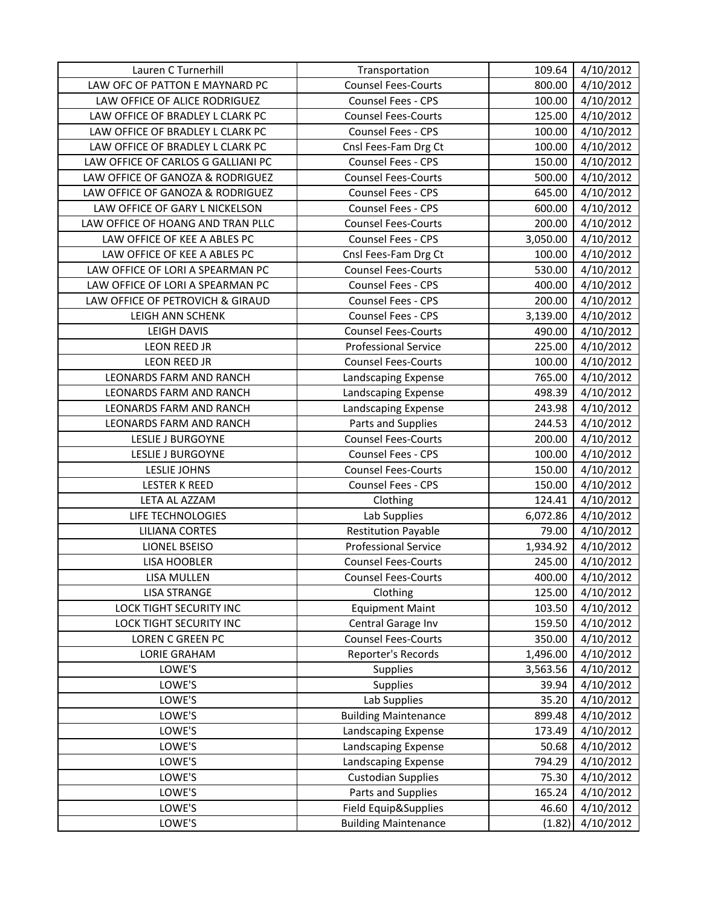| Lauren C Turnerhill                | Transportation              | 109.64   | 4/10/2012 |
|------------------------------------|-----------------------------|----------|-----------|
| LAW OFC OF PATTON E MAYNARD PC     | <b>Counsel Fees-Courts</b>  | 800.00   | 4/10/2012 |
| LAW OFFICE OF ALICE RODRIGUEZ      | Counsel Fees - CPS          | 100.00   | 4/10/2012 |
| LAW OFFICE OF BRADLEY L CLARK PC   | <b>Counsel Fees-Courts</b>  | 125.00   | 4/10/2012 |
| LAW OFFICE OF BRADLEY L CLARK PC   | Counsel Fees - CPS          | 100.00   | 4/10/2012 |
| LAW OFFICE OF BRADLEY L CLARK PC   | Cnsl Fees-Fam Drg Ct        | 100.00   | 4/10/2012 |
| LAW OFFICE OF CARLOS G GALLIANI PC | Counsel Fees - CPS          | 150.00   | 4/10/2012 |
| LAW OFFICE OF GANOZA & RODRIGUEZ   | <b>Counsel Fees-Courts</b>  | 500.00   | 4/10/2012 |
| LAW OFFICE OF GANOZA & RODRIGUEZ   | Counsel Fees - CPS          | 645.00   | 4/10/2012 |
| LAW OFFICE OF GARY L NICKELSON     | Counsel Fees - CPS          | 600.00   | 4/10/2012 |
| LAW OFFICE OF HOANG AND TRAN PLLC  | <b>Counsel Fees-Courts</b>  | 200.00   | 4/10/2012 |
| LAW OFFICE OF KEE A ABLES PC       | Counsel Fees - CPS          | 3,050.00 | 4/10/2012 |
| LAW OFFICE OF KEE A ABLES PC       | Cnsl Fees-Fam Drg Ct        | 100.00   | 4/10/2012 |
| LAW OFFICE OF LORI A SPEARMAN PC   | <b>Counsel Fees-Courts</b>  | 530.00   | 4/10/2012 |
| LAW OFFICE OF LORI A SPEARMAN PC   | Counsel Fees - CPS          | 400.00   | 4/10/2012 |
| LAW OFFICE OF PETROVICH & GIRAUD   | Counsel Fees - CPS          | 200.00   | 4/10/2012 |
| LEIGH ANN SCHENK                   | Counsel Fees - CPS          | 3,139.00 | 4/10/2012 |
| LEIGH DAVIS                        | <b>Counsel Fees-Courts</b>  | 490.00   | 4/10/2012 |
| <b>LEON REED JR</b>                | <b>Professional Service</b> | 225.00   | 4/10/2012 |
| <b>LEON REED JR</b>                | <b>Counsel Fees-Courts</b>  | 100.00   | 4/10/2012 |
| <b>LEONARDS FARM AND RANCH</b>     | Landscaping Expense         | 765.00   | 4/10/2012 |
| LEONARDS FARM AND RANCH            | Landscaping Expense         | 498.39   | 4/10/2012 |
| LEONARDS FARM AND RANCH            | Landscaping Expense         | 243.98   | 4/10/2012 |
| LEONARDS FARM AND RANCH            | Parts and Supplies          | 244.53   | 4/10/2012 |
| <b>LESLIE J BURGOYNE</b>           | <b>Counsel Fees-Courts</b>  | 200.00   | 4/10/2012 |
| LESLIE J BURGOYNE                  | Counsel Fees - CPS          | 100.00   | 4/10/2012 |
| LESLIE JOHNS                       | <b>Counsel Fees-Courts</b>  | 150.00   | 4/10/2012 |
| <b>LESTER K REED</b>               | Counsel Fees - CPS          | 150.00   | 4/10/2012 |
| LETA AL AZZAM                      | Clothing                    | 124.41   | 4/10/2012 |
| LIFE TECHNOLOGIES                  | Lab Supplies                | 6,072.86 | 4/10/2012 |
| <b>LILIANA CORTES</b>              | <b>Restitution Payable</b>  | 79.00    | 4/10/2012 |
| <b>LIONEL BSEISO</b>               | <b>Professional Service</b> | 1,934.92 | 4/10/2012 |
| <b>LISA HOOBLER</b>                | <b>Counsel Fees-Courts</b>  | 245.00   | 4/10/2012 |
| LISA MULLEN                        | <b>Counsel Fees-Courts</b>  | 400.00   | 4/10/2012 |
| <b>LISA STRANGE</b>                | Clothing                    | 125.00   | 4/10/2012 |
| LOCK TIGHT SECURITY INC            | <b>Equipment Maint</b>      | 103.50   | 4/10/2012 |
| LOCK TIGHT SECURITY INC            | Central Garage Inv          | 159.50   | 4/10/2012 |
| LOREN C GREEN PC                   | <b>Counsel Fees-Courts</b>  | 350.00   | 4/10/2012 |
| <b>LORIE GRAHAM</b>                | Reporter's Records          | 1,496.00 | 4/10/2012 |
| LOWE'S                             | <b>Supplies</b>             | 3,563.56 | 4/10/2012 |
| LOWE'S                             | <b>Supplies</b>             | 39.94    | 4/10/2012 |
| LOWE'S                             | Lab Supplies                | 35.20    | 4/10/2012 |
| LOWE'S                             | <b>Building Maintenance</b> | 899.48   | 4/10/2012 |
| LOWE'S                             | Landscaping Expense         | 173.49   | 4/10/2012 |
| LOWE'S                             | Landscaping Expense         | 50.68    | 4/10/2012 |
| LOWE'S                             | Landscaping Expense         | 794.29   | 4/10/2012 |
| LOWE'S                             | <b>Custodian Supplies</b>   | 75.30    | 4/10/2012 |
| LOWE'S                             | Parts and Supplies          | 165.24   | 4/10/2012 |
| LOWE'S                             | Field Equip&Supplies        | 46.60    | 4/10/2012 |
| LOWE'S                             | <b>Building Maintenance</b> | (1.82)   | 4/10/2012 |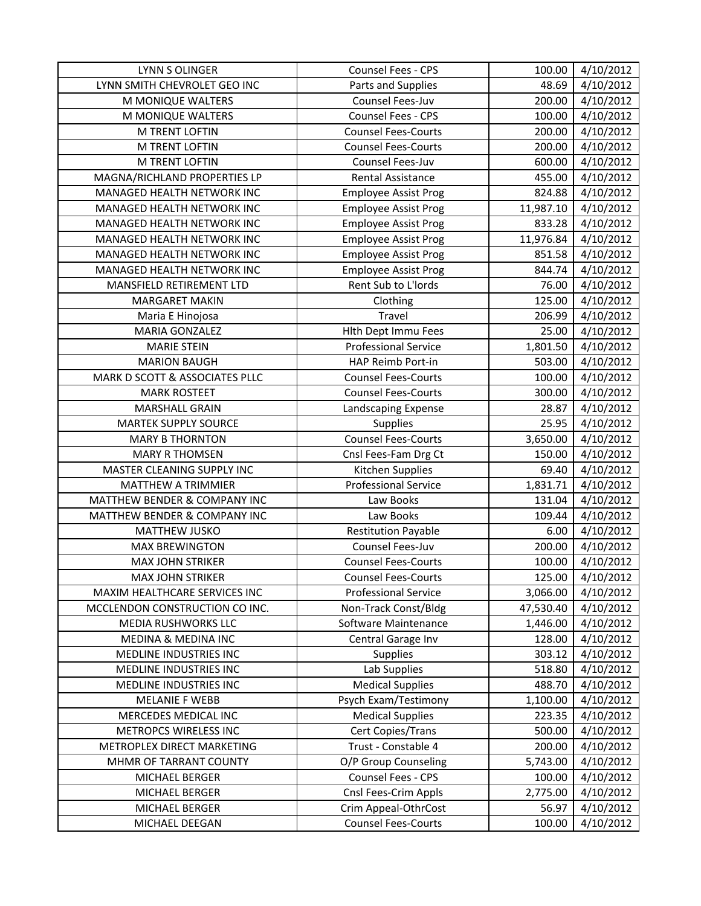| <b>LYNN S OLINGER</b>          | Counsel Fees - CPS          | 100.00    | 4/10/2012 |
|--------------------------------|-----------------------------|-----------|-----------|
| LYNN SMITH CHEVROLET GEO INC   | Parts and Supplies          | 48.69     | 4/10/2012 |
| M MONIQUE WALTERS              | Counsel Fees-Juv            | 200.00    | 4/10/2012 |
| M MONIQUE WALTERS              | Counsel Fees - CPS          | 100.00    | 4/10/2012 |
| M TRENT LOFTIN                 | <b>Counsel Fees-Courts</b>  | 200.00    | 4/10/2012 |
| M TRENT LOFTIN                 | <b>Counsel Fees-Courts</b>  | 200.00    | 4/10/2012 |
| M TRENT LOFTIN                 | Counsel Fees-Juv            | 600.00    | 4/10/2012 |
| MAGNA/RICHLAND PROPERTIES LP   | <b>Rental Assistance</b>    | 455.00    | 4/10/2012 |
| MANAGED HEALTH NETWORK INC     | <b>Employee Assist Prog</b> | 824.88    | 4/10/2012 |
| MANAGED HEALTH NETWORK INC     | <b>Employee Assist Prog</b> | 11,987.10 | 4/10/2012 |
| MANAGED HEALTH NETWORK INC     | <b>Employee Assist Prog</b> | 833.28    | 4/10/2012 |
| MANAGED HEALTH NETWORK INC     | <b>Employee Assist Prog</b> | 11,976.84 | 4/10/2012 |
| MANAGED HEALTH NETWORK INC     | <b>Employee Assist Prog</b> | 851.58    | 4/10/2012 |
| MANAGED HEALTH NETWORK INC     | <b>Employee Assist Prog</b> | 844.74    | 4/10/2012 |
| MANSFIELD RETIREMENT LTD       | Rent Sub to L'Iords         | 76.00     | 4/10/2012 |
| <b>MARGARET MAKIN</b>          | Clothing                    | 125.00    | 4/10/2012 |
| Maria E Hinojosa               | Travel                      | 206.99    | 4/10/2012 |
| MARIA GONZALEZ                 | Hlth Dept Immu Fees         | 25.00     | 4/10/2012 |
| <b>MARIE STEIN</b>             | <b>Professional Service</b> | 1,801.50  | 4/10/2012 |
| <b>MARION BAUGH</b>            | HAP Reimb Port-in           | 503.00    | 4/10/2012 |
| MARK D SCOTT & ASSOCIATES PLLC | <b>Counsel Fees-Courts</b>  | 100.00    | 4/10/2012 |
| <b>MARK ROSTEET</b>            | <b>Counsel Fees-Courts</b>  | 300.00    | 4/10/2012 |
| <b>MARSHALL GRAIN</b>          | Landscaping Expense         | 28.87     | 4/10/2012 |
| <b>MARTEK SUPPLY SOURCE</b>    | Supplies                    | 25.95     | 4/10/2012 |
| <b>MARY B THORNTON</b>         | <b>Counsel Fees-Courts</b>  | 3,650.00  | 4/10/2012 |
| <b>MARY R THOMSEN</b>          | Cnsl Fees-Fam Drg Ct        | 150.00    | 4/10/2012 |
| MASTER CLEANING SUPPLY INC     | Kitchen Supplies            | 69.40     | 4/10/2012 |
| MATTHEW A TRIMMIER             | <b>Professional Service</b> | 1,831.71  | 4/10/2012 |
| MATTHEW BENDER & COMPANY INC   | Law Books                   | 131.04    | 4/10/2012 |
| MATTHEW BENDER & COMPANY INC   | Law Books                   | 109.44    | 4/10/2012 |
| <b>MATTHEW JUSKO</b>           | <b>Restitution Payable</b>  | 6.00      | 4/10/2012 |
| <b>MAX BREWINGTON</b>          | Counsel Fees-Juv            | 200.00    | 4/10/2012 |
| <b>MAX JOHN STRIKER</b>        | <b>Counsel Fees-Courts</b>  | 100.00    | 4/10/2012 |
| MAX JOHN STRIKER               | <b>Counsel Fees-Courts</b>  | 125.00    | 4/10/2012 |
| MAXIM HEALTHCARE SERVICES INC  | <b>Professional Service</b> | 3,066.00  | 4/10/2012 |
| MCCLENDON CONSTRUCTION CO INC. | Non-Track Const/Bldg        | 47,530.40 | 4/10/2012 |
| <b>MEDIA RUSHWORKS LLC</b>     | Software Maintenance        | 1,446.00  | 4/10/2012 |
| MEDINA & MEDINA INC            | Central Garage Inv          | 128.00    | 4/10/2012 |
| MEDLINE INDUSTRIES INC         | <b>Supplies</b>             | 303.12    | 4/10/2012 |
| MEDLINE INDUSTRIES INC         | Lab Supplies                | 518.80    | 4/10/2012 |
| MEDLINE INDUSTRIES INC         | <b>Medical Supplies</b>     | 488.70    | 4/10/2012 |
| <b>MELANIE F WEBB</b>          | Psych Exam/Testimony        | 1,100.00  | 4/10/2012 |
| MERCEDES MEDICAL INC           | <b>Medical Supplies</b>     | 223.35    | 4/10/2012 |
| METROPCS WIRELESS INC          | Cert Copies/Trans           | 500.00    | 4/10/2012 |
| METROPLEX DIRECT MARKETING     | Trust - Constable 4         | 200.00    | 4/10/2012 |
| MHMR OF TARRANT COUNTY         | O/P Group Counseling        | 5,743.00  | 4/10/2012 |
| MICHAEL BERGER                 | Counsel Fees - CPS          | 100.00    | 4/10/2012 |
| MICHAEL BERGER                 | Cnsl Fees-Crim Appls        | 2,775.00  | 4/10/2012 |
| MICHAEL BERGER                 | Crim Appeal-OthrCost        | 56.97     | 4/10/2012 |
| MICHAEL DEEGAN                 | <b>Counsel Fees-Courts</b>  | 100.00    | 4/10/2012 |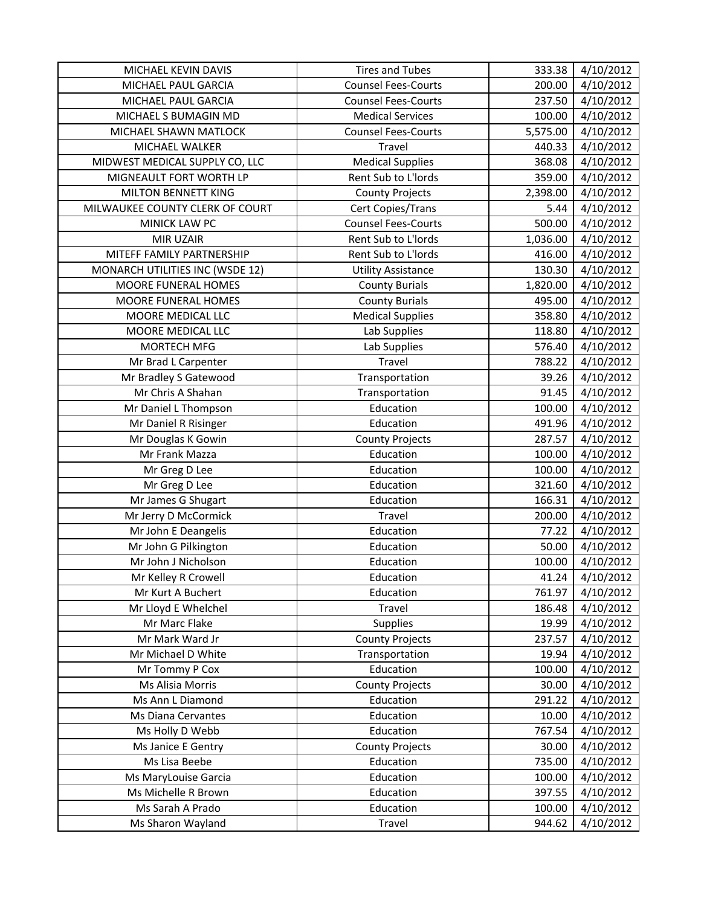| MICHAEL KEVIN DAVIS             | <b>Tires and Tubes</b>     | 333.38   | 4/10/2012 |
|---------------------------------|----------------------------|----------|-----------|
| MICHAEL PAUL GARCIA             | <b>Counsel Fees-Courts</b> | 200.00   | 4/10/2012 |
| MICHAEL PAUL GARCIA             | <b>Counsel Fees-Courts</b> | 237.50   | 4/10/2012 |
| MICHAEL S BUMAGIN MD            | <b>Medical Services</b>    | 100.00   | 4/10/2012 |
| MICHAEL SHAWN MATLOCK           | <b>Counsel Fees-Courts</b> | 5,575.00 | 4/10/2012 |
| MICHAEL WALKER                  | Travel                     | 440.33   | 4/10/2012 |
| MIDWEST MEDICAL SUPPLY CO, LLC  | <b>Medical Supplies</b>    | 368.08   | 4/10/2012 |
| MIGNEAULT FORT WORTH LP         | Rent Sub to L'Iords        | 359.00   | 4/10/2012 |
| MILTON BENNETT KING             | <b>County Projects</b>     | 2,398.00 | 4/10/2012 |
| MILWAUKEE COUNTY CLERK OF COURT | Cert Copies/Trans          | 5.44     | 4/10/2012 |
| MINICK LAW PC                   | <b>Counsel Fees-Courts</b> | 500.00   | 4/10/2012 |
| MIR UZAIR                       | Rent Sub to L'Iords        | 1,036.00 | 4/10/2012 |
| MITEFF FAMILY PARTNERSHIP       | Rent Sub to L'Iords        | 416.00   | 4/10/2012 |
| MONARCH UTILITIES INC (WSDE 12) | <b>Utility Assistance</b>  | 130.30   | 4/10/2012 |
| MOORE FUNERAL HOMES             | <b>County Burials</b>      | 1,820.00 | 4/10/2012 |
| MOORE FUNERAL HOMES             | <b>County Burials</b>      | 495.00   | 4/10/2012 |
| MOORE MEDICAL LLC               | <b>Medical Supplies</b>    | 358.80   | 4/10/2012 |
| MOORE MEDICAL LLC               | Lab Supplies               | 118.80   | 4/10/2012 |
| <b>MORTECH MFG</b>              | Lab Supplies               | 576.40   | 4/10/2012 |
| Mr Brad L Carpenter             | Travel                     | 788.22   | 4/10/2012 |
| Mr Bradley S Gatewood           | Transportation             | 39.26    | 4/10/2012 |
| Mr Chris A Shahan               | Transportation             | 91.45    | 4/10/2012 |
| Mr Daniel L Thompson            | Education                  | 100.00   | 4/10/2012 |
| Mr Daniel R Risinger            | Education                  | 491.96   | 4/10/2012 |
| Mr Douglas K Gowin              | <b>County Projects</b>     | 287.57   | 4/10/2012 |
| Mr Frank Mazza                  | Education                  | 100.00   | 4/10/2012 |
| Mr Greg D Lee                   | Education                  | 100.00   | 4/10/2012 |
| Mr Greg D Lee                   | Education                  | 321.60   | 4/10/2012 |
| Mr James G Shugart              | Education                  | 166.31   | 4/10/2012 |
| Mr Jerry D McCormick            | Travel                     | 200.00   | 4/10/2012 |
| Mr John E Deangelis             | Education                  | 77.22    | 4/10/2012 |
| Mr John G Pilkington            | Education                  | 50.00    | 4/10/2012 |
| Mr John J Nicholson             | Education                  | 100.00   | 4/10/2012 |
| Mr Kelley R Crowell             | Education                  | 41.24    | 4/10/2012 |
| Mr Kurt A Buchert               | Education                  | 761.97   | 4/10/2012 |
| Mr Lloyd E Whelchel             | Travel                     | 186.48   | 4/10/2012 |
| Mr Marc Flake                   | <b>Supplies</b>            | 19.99    | 4/10/2012 |
| Mr Mark Ward Jr                 | <b>County Projects</b>     | 237.57   | 4/10/2012 |
| Mr Michael D White              | Transportation             | 19.94    | 4/10/2012 |
| Mr Tommy P Cox                  | Education                  | 100.00   | 4/10/2012 |
| Ms Alisia Morris                | <b>County Projects</b>     | 30.00    | 4/10/2012 |
| Ms Ann L Diamond                | Education                  | 291.22   | 4/10/2012 |
| Ms Diana Cervantes              | Education                  | 10.00    | 4/10/2012 |
| Ms Holly D Webb                 | Education                  | 767.54   | 4/10/2012 |
| Ms Janice E Gentry              | <b>County Projects</b>     | 30.00    | 4/10/2012 |
| Ms Lisa Beebe                   | Education                  | 735.00   | 4/10/2012 |
| Ms MaryLouise Garcia            | Education                  | 100.00   | 4/10/2012 |
| Ms Michelle R Brown             | Education                  | 397.55   | 4/10/2012 |
| Ms Sarah A Prado                | Education                  | 100.00   | 4/10/2012 |
| Ms Sharon Wayland               | Travel                     | 944.62   | 4/10/2012 |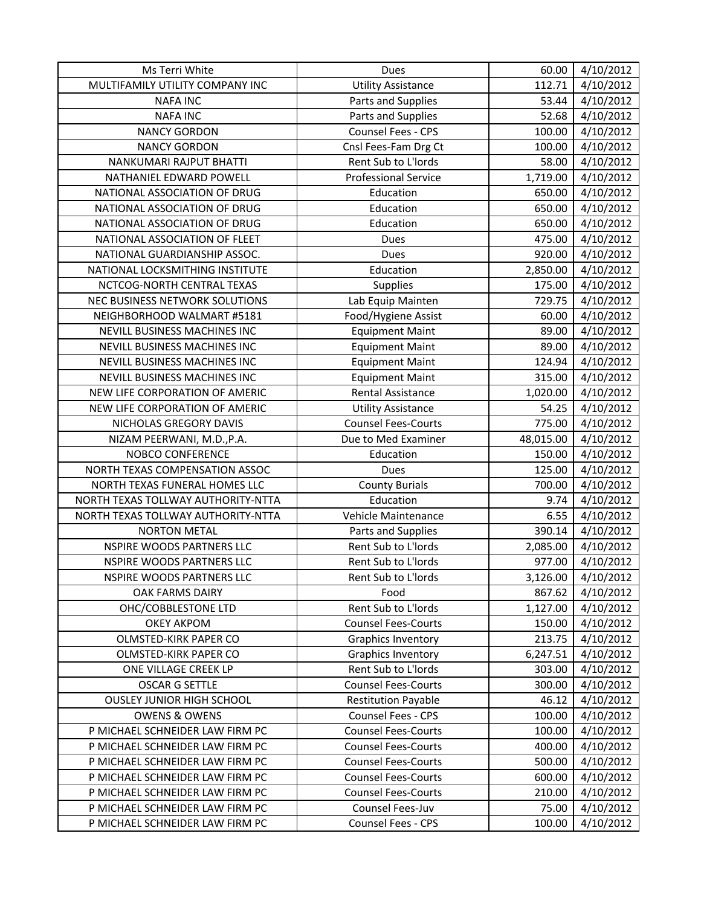| Ms Terri White                     | Dues                        | 60.00     | 4/10/2012 |
|------------------------------------|-----------------------------|-----------|-----------|
| MULTIFAMILY UTILITY COMPANY INC    | <b>Utility Assistance</b>   | 112.71    | 4/10/2012 |
| <b>NAFA INC</b>                    | Parts and Supplies          | 53.44     | 4/10/2012 |
| <b>NAFA INC</b>                    | Parts and Supplies          | 52.68     | 4/10/2012 |
| <b>NANCY GORDON</b>                | Counsel Fees - CPS          | 100.00    | 4/10/2012 |
| <b>NANCY GORDON</b>                | Cnsl Fees-Fam Drg Ct        | 100.00    | 4/10/2012 |
| NANKUMARI RAJPUT BHATTI            | Rent Sub to L'Iords         | 58.00     | 4/10/2012 |
| NATHANIEL EDWARD POWELL            | <b>Professional Service</b> | 1,719.00  | 4/10/2012 |
| NATIONAL ASSOCIATION OF DRUG       | Education                   | 650.00    | 4/10/2012 |
| NATIONAL ASSOCIATION OF DRUG       | Education                   | 650.00    | 4/10/2012 |
| NATIONAL ASSOCIATION OF DRUG       | Education                   | 650.00    | 4/10/2012 |
| NATIONAL ASSOCIATION OF FLEET      | Dues                        | 475.00    | 4/10/2012 |
| NATIONAL GUARDIANSHIP ASSOC.       | Dues                        | 920.00    | 4/10/2012 |
| NATIONAL LOCKSMITHING INSTITUTE    | Education                   | 2,850.00  | 4/10/2012 |
| NCTCOG-NORTH CENTRAL TEXAS         | Supplies                    | 175.00    | 4/10/2012 |
| NEC BUSINESS NETWORK SOLUTIONS     | Lab Equip Mainten           | 729.75    | 4/10/2012 |
| NEIGHBORHOOD WALMART #5181         | Food/Hygiene Assist         | 60.00     | 4/10/2012 |
| NEVILL BUSINESS MACHINES INC       | <b>Equipment Maint</b>      | 89.00     | 4/10/2012 |
| NEVILL BUSINESS MACHINES INC       | <b>Equipment Maint</b>      | 89.00     | 4/10/2012 |
| NEVILL BUSINESS MACHINES INC       | <b>Equipment Maint</b>      | 124.94    | 4/10/2012 |
| NEVILL BUSINESS MACHINES INC       | <b>Equipment Maint</b>      | 315.00    | 4/10/2012 |
| NEW LIFE CORPORATION OF AMERIC     | <b>Rental Assistance</b>    | 1,020.00  | 4/10/2012 |
| NEW LIFE CORPORATION OF AMERIC     | <b>Utility Assistance</b>   | 54.25     | 4/10/2012 |
| NICHOLAS GREGORY DAVIS             | <b>Counsel Fees-Courts</b>  | 775.00    | 4/10/2012 |
| NIZAM PEERWANI, M.D., P.A.         | Due to Med Examiner         | 48,015.00 | 4/10/2012 |
| <b>NOBCO CONFERENCE</b>            | Education                   | 150.00    | 4/10/2012 |
| NORTH TEXAS COMPENSATION ASSOC     | Dues                        | 125.00    | 4/10/2012 |
| NORTH TEXAS FUNERAL HOMES LLC      | <b>County Burials</b>       | 700.00    | 4/10/2012 |
| NORTH TEXAS TOLLWAY AUTHORITY-NTTA | Education                   | 9.74      | 4/10/2012 |
| NORTH TEXAS TOLLWAY AUTHORITY-NTTA | Vehicle Maintenance         | 6.55      | 4/10/2012 |
| <b>NORTON METAL</b>                | Parts and Supplies          | 390.14    | 4/10/2012 |
| <b>NSPIRE WOODS PARTNERS LLC</b>   | Rent Sub to L'Iords         | 2,085.00  | 4/10/2012 |
| NSPIRE WOODS PARTNERS LLC          | Rent Sub to L'Iords         | 977.00    | 4/10/2012 |
| NSPIRE WOODS PARTNERS LLC          | Rent Sub to L'Iords         | 3,126.00  | 4/10/2012 |
| <b>OAK FARMS DAIRY</b>             | Food                        | 867.62    | 4/10/2012 |
| OHC/COBBLESTONE LTD                | Rent Sub to L'Iords         | 1,127.00  | 4/10/2012 |
| <b>OKEY AKPOM</b>                  | <b>Counsel Fees-Courts</b>  | 150.00    | 4/10/2012 |
| OLMSTED-KIRK PAPER CO              | <b>Graphics Inventory</b>   | 213.75    | 4/10/2012 |
| OLMSTED-KIRK PAPER CO              | <b>Graphics Inventory</b>   | 6,247.51  | 4/10/2012 |
| ONE VILLAGE CREEK LP               | Rent Sub to L'Iords         | 303.00    | 4/10/2012 |
| <b>OSCAR G SETTLE</b>              | <b>Counsel Fees-Courts</b>  | 300.00    | 4/10/2012 |
| <b>OUSLEY JUNIOR HIGH SCHOOL</b>   | <b>Restitution Payable</b>  | 46.12     | 4/10/2012 |
| <b>OWENS &amp; OWENS</b>           | Counsel Fees - CPS          | 100.00    | 4/10/2012 |
| P MICHAEL SCHNEIDER LAW FIRM PC    | <b>Counsel Fees-Courts</b>  | 100.00    | 4/10/2012 |
| P MICHAEL SCHNEIDER LAW FIRM PC    | <b>Counsel Fees-Courts</b>  | 400.00    | 4/10/2012 |
| P MICHAEL SCHNEIDER LAW FIRM PC    | <b>Counsel Fees-Courts</b>  | 500.00    | 4/10/2012 |
| P MICHAEL SCHNEIDER LAW FIRM PC    | <b>Counsel Fees-Courts</b>  | 600.00    | 4/10/2012 |
| P MICHAEL SCHNEIDER LAW FIRM PC    | <b>Counsel Fees-Courts</b>  | 210.00    | 4/10/2012 |
| P MICHAEL SCHNEIDER LAW FIRM PC    | Counsel Fees-Juv            | 75.00     | 4/10/2012 |
| P MICHAEL SCHNEIDER LAW FIRM PC    | Counsel Fees - CPS          | 100.00    | 4/10/2012 |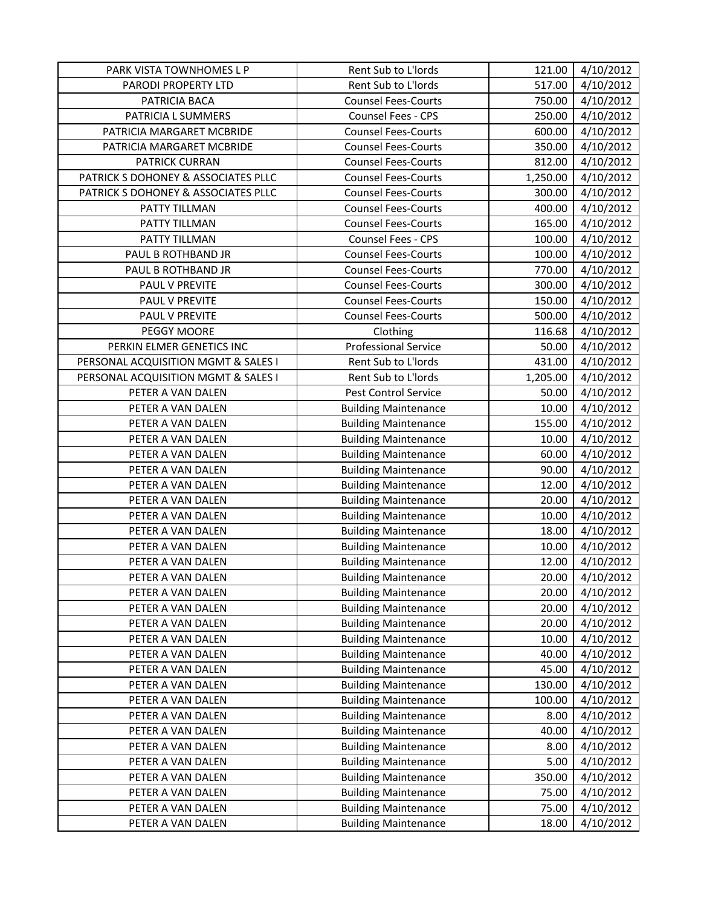| PARK VISTA TOWNHOMES L P            | Rent Sub to L'Iords         | 121.00   | 4/10/2012 |
|-------------------------------------|-----------------------------|----------|-----------|
| PARODI PROPERTY LTD                 | Rent Sub to L'Iords         | 517.00   | 4/10/2012 |
| PATRICIA BACA                       | <b>Counsel Fees-Courts</b>  | 750.00   | 4/10/2012 |
| PATRICIA L SUMMERS                  | Counsel Fees - CPS          | 250.00   | 4/10/2012 |
| PATRICIA MARGARET MCBRIDE           | <b>Counsel Fees-Courts</b>  | 600.00   | 4/10/2012 |
| PATRICIA MARGARET MCBRIDE           | <b>Counsel Fees-Courts</b>  | 350.00   | 4/10/2012 |
| PATRICK CURRAN                      | <b>Counsel Fees-Courts</b>  | 812.00   | 4/10/2012 |
| PATRICK S DOHONEY & ASSOCIATES PLLC | <b>Counsel Fees-Courts</b>  | 1,250.00 | 4/10/2012 |
| PATRICK S DOHONEY & ASSOCIATES PLLC | <b>Counsel Fees-Courts</b>  | 300.00   | 4/10/2012 |
| PATTY TILLMAN                       | <b>Counsel Fees-Courts</b>  | 400.00   | 4/10/2012 |
| PATTY TILLMAN                       | <b>Counsel Fees-Courts</b>  | 165.00   | 4/10/2012 |
| PATTY TILLMAN                       | Counsel Fees - CPS          | 100.00   | 4/10/2012 |
| PAUL B ROTHBAND JR                  | <b>Counsel Fees-Courts</b>  | 100.00   | 4/10/2012 |
| PAUL B ROTHBAND JR                  | <b>Counsel Fees-Courts</b>  | 770.00   | 4/10/2012 |
| PAUL V PREVITE                      | <b>Counsel Fees-Courts</b>  | 300.00   | 4/10/2012 |
| PAUL V PREVITE                      | <b>Counsel Fees-Courts</b>  | 150.00   | 4/10/2012 |
| PAUL V PREVITE                      | <b>Counsel Fees-Courts</b>  | 500.00   | 4/10/2012 |
| PEGGY MOORE                         | Clothing                    | 116.68   | 4/10/2012 |
| PERKIN ELMER GENETICS INC           | <b>Professional Service</b> | 50.00    | 4/10/2012 |
| PERSONAL ACQUISITION MGMT & SALES I | Rent Sub to L'Iords         | 431.00   | 4/10/2012 |
| PERSONAL ACQUISITION MGMT & SALES I | Rent Sub to L'Iords         | 1,205.00 | 4/10/2012 |
| PETER A VAN DALEN                   | <b>Pest Control Service</b> | 50.00    | 4/10/2012 |
| PETER A VAN DALEN                   | <b>Building Maintenance</b> | 10.00    | 4/10/2012 |
| PETER A VAN DALEN                   | <b>Building Maintenance</b> | 155.00   | 4/10/2012 |
| PETER A VAN DALEN                   | <b>Building Maintenance</b> | 10.00    | 4/10/2012 |
| PETER A VAN DALEN                   | <b>Building Maintenance</b> | 60.00    | 4/10/2012 |
| PETER A VAN DALEN                   | <b>Building Maintenance</b> | 90.00    | 4/10/2012 |
| PETER A VAN DALEN                   | <b>Building Maintenance</b> | 12.00    | 4/10/2012 |
| PETER A VAN DALEN                   | <b>Building Maintenance</b> | 20.00    | 4/10/2012 |
| PETER A VAN DALEN                   | <b>Building Maintenance</b> | 10.00    | 4/10/2012 |
| PETER A VAN DALEN                   | <b>Building Maintenance</b> | 18.00    | 4/10/2012 |
| PETER A VAN DALEN                   | <b>Building Maintenance</b> | 10.00    | 4/10/2012 |
| PETER A VAN DALEN                   | <b>Building Maintenance</b> | 12.00    | 4/10/2012 |
| PETER A VAN DALEN                   | <b>Building Maintenance</b> | 20.00    | 4/10/2012 |
| PETER A VAN DALEN                   | <b>Building Maintenance</b> | 20.00    | 4/10/2012 |
| PETER A VAN DALEN                   | <b>Building Maintenance</b> | 20.00    | 4/10/2012 |
| PETER A VAN DALEN                   | <b>Building Maintenance</b> | 20.00    | 4/10/2012 |
| PETER A VAN DALEN                   | <b>Building Maintenance</b> | 10.00    | 4/10/2012 |
| PETER A VAN DALEN                   | <b>Building Maintenance</b> | 40.00    | 4/10/2012 |
| PETER A VAN DALEN                   | <b>Building Maintenance</b> | 45.00    | 4/10/2012 |
| PETER A VAN DALEN                   | <b>Building Maintenance</b> | 130.00   | 4/10/2012 |
| PETER A VAN DALEN                   | <b>Building Maintenance</b> | 100.00   | 4/10/2012 |
| PETER A VAN DALEN                   | <b>Building Maintenance</b> | 8.00     | 4/10/2012 |
| PETER A VAN DALEN                   | <b>Building Maintenance</b> | 40.00    | 4/10/2012 |
| PETER A VAN DALEN                   | <b>Building Maintenance</b> | 8.00     | 4/10/2012 |
| PETER A VAN DALEN                   | <b>Building Maintenance</b> | 5.00     | 4/10/2012 |
| PETER A VAN DALEN                   | <b>Building Maintenance</b> | 350.00   | 4/10/2012 |
| PETER A VAN DALEN                   | <b>Building Maintenance</b> | 75.00    | 4/10/2012 |
| PETER A VAN DALEN                   | <b>Building Maintenance</b> | 75.00    | 4/10/2012 |
| PETER A VAN DALEN                   | <b>Building Maintenance</b> | 18.00    | 4/10/2012 |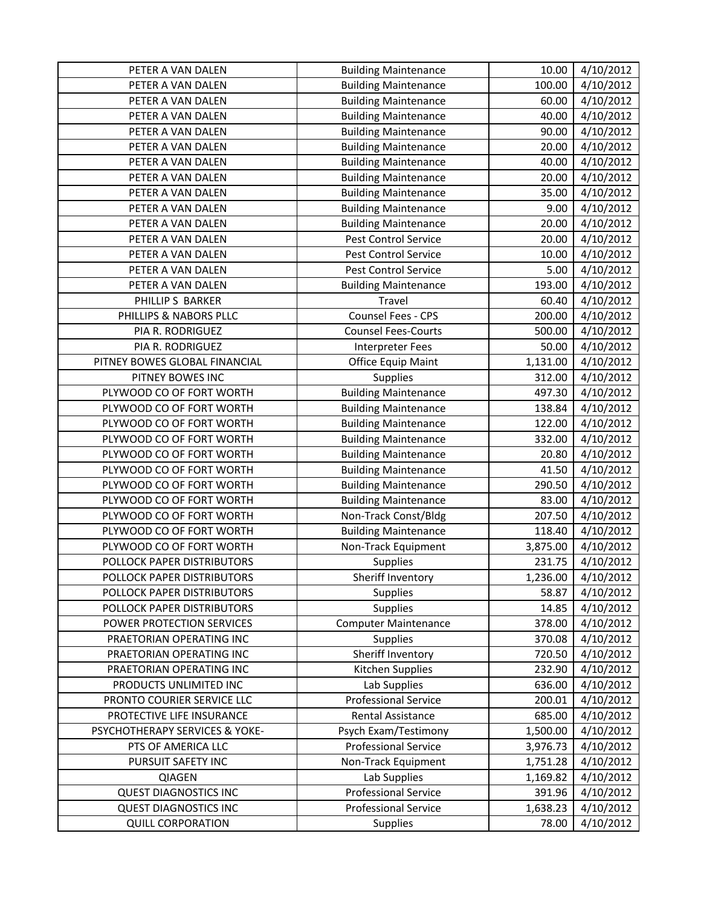| PETER A VAN DALEN              | <b>Building Maintenance</b> | 10.00    | 4/10/2012 |
|--------------------------------|-----------------------------|----------|-----------|
| PETER A VAN DALEN              | <b>Building Maintenance</b> | 100.00   | 4/10/2012 |
| PETER A VAN DALEN              | <b>Building Maintenance</b> | 60.00    | 4/10/2012 |
| PETER A VAN DALEN              | <b>Building Maintenance</b> | 40.00    | 4/10/2012 |
| PETER A VAN DALEN              | <b>Building Maintenance</b> | 90.00    | 4/10/2012 |
| PETER A VAN DALEN              | <b>Building Maintenance</b> | 20.00    | 4/10/2012 |
| PETER A VAN DALEN              | <b>Building Maintenance</b> | 40.00    | 4/10/2012 |
| PETER A VAN DALEN              | <b>Building Maintenance</b> | 20.00    | 4/10/2012 |
| PETER A VAN DALEN              | <b>Building Maintenance</b> | 35.00    | 4/10/2012 |
| PETER A VAN DALEN              | <b>Building Maintenance</b> | 9.00     | 4/10/2012 |
| PETER A VAN DALEN              | <b>Building Maintenance</b> | 20.00    | 4/10/2012 |
| PETER A VAN DALEN              | Pest Control Service        | 20.00    | 4/10/2012 |
| PETER A VAN DALEN              | Pest Control Service        | 10.00    | 4/10/2012 |
| PETER A VAN DALEN              | Pest Control Service        | 5.00     | 4/10/2012 |
| PETER A VAN DALEN              | <b>Building Maintenance</b> | 193.00   | 4/10/2012 |
| PHILLIP S BARKER               | Travel                      | 60.40    | 4/10/2012 |
| PHILLIPS & NABORS PLLC         | Counsel Fees - CPS          | 200.00   | 4/10/2012 |
| PIA R. RODRIGUEZ               | <b>Counsel Fees-Courts</b>  | 500.00   | 4/10/2012 |
| PIA R. RODRIGUEZ               | <b>Interpreter Fees</b>     | 50.00    | 4/10/2012 |
| PITNEY BOWES GLOBAL FINANCIAL  | Office Equip Maint          | 1,131.00 | 4/10/2012 |
| PITNEY BOWES INC               | Supplies                    | 312.00   | 4/10/2012 |
| PLYWOOD CO OF FORT WORTH       | <b>Building Maintenance</b> | 497.30   | 4/10/2012 |
| PLYWOOD CO OF FORT WORTH       | <b>Building Maintenance</b> | 138.84   | 4/10/2012 |
| PLYWOOD CO OF FORT WORTH       | <b>Building Maintenance</b> | 122.00   | 4/10/2012 |
| PLYWOOD CO OF FORT WORTH       | <b>Building Maintenance</b> | 332.00   | 4/10/2012 |
| PLYWOOD CO OF FORT WORTH       | <b>Building Maintenance</b> | 20.80    | 4/10/2012 |
| PLYWOOD CO OF FORT WORTH       | <b>Building Maintenance</b> | 41.50    | 4/10/2012 |
| PLYWOOD CO OF FORT WORTH       | <b>Building Maintenance</b> | 290.50   | 4/10/2012 |
| PLYWOOD CO OF FORT WORTH       | <b>Building Maintenance</b> | 83.00    | 4/10/2012 |
| PLYWOOD CO OF FORT WORTH       | Non-Track Const/Bldg        | 207.50   | 4/10/2012 |
| PLYWOOD CO OF FORT WORTH       | <b>Building Maintenance</b> | 118.40   | 4/10/2012 |
| PLYWOOD CO OF FORT WORTH       | Non-Track Equipment         | 3,875.00 | 4/10/2012 |
| POLLOCK PAPER DISTRIBUTORS     | Supplies                    | 231.75   | 4/10/2012 |
| POLLOCK PAPER DISTRIBUTORS     | Sheriff Inventory           | 1,236.00 | 4/10/2012 |
| POLLOCK PAPER DISTRIBUTORS     | <b>Supplies</b>             | 58.87    | 4/10/2012 |
| POLLOCK PAPER DISTRIBUTORS     | <b>Supplies</b>             | 14.85    | 4/10/2012 |
| POWER PROTECTION SERVICES      | <b>Computer Maintenance</b> | 378.00   | 4/10/2012 |
| PRAETORIAN OPERATING INC       | <b>Supplies</b>             | 370.08   | 4/10/2012 |
| PRAETORIAN OPERATING INC       | Sheriff Inventory           | 720.50   | 4/10/2012 |
| PRAETORIAN OPERATING INC       | <b>Kitchen Supplies</b>     | 232.90   | 4/10/2012 |
| PRODUCTS UNLIMITED INC         | Lab Supplies                | 636.00   | 4/10/2012 |
| PRONTO COURIER SERVICE LLC     | <b>Professional Service</b> | 200.01   | 4/10/2012 |
| PROTECTIVE LIFE INSURANCE      | Rental Assistance           | 685.00   | 4/10/2012 |
| PSYCHOTHERAPY SERVICES & YOKE- | Psych Exam/Testimony        | 1,500.00 | 4/10/2012 |
| PTS OF AMERICA LLC             | <b>Professional Service</b> | 3,976.73 | 4/10/2012 |
| PURSUIT SAFETY INC             | Non-Track Equipment         | 1,751.28 | 4/10/2012 |
| QIAGEN                         | Lab Supplies                | 1,169.82 | 4/10/2012 |
| <b>QUEST DIAGNOSTICS INC</b>   | <b>Professional Service</b> | 391.96   | 4/10/2012 |
| <b>QUEST DIAGNOSTICS INC</b>   | <b>Professional Service</b> | 1,638.23 | 4/10/2012 |
| <b>QUILL CORPORATION</b>       | Supplies                    | 78.00    | 4/10/2012 |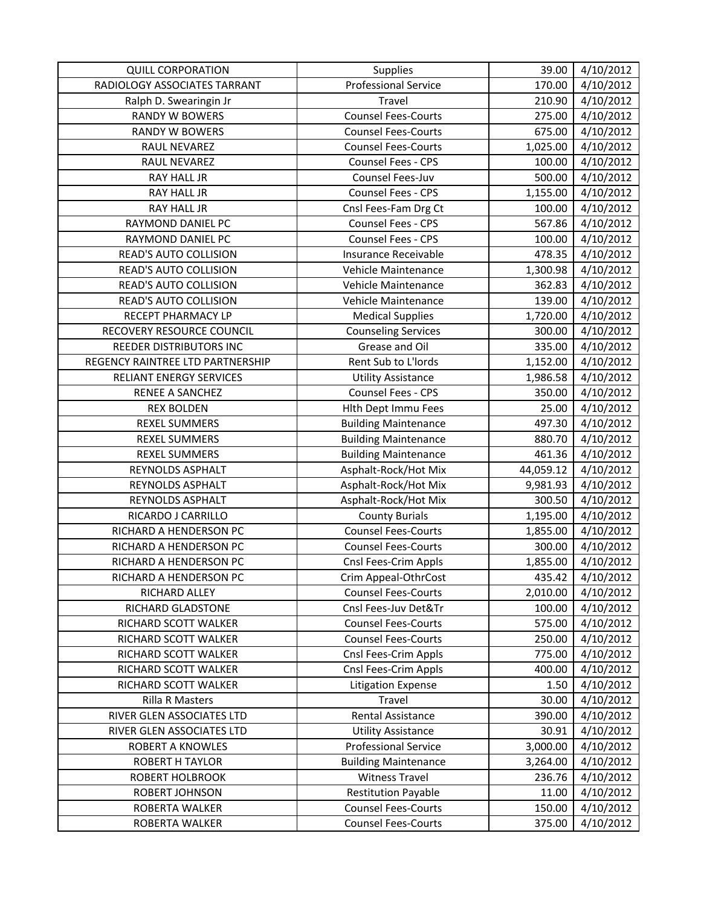| <b>QUILL CORPORATION</b>         | Supplies                    | 39.00     | 4/10/2012 |
|----------------------------------|-----------------------------|-----------|-----------|
| RADIOLOGY ASSOCIATES TARRANT     | <b>Professional Service</b> | 170.00    | 4/10/2012 |
| Ralph D. Swearingin Jr           | Travel                      | 210.90    | 4/10/2012 |
| <b>RANDY W BOWERS</b>            | <b>Counsel Fees-Courts</b>  | 275.00    | 4/10/2012 |
| <b>RANDY W BOWERS</b>            | <b>Counsel Fees-Courts</b>  | 675.00    | 4/10/2012 |
| RAUL NEVAREZ                     | <b>Counsel Fees-Courts</b>  | 1,025.00  | 4/10/2012 |
| RAUL NEVAREZ                     | Counsel Fees - CPS          | 100.00    | 4/10/2012 |
| RAY HALL JR                      | Counsel Fees-Juv            | 500.00    | 4/10/2012 |
| RAY HALL JR                      | Counsel Fees - CPS          | 1,155.00  | 4/10/2012 |
| RAY HALL JR                      | Cnsl Fees-Fam Drg Ct        | 100.00    | 4/10/2012 |
| RAYMOND DANIEL PC                | Counsel Fees - CPS          | 567.86    | 4/10/2012 |
| RAYMOND DANIEL PC                | Counsel Fees - CPS          | 100.00    | 4/10/2012 |
| READ'S AUTO COLLISION            | Insurance Receivable        | 478.35    | 4/10/2012 |
| READ'S AUTO COLLISION            | Vehicle Maintenance         | 1,300.98  | 4/10/2012 |
| READ'S AUTO COLLISION            | Vehicle Maintenance         | 362.83    | 4/10/2012 |
| READ'S AUTO COLLISION            | Vehicle Maintenance         | 139.00    | 4/10/2012 |
| RECEPT PHARMACY LP               | <b>Medical Supplies</b>     | 1,720.00  | 4/10/2012 |
| RECOVERY RESOURCE COUNCIL        | <b>Counseling Services</b>  | 300.00    | 4/10/2012 |
| REEDER DISTRIBUTORS INC          | Grease and Oil              | 335.00    | 4/10/2012 |
| REGENCY RAINTREE LTD PARTNERSHIP | Rent Sub to L'Iords         | 1,152.00  | 4/10/2012 |
| RELIANT ENERGY SERVICES          | <b>Utility Assistance</b>   | 1,986.58  | 4/10/2012 |
| RENEE A SANCHEZ                  | Counsel Fees - CPS          | 350.00    | 4/10/2012 |
| <b>REX BOLDEN</b>                | Hlth Dept Immu Fees         | 25.00     | 4/10/2012 |
| <b>REXEL SUMMERS</b>             | <b>Building Maintenance</b> | 497.30    | 4/10/2012 |
| <b>REXEL SUMMERS</b>             | <b>Building Maintenance</b> | 880.70    | 4/10/2012 |
| <b>REXEL SUMMERS</b>             | <b>Building Maintenance</b> | 461.36    | 4/10/2012 |
| REYNOLDS ASPHALT                 | Asphalt-Rock/Hot Mix        | 44,059.12 | 4/10/2012 |
| REYNOLDS ASPHALT                 | Asphalt-Rock/Hot Mix        | 9,981.93  | 4/10/2012 |
| REYNOLDS ASPHALT                 | Asphalt-Rock/Hot Mix        | 300.50    | 4/10/2012 |
| RICARDO J CARRILLO               | <b>County Burials</b>       | 1,195.00  | 4/10/2012 |
| RICHARD A HENDERSON PC           | <b>Counsel Fees-Courts</b>  | 1,855.00  | 4/10/2012 |
| RICHARD A HENDERSON PC           | <b>Counsel Fees-Courts</b>  | 300.00    | 4/10/2012 |
| RICHARD A HENDERSON PC           | Cnsl Fees-Crim Appls        | 1,855.00  | 4/10/2012 |
| RICHARD A HENDERSON PC           | Crim Appeal-OthrCost        | 435.42    | 4/10/2012 |
| RICHARD ALLEY                    | <b>Counsel Fees-Courts</b>  | 2,010.00  | 4/10/2012 |
| RICHARD GLADSTONE                | Cnsl Fees-Juv Det&Tr        | 100.00    | 4/10/2012 |
| RICHARD SCOTT WALKER             | <b>Counsel Fees-Courts</b>  | 575.00    | 4/10/2012 |
| RICHARD SCOTT WALKER             | <b>Counsel Fees-Courts</b>  | 250.00    | 4/10/2012 |
| RICHARD SCOTT WALKER             | Cnsl Fees-Crim Appls        | 775.00    | 4/10/2012 |
| RICHARD SCOTT WALKER             | Cnsl Fees-Crim Appls        | 400.00    | 4/10/2012 |
| RICHARD SCOTT WALKER             | <b>Litigation Expense</b>   | 1.50      | 4/10/2012 |
| <b>Rilla R Masters</b>           | Travel                      | 30.00     | 4/10/2012 |
| RIVER GLEN ASSOCIATES LTD        | Rental Assistance           | 390.00    | 4/10/2012 |
| RIVER GLEN ASSOCIATES LTD        | <b>Utility Assistance</b>   | 30.91     | 4/10/2012 |
| <b>ROBERT A KNOWLES</b>          | <b>Professional Service</b> | 3,000.00  | 4/10/2012 |
| <b>ROBERT H TAYLOR</b>           | <b>Building Maintenance</b> | 3,264.00  | 4/10/2012 |
| <b>ROBERT HOLBROOK</b>           | <b>Witness Travel</b>       | 236.76    | 4/10/2012 |
| ROBERT JOHNSON                   | <b>Restitution Payable</b>  | 11.00     | 4/10/2012 |
| ROBERTA WALKER                   | <b>Counsel Fees-Courts</b>  | 150.00    | 4/10/2012 |
| ROBERTA WALKER                   | <b>Counsel Fees-Courts</b>  | 375.00    | 4/10/2012 |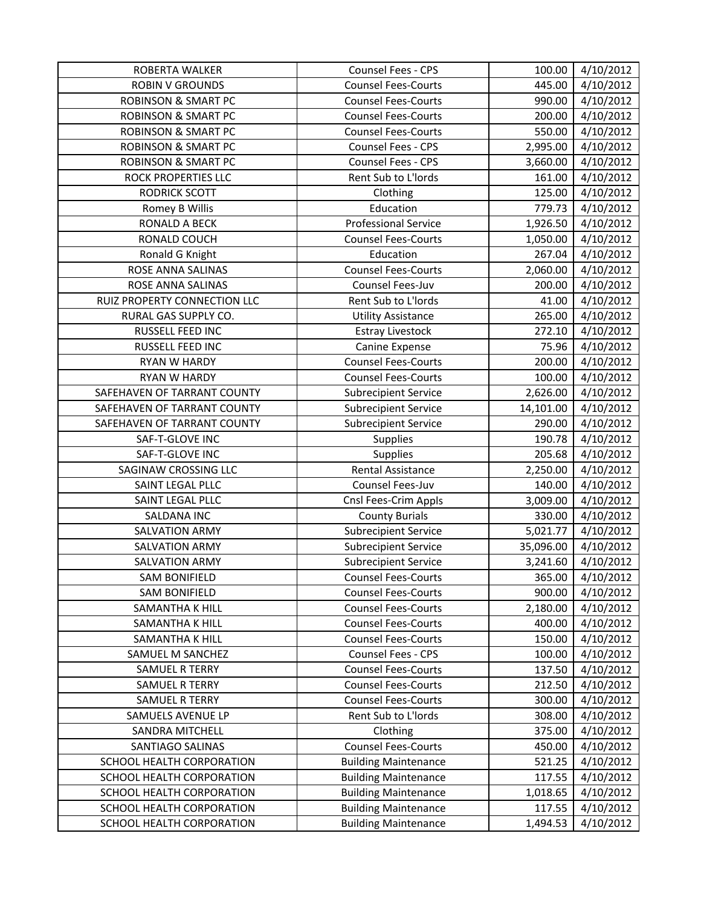| ROBERTA WALKER                 | Counsel Fees - CPS          | 100.00    | 4/10/2012             |
|--------------------------------|-----------------------------|-----------|-----------------------|
| <b>ROBIN V GROUNDS</b>         | <b>Counsel Fees-Courts</b>  | 445.00    | 4/10/2012             |
| <b>ROBINSON &amp; SMART PC</b> | <b>Counsel Fees-Courts</b>  | 990.00    | 4/10/2012             |
| <b>ROBINSON &amp; SMART PC</b> | <b>Counsel Fees-Courts</b>  | 200.00    | 4/10/2012             |
| <b>ROBINSON &amp; SMART PC</b> | <b>Counsel Fees-Courts</b>  | 550.00    | 4/10/2012             |
| <b>ROBINSON &amp; SMART PC</b> | Counsel Fees - CPS          | 2,995.00  | 4/10/2012             |
| <b>ROBINSON &amp; SMART PC</b> | Counsel Fees - CPS          | 3,660.00  | 4/10/2012             |
| ROCK PROPERTIES LLC            | Rent Sub to L'Iords         | 161.00    | 4/10/2012             |
| <b>RODRICK SCOTT</b>           | Clothing                    | 125.00    | 4/10/2012             |
| Romey B Willis                 | Education                   | 779.73    | 4/10/2012             |
| <b>RONALD A BECK</b>           | <b>Professional Service</b> | 1,926.50  | 4/10/2012             |
| RONALD COUCH                   | <b>Counsel Fees-Courts</b>  | 1,050.00  | 4/10/2012             |
| Ronald G Knight                | Education                   | 267.04    | 4/10/2012             |
| ROSE ANNA SALINAS              | <b>Counsel Fees-Courts</b>  | 2,060.00  | 4/10/2012             |
| ROSE ANNA SALINAS              | Counsel Fees-Juv            | 200.00    | 4/10/2012             |
| RUIZ PROPERTY CONNECTION LLC   | Rent Sub to L'Iords         | 41.00     | 4/10/2012             |
| RURAL GAS SUPPLY CO.           | <b>Utility Assistance</b>   | 265.00    | 4/10/2012             |
| RUSSELL FEED INC               | <b>Estray Livestock</b>     | 272.10    | 4/10/2012             |
| RUSSELL FEED INC               | Canine Expense              | 75.96     | 4/10/2012             |
| RYAN W HARDY                   | <b>Counsel Fees-Courts</b>  | 200.00    | 4/10/2012             |
| <b>RYAN W HARDY</b>            | <b>Counsel Fees-Courts</b>  | 100.00    | 4/10/2012             |
| SAFEHAVEN OF TARRANT COUNTY    | <b>Subrecipient Service</b> | 2,626.00  | 4/10/2012             |
| SAFEHAVEN OF TARRANT COUNTY    | <b>Subrecipient Service</b> | 14,101.00 | 4/10/2012             |
| SAFEHAVEN OF TARRANT COUNTY    | <b>Subrecipient Service</b> | 290.00    | 4/10/2012             |
| SAF-T-GLOVE INC                | <b>Supplies</b>             | 190.78    | 4/10/2012             |
| SAF-T-GLOVE INC                | <b>Supplies</b>             | 205.68    | 4/10/2012             |
| SAGINAW CROSSING LLC           | <b>Rental Assistance</b>    | 2,250.00  | 4/10/2012             |
| SAINT LEGAL PLLC               | Counsel Fees-Juv            | 140.00    | 4/10/2012             |
| SAINT LEGAL PLLC               | Cnsl Fees-Crim Appls        | 3,009.00  | 4/10/2012             |
| SALDANA INC                    | <b>County Burials</b>       | 330.00    | 4/10/2012             |
| SALVATION ARMY                 | <b>Subrecipient Service</b> | 5,021.77  | 4/10/2012             |
| <b>SALVATION ARMY</b>          | <b>Subrecipient Service</b> | 35,096.00 | 4/10/2012             |
| <b>SALVATION ARMY</b>          | <b>Subrecipient Service</b> | 3,241.60  | 4/10/2012             |
| <b>SAM BONIFIELD</b>           | <b>Counsel Fees-Courts</b>  | 365.00    | $\frac{1}{4}$ 10/2012 |
| <b>SAM BONIFIELD</b>           | <b>Counsel Fees-Courts</b>  | 900.00    | 4/10/2012             |
| SAMANTHA K HILL                | <b>Counsel Fees-Courts</b>  | 2,180.00  | 4/10/2012             |
| <b>SAMANTHA K HILL</b>         | <b>Counsel Fees-Courts</b>  | 400.00    | 4/10/2012             |
| SAMANTHA K HILL                | <b>Counsel Fees-Courts</b>  | 150.00    | 4/10/2012             |
| SAMUEL M SANCHEZ               | Counsel Fees - CPS          | 100.00    | 4/10/2012             |
| <b>SAMUEL R TERRY</b>          | <b>Counsel Fees-Courts</b>  | 137.50    | 4/10/2012             |
| <b>SAMUEL R TERRY</b>          | <b>Counsel Fees-Courts</b>  | 212.50    | 4/10/2012             |
| SAMUEL R TERRY                 | <b>Counsel Fees-Courts</b>  | 300.00    | 4/10/2012             |
| SAMUELS AVENUE LP              | Rent Sub to L'Iords         | 308.00    | 4/10/2012             |
| SANDRA MITCHELL                | Clothing                    | 375.00    | 4/10/2012             |
| <b>SANTIAGO SALINAS</b>        | <b>Counsel Fees-Courts</b>  | 450.00    | 4/10/2012             |
| SCHOOL HEALTH CORPORATION      | <b>Building Maintenance</b> | 521.25    | 4/10/2012             |
| SCHOOL HEALTH CORPORATION      | <b>Building Maintenance</b> | 117.55    | 4/10/2012             |
| SCHOOL HEALTH CORPORATION      | <b>Building Maintenance</b> | 1,018.65  | 4/10/2012             |
| SCHOOL HEALTH CORPORATION      | <b>Building Maintenance</b> | 117.55    | 4/10/2012             |
| SCHOOL HEALTH CORPORATION      | <b>Building Maintenance</b> | 1,494.53  | 4/10/2012             |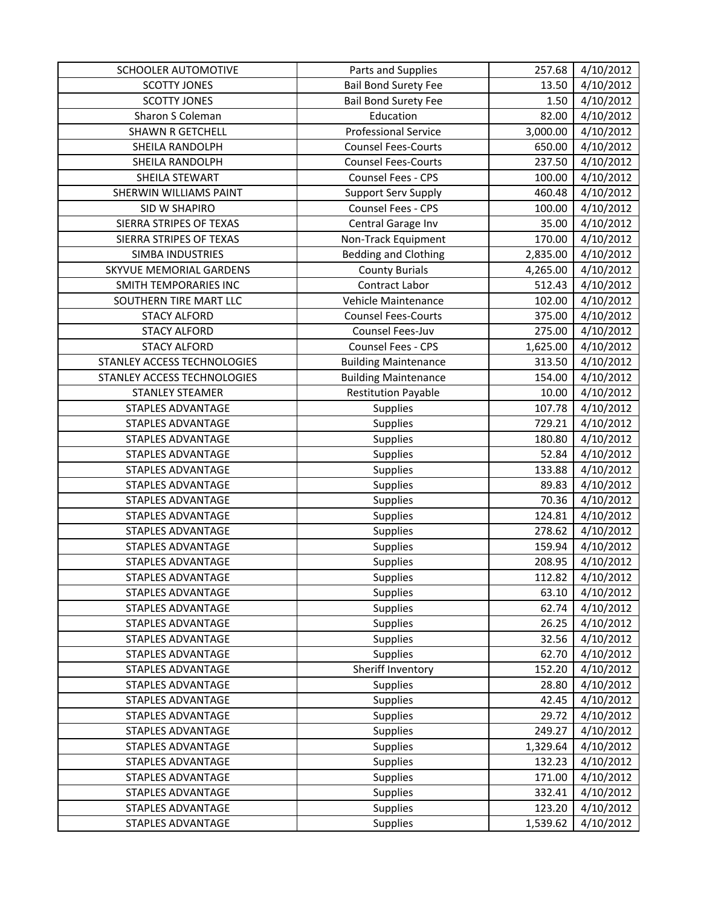| SCHOOLER AUTOMOTIVE         | Parts and Supplies          | 257.68   | 4/10/2012 |
|-----------------------------|-----------------------------|----------|-----------|
| <b>SCOTTY JONES</b>         | <b>Bail Bond Surety Fee</b> | 13.50    | 4/10/2012 |
| <b>SCOTTY JONES</b>         | <b>Bail Bond Surety Fee</b> | 1.50     | 4/10/2012 |
| Sharon S Coleman            | Education                   | 82.00    | 4/10/2012 |
| <b>SHAWN R GETCHELL</b>     | <b>Professional Service</b> | 3,000.00 | 4/10/2012 |
| SHEILA RANDOLPH             | <b>Counsel Fees-Courts</b>  | 650.00   | 4/10/2012 |
| SHEILA RANDOLPH             | <b>Counsel Fees-Courts</b>  | 237.50   | 4/10/2012 |
| SHEILA STEWART              | Counsel Fees - CPS          | 100.00   | 4/10/2012 |
| SHERWIN WILLIAMS PAINT      | <b>Support Serv Supply</b>  | 460.48   | 4/10/2012 |
| SID W SHAPIRO               | Counsel Fees - CPS          | 100.00   | 4/10/2012 |
| SIERRA STRIPES OF TEXAS     | Central Garage Inv          | 35.00    | 4/10/2012 |
| SIERRA STRIPES OF TEXAS     | Non-Track Equipment         | 170.00   | 4/10/2012 |
| SIMBA INDUSTRIES            | <b>Bedding and Clothing</b> | 2,835.00 | 4/10/2012 |
| SKYVUE MEMORIAL GARDENS     | <b>County Burials</b>       | 4,265.00 | 4/10/2012 |
| SMITH TEMPORARIES INC       | Contract Labor              | 512.43   | 4/10/2012 |
| SOUTHERN TIRE MART LLC      | Vehicle Maintenance         | 102.00   | 4/10/2012 |
| <b>STACY ALFORD</b>         | <b>Counsel Fees-Courts</b>  | 375.00   | 4/10/2012 |
| <b>STACY ALFORD</b>         | Counsel Fees-Juv            | 275.00   | 4/10/2012 |
| <b>STACY ALFORD</b>         | Counsel Fees - CPS          | 1,625.00 | 4/10/2012 |
| STANLEY ACCESS TECHNOLOGIES | <b>Building Maintenance</b> | 313.50   | 4/10/2012 |
| STANLEY ACCESS TECHNOLOGIES | <b>Building Maintenance</b> | 154.00   | 4/10/2012 |
| <b>STANLEY STEAMER</b>      | <b>Restitution Payable</b>  | 10.00    | 4/10/2012 |
| STAPLES ADVANTAGE           | Supplies                    | 107.78   | 4/10/2012 |
| STAPLES ADVANTAGE           | Supplies                    | 729.21   | 4/10/2012 |
| STAPLES ADVANTAGE           | Supplies                    | 180.80   | 4/10/2012 |
| STAPLES ADVANTAGE           | Supplies                    | 52.84    | 4/10/2012 |
| STAPLES ADVANTAGE           | Supplies                    | 133.88   | 4/10/2012 |
| STAPLES ADVANTAGE           | Supplies                    | 89.83    | 4/10/2012 |
| STAPLES ADVANTAGE           | Supplies                    | 70.36    | 4/10/2012 |
| STAPLES ADVANTAGE           | Supplies                    | 124.81   | 4/10/2012 |
| STAPLES ADVANTAGE           | Supplies                    | 278.62   | 4/10/2012 |
| STAPLES ADVANTAGE           | Supplies                    | 159.94   | 4/10/2012 |
| STAPLES ADVANTAGE           | Supplies                    | 208.95   | 4/10/2012 |
| <b>STAPLES ADVANTAGE</b>    | Supplies                    | 112.82   | 4/10/2012 |
| STAPLES ADVANTAGE           | <b>Supplies</b>             | 63.10    | 4/10/2012 |
| <b>STAPLES ADVANTAGE</b>    | Supplies                    | 62.74    | 4/10/2012 |
| STAPLES ADVANTAGE           | <b>Supplies</b>             | 26.25    | 4/10/2012 |
| STAPLES ADVANTAGE           | <b>Supplies</b>             | 32.56    | 4/10/2012 |
| <b>STAPLES ADVANTAGE</b>    | <b>Supplies</b>             | 62.70    | 4/10/2012 |
| <b>STAPLES ADVANTAGE</b>    | Sheriff Inventory           | 152.20   | 4/10/2012 |
| <b>STAPLES ADVANTAGE</b>    | Supplies                    | 28.80    | 4/10/2012 |
| <b>STAPLES ADVANTAGE</b>    | <b>Supplies</b>             | 42.45    | 4/10/2012 |
| STAPLES ADVANTAGE           | Supplies                    | 29.72    | 4/10/2012 |
| <b>STAPLES ADVANTAGE</b>    | Supplies                    | 249.27   | 4/10/2012 |
| <b>STAPLES ADVANTAGE</b>    | <b>Supplies</b>             | 1,329.64 | 4/10/2012 |
| <b>STAPLES ADVANTAGE</b>    | Supplies                    | 132.23   | 4/10/2012 |
| STAPLES ADVANTAGE           | <b>Supplies</b>             | 171.00   | 4/10/2012 |
| STAPLES ADVANTAGE           | Supplies                    | 332.41   | 4/10/2012 |
| STAPLES ADVANTAGE           | Supplies                    | 123.20   | 4/10/2012 |
| STAPLES ADVANTAGE           | Supplies                    | 1,539.62 | 4/10/2012 |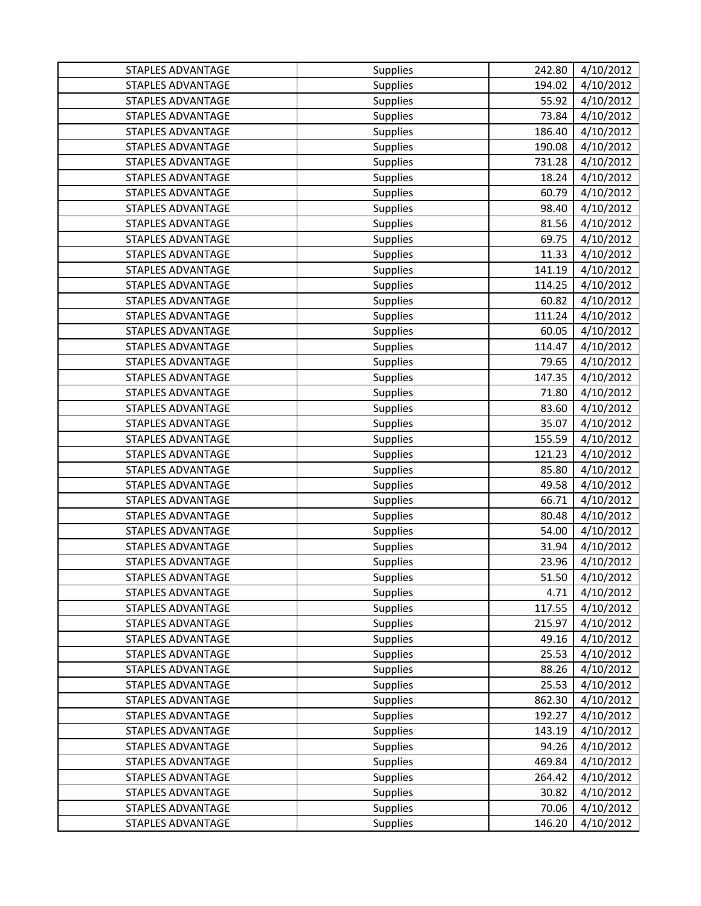| STAPLES ADVANTAGE        | Supplies        | 242.80 | 4/10/2012 |
|--------------------------|-----------------|--------|-----------|
| <b>STAPLES ADVANTAGE</b> | Supplies        | 194.02 | 4/10/2012 |
| <b>STAPLES ADVANTAGE</b> | <b>Supplies</b> | 55.92  | 4/10/2012 |
| <b>STAPLES ADVANTAGE</b> | Supplies        | 73.84  | 4/10/2012 |
| <b>STAPLES ADVANTAGE</b> | <b>Supplies</b> | 186.40 | 4/10/2012 |
| <b>STAPLES ADVANTAGE</b> | Supplies        | 190.08 | 4/10/2012 |
| <b>STAPLES ADVANTAGE</b> | Supplies        | 731.28 | 4/10/2012 |
| <b>STAPLES ADVANTAGE</b> | Supplies        | 18.24  | 4/10/2012 |
| <b>STAPLES ADVANTAGE</b> | Supplies        | 60.79  | 4/10/2012 |
| STAPLES ADVANTAGE        | Supplies        | 98.40  | 4/10/2012 |
| <b>STAPLES ADVANTAGE</b> | <b>Supplies</b> | 81.56  | 4/10/2012 |
| <b>STAPLES ADVANTAGE</b> | Supplies        | 69.75  | 4/10/2012 |
| <b>STAPLES ADVANTAGE</b> | Supplies        | 11.33  | 4/10/2012 |
| <b>STAPLES ADVANTAGE</b> | Supplies        | 141.19 | 4/10/2012 |
| <b>STAPLES ADVANTAGE</b> | Supplies        | 114.25 | 4/10/2012 |
| <b>STAPLES ADVANTAGE</b> | Supplies        | 60.82  | 4/10/2012 |
| <b>STAPLES ADVANTAGE</b> | <b>Supplies</b> | 111.24 | 4/10/2012 |
| <b>STAPLES ADVANTAGE</b> | Supplies        | 60.05  | 4/10/2012 |
| <b>STAPLES ADVANTAGE</b> | Supplies        | 114.47 | 4/10/2012 |
| <b>STAPLES ADVANTAGE</b> | Supplies        | 79.65  | 4/10/2012 |
| <b>STAPLES ADVANTAGE</b> | Supplies        | 147.35 | 4/10/2012 |
| <b>STAPLES ADVANTAGE</b> | Supplies        | 71.80  | 4/10/2012 |
| <b>STAPLES ADVANTAGE</b> | Supplies        | 83.60  | 4/10/2012 |
| <b>STAPLES ADVANTAGE</b> | Supplies        | 35.07  | 4/10/2012 |
| <b>STAPLES ADVANTAGE</b> | Supplies        | 155.59 | 4/10/2012 |
| <b>STAPLES ADVANTAGE</b> | Supplies        | 121.23 | 4/10/2012 |
| <b>STAPLES ADVANTAGE</b> | Supplies        | 85.80  | 4/10/2012 |
| <b>STAPLES ADVANTAGE</b> | Supplies        | 49.58  | 4/10/2012 |
| <b>STAPLES ADVANTAGE</b> | Supplies        | 66.71  | 4/10/2012 |
| <b>STAPLES ADVANTAGE</b> | <b>Supplies</b> | 80.48  | 4/10/2012 |
| <b>STAPLES ADVANTAGE</b> | Supplies        | 54.00  | 4/10/2012 |
| STAPLES ADVANTAGE        | Supplies        | 31.94  | 4/10/2012 |
| <b>STAPLES ADVANTAGE</b> | Supplies        | 23.96  | 4/10/2012 |
| STAPLES ADVANTAGE        | Supplies        | 51.50  | 4/10/2012 |
| STAPLES ADVANTAGE        | Supplies        | 4.71   | 4/10/2012 |
| <b>STAPLES ADVANTAGE</b> | <b>Supplies</b> | 117.55 | 4/10/2012 |
| STAPLES ADVANTAGE        | Supplies        | 215.97 | 4/10/2012 |
| STAPLES ADVANTAGE        | <b>Supplies</b> | 49.16  | 4/10/2012 |
| <b>STAPLES ADVANTAGE</b> | Supplies        | 25.53  | 4/10/2012 |
| <b>STAPLES ADVANTAGE</b> | <b>Supplies</b> | 88.26  | 4/10/2012 |
| <b>STAPLES ADVANTAGE</b> | Supplies        | 25.53  | 4/10/2012 |
| <b>STAPLES ADVANTAGE</b> | <b>Supplies</b> | 862.30 | 4/10/2012 |
| STAPLES ADVANTAGE        | Supplies        | 192.27 | 4/10/2012 |
| <b>STAPLES ADVANTAGE</b> | <b>Supplies</b> | 143.19 | 4/10/2012 |
| <b>STAPLES ADVANTAGE</b> | <b>Supplies</b> | 94.26  | 4/10/2012 |
| <b>STAPLES ADVANTAGE</b> | <b>Supplies</b> | 469.84 | 4/10/2012 |
| STAPLES ADVANTAGE        | Supplies        | 264.42 | 4/10/2012 |
| <b>STAPLES ADVANTAGE</b> | <b>Supplies</b> | 30.82  | 4/10/2012 |
| <b>STAPLES ADVANTAGE</b> | Supplies        | 70.06  | 4/10/2012 |
| STAPLES ADVANTAGE        | Supplies        | 146.20 | 4/10/2012 |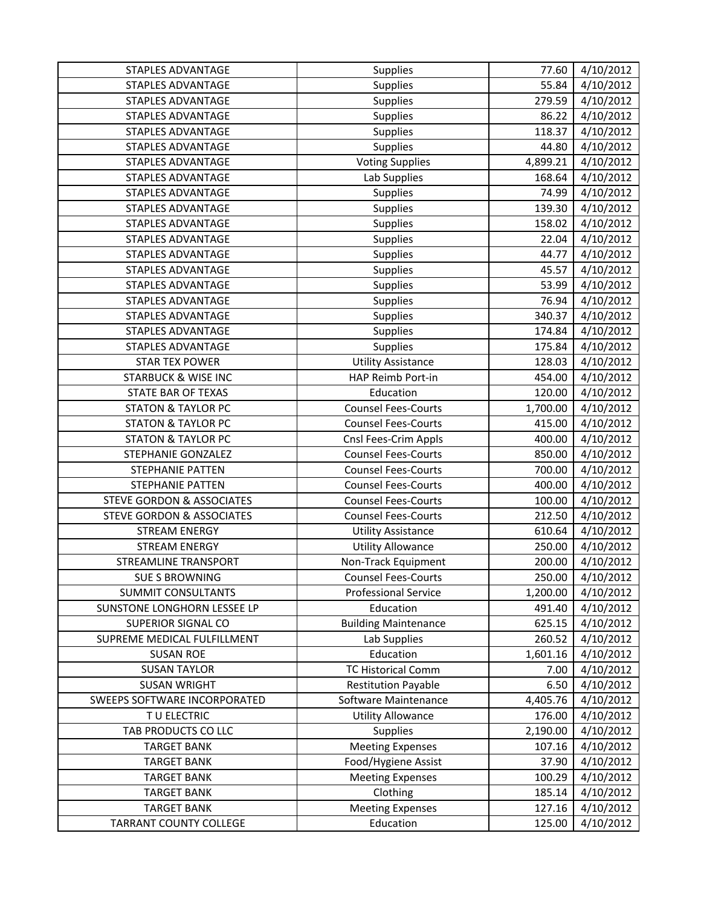| <b>STAPLES ADVANTAGE</b>             | Supplies                    | 77.60    | 4/10/2012 |
|--------------------------------------|-----------------------------|----------|-----------|
| <b>STAPLES ADVANTAGE</b>             | Supplies                    | 55.84    | 4/10/2012 |
| <b>STAPLES ADVANTAGE</b>             | Supplies                    | 279.59   | 4/10/2012 |
| STAPLES ADVANTAGE                    | Supplies                    | 86.22    | 4/10/2012 |
| STAPLES ADVANTAGE                    | Supplies                    | 118.37   | 4/10/2012 |
| <b>STAPLES ADVANTAGE</b>             | Supplies                    | 44.80    | 4/10/2012 |
| <b>STAPLES ADVANTAGE</b>             | <b>Voting Supplies</b>      | 4,899.21 | 4/10/2012 |
| <b>STAPLES ADVANTAGE</b>             | Lab Supplies                | 168.64   | 4/10/2012 |
| STAPLES ADVANTAGE                    | Supplies                    | 74.99    | 4/10/2012 |
| <b>STAPLES ADVANTAGE</b>             | Supplies                    | 139.30   | 4/10/2012 |
| <b>STAPLES ADVANTAGE</b>             | Supplies                    | 158.02   | 4/10/2012 |
| STAPLES ADVANTAGE                    | Supplies                    | 22.04    | 4/10/2012 |
| STAPLES ADVANTAGE                    | Supplies                    | 44.77    | 4/10/2012 |
| <b>STAPLES ADVANTAGE</b>             | Supplies                    | 45.57    | 4/10/2012 |
| <b>STAPLES ADVANTAGE</b>             | Supplies                    | 53.99    | 4/10/2012 |
| <b>STAPLES ADVANTAGE</b>             | Supplies                    | 76.94    | 4/10/2012 |
| <b>STAPLES ADVANTAGE</b>             | Supplies                    | 340.37   | 4/10/2012 |
| STAPLES ADVANTAGE                    | Supplies                    | 174.84   | 4/10/2012 |
| <b>STAPLES ADVANTAGE</b>             | Supplies                    | 175.84   | 4/10/2012 |
| <b>STAR TEX POWER</b>                | <b>Utility Assistance</b>   | 128.03   | 4/10/2012 |
| <b>STARBUCK &amp; WISE INC</b>       | HAP Reimb Port-in           | 454.00   | 4/10/2012 |
| STATE BAR OF TEXAS                   | Education                   | 120.00   | 4/10/2012 |
| <b>STATON &amp; TAYLOR PC</b>        | <b>Counsel Fees-Courts</b>  | 1,700.00 | 4/10/2012 |
| <b>STATON &amp; TAYLOR PC</b>        | <b>Counsel Fees-Courts</b>  | 415.00   | 4/10/2012 |
| <b>STATON &amp; TAYLOR PC</b>        | Cnsl Fees-Crim Appls        | 400.00   | 4/10/2012 |
| STEPHANIE GONZALEZ                   | <b>Counsel Fees-Courts</b>  | 850.00   | 4/10/2012 |
| STEPHANIE PATTEN                     | <b>Counsel Fees-Courts</b>  | 700.00   | 4/10/2012 |
| STEPHANIE PATTEN                     | <b>Counsel Fees-Courts</b>  | 400.00   | 4/10/2012 |
| <b>STEVE GORDON &amp; ASSOCIATES</b> | <b>Counsel Fees-Courts</b>  | 100.00   | 4/10/2012 |
| <b>STEVE GORDON &amp; ASSOCIATES</b> | <b>Counsel Fees-Courts</b>  | 212.50   | 4/10/2012 |
| <b>STREAM ENERGY</b>                 | <b>Utility Assistance</b>   | 610.64   | 4/10/2012 |
| <b>STREAM ENERGY</b>                 | <b>Utility Allowance</b>    | 250.00   | 4/10/2012 |
| <b>STREAMLINE TRANSPORT</b>          | Non-Track Equipment         | 200.00   | 4/10/2012 |
| <b>SUE S BROWNING</b>                | <b>Counsel Fees-Courts</b>  | 250.00   | 4/10/2012 |
| <b>SUMMIT CONSULTANTS</b>            | <b>Professional Service</b> | 1,200.00 | 4/10/2012 |
| SUNSTONE LONGHORN LESSEE LP          | Education                   | 491.40   | 4/10/2012 |
| <b>SUPERIOR SIGNAL CO</b>            | <b>Building Maintenance</b> | 625.15   | 4/10/2012 |
| SUPREME MEDICAL FULFILLMENT          | Lab Supplies                | 260.52   | 4/10/2012 |
| <b>SUSAN ROE</b>                     | Education                   | 1,601.16 | 4/10/2012 |
| <b>SUSAN TAYLOR</b>                  | <b>TC Historical Comm</b>   | 7.00     | 4/10/2012 |
| <b>SUSAN WRIGHT</b>                  | <b>Restitution Payable</b>  | 6.50     | 4/10/2012 |
| SWEEPS SOFTWARE INCORPORATED         | Software Maintenance        | 4,405.76 | 4/10/2012 |
| TU ELECTRIC                          | <b>Utility Allowance</b>    | 176.00   | 4/10/2012 |
| TAB PRODUCTS CO LLC                  | <b>Supplies</b>             | 2,190.00 | 4/10/2012 |
| <b>TARGET BANK</b>                   | <b>Meeting Expenses</b>     | 107.16   | 4/10/2012 |
| <b>TARGET BANK</b>                   | Food/Hygiene Assist         | 37.90    | 4/10/2012 |
| <b>TARGET BANK</b>                   | <b>Meeting Expenses</b>     | 100.29   | 4/10/2012 |
| <b>TARGET BANK</b>                   | Clothing                    | 185.14   | 4/10/2012 |
| <b>TARGET BANK</b>                   | <b>Meeting Expenses</b>     | 127.16   | 4/10/2012 |
| <b>TARRANT COUNTY COLLEGE</b>        | Education                   | 125.00   | 4/10/2012 |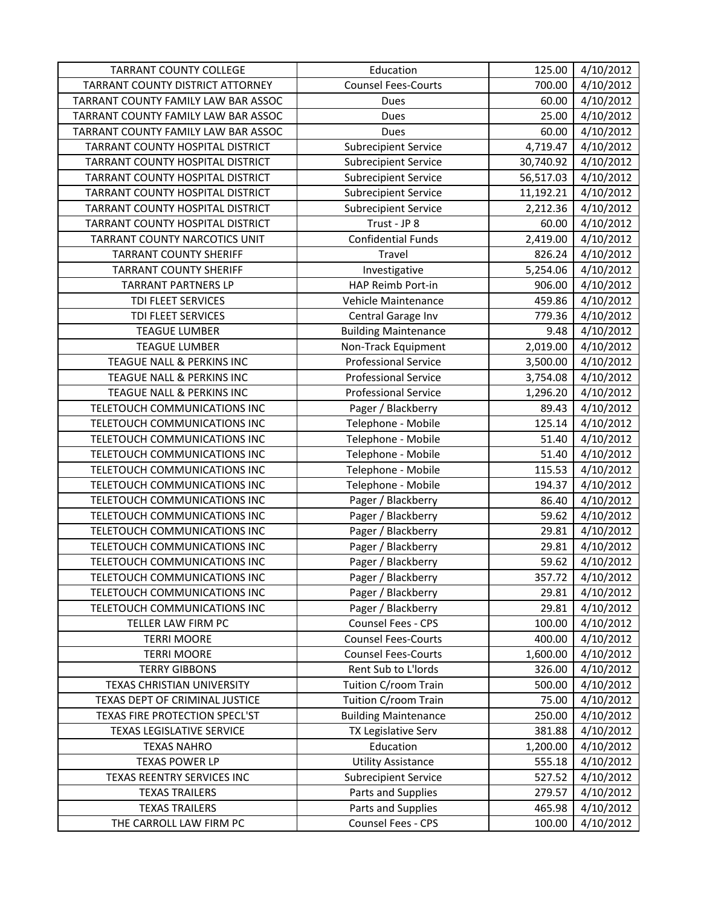| <b>TARRANT COUNTY COLLEGE</b>           | Education                   | 125.00    | 4/10/2012 |
|-----------------------------------------|-----------------------------|-----------|-----------|
| <b>TARRANT COUNTY DISTRICT ATTORNEY</b> | <b>Counsel Fees-Courts</b>  | 700.00    | 4/10/2012 |
| TARRANT COUNTY FAMILY LAW BAR ASSOC     | Dues                        | 60.00     | 4/10/2012 |
| TARRANT COUNTY FAMILY LAW BAR ASSOC     | Dues                        | 25.00     | 4/10/2012 |
| TARRANT COUNTY FAMILY LAW BAR ASSOC     | Dues                        | 60.00     | 4/10/2012 |
| TARRANT COUNTY HOSPITAL DISTRICT        | <b>Subrecipient Service</b> | 4,719.47  | 4/10/2012 |
| TARRANT COUNTY HOSPITAL DISTRICT        | <b>Subrecipient Service</b> | 30,740.92 | 4/10/2012 |
| TARRANT COUNTY HOSPITAL DISTRICT        | <b>Subrecipient Service</b> | 56,517.03 | 4/10/2012 |
| TARRANT COUNTY HOSPITAL DISTRICT        | <b>Subrecipient Service</b> | 11,192.21 | 4/10/2012 |
| TARRANT COUNTY HOSPITAL DISTRICT        | <b>Subrecipient Service</b> | 2,212.36  | 4/10/2012 |
| TARRANT COUNTY HOSPITAL DISTRICT        | Trust - JP 8                | 60.00     | 4/10/2012 |
| TARRANT COUNTY NARCOTICS UNIT           | <b>Confidential Funds</b>   | 2,419.00  | 4/10/2012 |
| <b>TARRANT COUNTY SHERIFF</b>           | Travel                      | 826.24    | 4/10/2012 |
| <b>TARRANT COUNTY SHERIFF</b>           | Investigative               | 5,254.06  | 4/10/2012 |
| <b>TARRANT PARTNERS LP</b>              | HAP Reimb Port-in           | 906.00    | 4/10/2012 |
| TDI FLEET SERVICES                      | Vehicle Maintenance         | 459.86    | 4/10/2012 |
| TDI FLEET SERVICES                      | Central Garage Inv          | 779.36    | 4/10/2012 |
| <b>TEAGUE LUMBER</b>                    | <b>Building Maintenance</b> | 9.48      | 4/10/2012 |
| <b>TEAGUE LUMBER</b>                    | Non-Track Equipment         | 2,019.00  | 4/10/2012 |
| TEAGUE NALL & PERKINS INC               | <b>Professional Service</b> | 3,500.00  | 4/10/2012 |
| TEAGUE NALL & PERKINS INC               | <b>Professional Service</b> | 3,754.08  | 4/10/2012 |
| TEAGUE NALL & PERKINS INC               | <b>Professional Service</b> | 1,296.20  | 4/10/2012 |
| TELETOUCH COMMUNICATIONS INC            | Pager / Blackberry          | 89.43     | 4/10/2012 |
| TELETOUCH COMMUNICATIONS INC            | Telephone - Mobile          | 125.14    | 4/10/2012 |
| TELETOUCH COMMUNICATIONS INC            | Telephone - Mobile          | 51.40     | 4/10/2012 |
| TELETOUCH COMMUNICATIONS INC            | Telephone - Mobile          | 51.40     | 4/10/2012 |
| TELETOUCH COMMUNICATIONS INC            | Telephone - Mobile          | 115.53    | 4/10/2012 |
| TELETOUCH COMMUNICATIONS INC            | Telephone - Mobile          | 194.37    | 4/10/2012 |
| TELETOUCH COMMUNICATIONS INC            | Pager / Blackberry          | 86.40     | 4/10/2012 |
| TELETOUCH COMMUNICATIONS INC            | Pager / Blackberry          | 59.62     | 4/10/2012 |
| TELETOUCH COMMUNICATIONS INC            | Pager / Blackberry          | 29.81     | 4/10/2012 |
| TELETOUCH COMMUNICATIONS INC            | Pager / Blackberry          | 29.81     | 4/10/2012 |
| TELETOUCH COMMUNICATIONS INC            | Pager / Blackberry          | 59.62     | 4/10/2012 |
| TELETOUCH COMMUNICATIONS INC            | Pager / Blackberry          | 357.72    | 4/10/2012 |
| TELETOUCH COMMUNICATIONS INC            | Pager / Blackberry          | 29.81     | 4/10/2012 |
| TELETOUCH COMMUNICATIONS INC            | Pager / Blackberry          | 29.81     | 4/10/2012 |
| TELLER LAW FIRM PC                      | Counsel Fees - CPS          | 100.00    | 4/10/2012 |
| <b>TERRI MOORE</b>                      | <b>Counsel Fees-Courts</b>  | 400.00    | 4/10/2012 |
| <b>TERRI MOORE</b>                      | <b>Counsel Fees-Courts</b>  | 1,600.00  | 4/10/2012 |
| <b>TERRY GIBBONS</b>                    | Rent Sub to L'Iords         | 326.00    | 4/10/2012 |
| TEXAS CHRISTIAN UNIVERSITY              | Tuition C/room Train        | 500.00    | 4/10/2012 |
| TEXAS DEPT OF CRIMINAL JUSTICE          | Tuition C/room Train        | 75.00     | 4/10/2012 |
| TEXAS FIRE PROTECTION SPECL'ST          | <b>Building Maintenance</b> | 250.00    | 4/10/2012 |
| <b>TEXAS LEGISLATIVE SERVICE</b>        | TX Legislative Serv         | 381.88    | 4/10/2012 |
| <b>TEXAS NAHRO</b>                      | Education                   | 1,200.00  | 4/10/2012 |
| <b>TEXAS POWER LP</b>                   | <b>Utility Assistance</b>   | 555.18    | 4/10/2012 |
| TEXAS REENTRY SERVICES INC              | <b>Subrecipient Service</b> | 527.52    | 4/10/2012 |
| <b>TEXAS TRAILERS</b>                   | Parts and Supplies          | 279.57    | 4/10/2012 |
| <b>TEXAS TRAILERS</b>                   | Parts and Supplies          | 465.98    | 4/10/2012 |
| THE CARROLL LAW FIRM PC                 | Counsel Fees - CPS          | 100.00    | 4/10/2012 |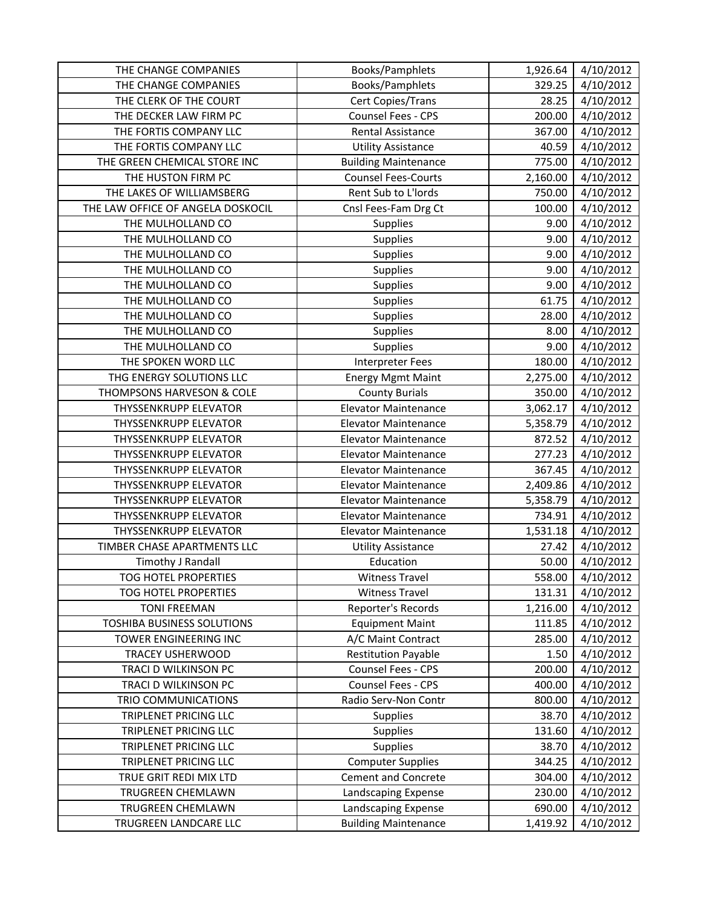| THE CHANGE COMPANIES              | Books/Pamphlets             | 1,926.64 | 4/10/2012 |
|-----------------------------------|-----------------------------|----------|-----------|
| THE CHANGE COMPANIES              | Books/Pamphlets             | 329.25   | 4/10/2012 |
| THE CLERK OF THE COURT            | Cert Copies/Trans           | 28.25    | 4/10/2012 |
| THE DECKER LAW FIRM PC            | Counsel Fees - CPS          | 200.00   | 4/10/2012 |
| THE FORTIS COMPANY LLC            | <b>Rental Assistance</b>    | 367.00   | 4/10/2012 |
| THE FORTIS COMPANY LLC            | <b>Utility Assistance</b>   | 40.59    | 4/10/2012 |
| THE GREEN CHEMICAL STORE INC      | <b>Building Maintenance</b> | 775.00   | 4/10/2012 |
| THE HUSTON FIRM PC                | <b>Counsel Fees-Courts</b>  | 2,160.00 | 4/10/2012 |
| THE LAKES OF WILLIAMSBERG         | Rent Sub to L'Iords         | 750.00   | 4/10/2012 |
| THE LAW OFFICE OF ANGELA DOSKOCIL | Cnsl Fees-Fam Drg Ct        | 100.00   | 4/10/2012 |
| THE MULHOLLAND CO                 | Supplies                    | 9.00     | 4/10/2012 |
| THE MULHOLLAND CO                 | Supplies                    | 9.00     | 4/10/2012 |
| THE MULHOLLAND CO                 | Supplies                    | 9.00     | 4/10/2012 |
| THE MULHOLLAND CO                 | Supplies                    | 9.00     | 4/10/2012 |
| THE MULHOLLAND CO                 | Supplies                    | 9.00     | 4/10/2012 |
| THE MULHOLLAND CO                 | Supplies                    | 61.75    | 4/10/2012 |
| THE MULHOLLAND CO                 | Supplies                    | 28.00    | 4/10/2012 |
| THE MULHOLLAND CO                 | Supplies                    | 8.00     | 4/10/2012 |
| THE MULHOLLAND CO                 | Supplies                    | 9.00     | 4/10/2012 |
| THE SPOKEN WORD LLC               | <b>Interpreter Fees</b>     | 180.00   | 4/10/2012 |
| THG ENERGY SOLUTIONS LLC          | <b>Energy Mgmt Maint</b>    | 2,275.00 | 4/10/2012 |
| THOMPSONS HARVESON & COLE         | <b>County Burials</b>       | 350.00   | 4/10/2012 |
| <b>THYSSENKRUPP ELEVATOR</b>      | <b>Elevator Maintenance</b> | 3,062.17 | 4/10/2012 |
| <b>THYSSENKRUPP ELEVATOR</b>      | <b>Elevator Maintenance</b> | 5,358.79 | 4/10/2012 |
| <b>THYSSENKRUPP ELEVATOR</b>      | <b>Elevator Maintenance</b> | 872.52   | 4/10/2012 |
| <b>THYSSENKRUPP ELEVATOR</b>      | <b>Elevator Maintenance</b> | 277.23   | 4/10/2012 |
| <b>THYSSENKRUPP ELEVATOR</b>      | <b>Elevator Maintenance</b> | 367.45   | 4/10/2012 |
| <b>THYSSENKRUPP ELEVATOR</b>      | <b>Elevator Maintenance</b> | 2,409.86 | 4/10/2012 |
| <b>THYSSENKRUPP ELEVATOR</b>      | <b>Elevator Maintenance</b> | 5,358.79 | 4/10/2012 |
| <b>THYSSENKRUPP ELEVATOR</b>      | <b>Elevator Maintenance</b> | 734.91   | 4/10/2012 |
| <b>THYSSENKRUPP ELEVATOR</b>      | <b>Elevator Maintenance</b> | 1,531.18 | 4/10/2012 |
| TIMBER CHASE APARTMENTS LLC       | <b>Utility Assistance</b>   | 27.42    | 4/10/2012 |
| Timothy J Randall                 | Education                   | 50.00    | 4/10/2012 |
| <b>TOG HOTEL PROPERTIES</b>       | <b>Witness Travel</b>       | 558.00   | 4/10/2012 |
| TOG HOTEL PROPERTIES              | <b>Witness Travel</b>       | 131.31   | 4/10/2012 |
| <b>TONI FREEMAN</b>               | Reporter's Records          | 1,216.00 | 4/10/2012 |
| <b>TOSHIBA BUSINESS SOLUTIONS</b> | <b>Equipment Maint</b>      | 111.85   | 4/10/2012 |
| TOWER ENGINEERING INC             | A/C Maint Contract          | 285.00   | 4/10/2012 |
| <b>TRACEY USHERWOOD</b>           | <b>Restitution Payable</b>  | 1.50     | 4/10/2012 |
| TRACI D WILKINSON PC              | Counsel Fees - CPS          | 200.00   | 4/10/2012 |
| TRACI D WILKINSON PC              | Counsel Fees - CPS          | 400.00   | 4/10/2012 |
| TRIO COMMUNICATIONS               | Radio Serv-Non Contr        | 800.00   | 4/10/2012 |
| TRIPLENET PRICING LLC             | <b>Supplies</b>             | 38.70    | 4/10/2012 |
| TRIPLENET PRICING LLC             | Supplies                    | 131.60   | 4/10/2012 |
| TRIPLENET PRICING LLC             | Supplies                    | 38.70    | 4/10/2012 |
| TRIPLENET PRICING LLC             | <b>Computer Supplies</b>    | 344.25   | 4/10/2012 |
| TRUE GRIT REDI MIX LTD            | <b>Cement and Concrete</b>  | 304.00   | 4/10/2012 |
| TRUGREEN CHEMLAWN                 | Landscaping Expense         | 230.00   | 4/10/2012 |
| TRUGREEN CHEMLAWN                 | Landscaping Expense         | 690.00   | 4/10/2012 |
| TRUGREEN LANDCARE LLC             | <b>Building Maintenance</b> | 1,419.92 | 4/10/2012 |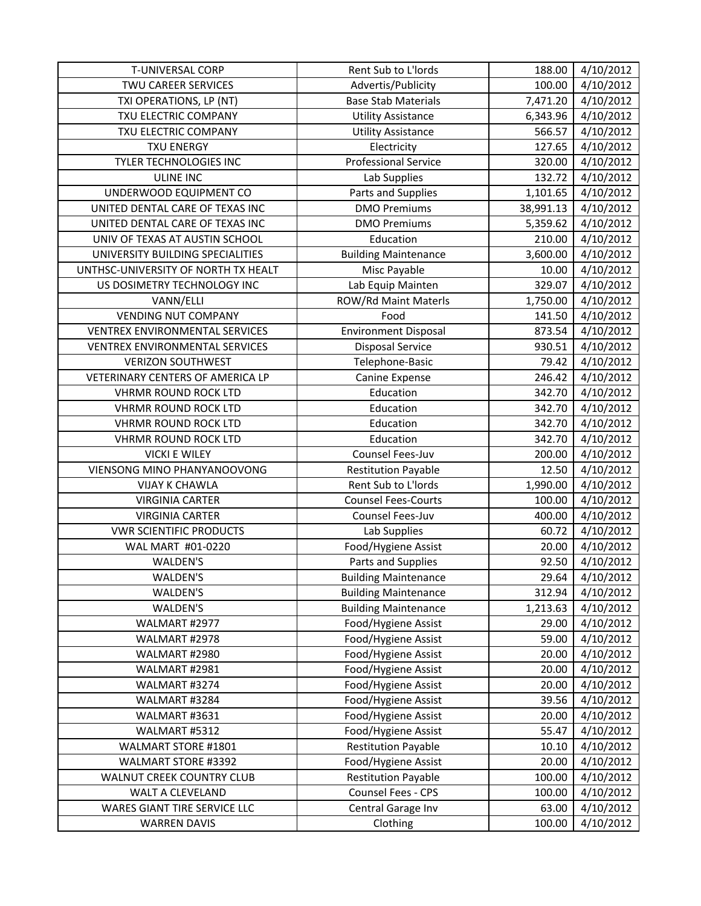| <b>T-UNIVERSAL CORP</b>               | Rent Sub to L'Iords         | 188.00    | 4/10/2012 |
|---------------------------------------|-----------------------------|-----------|-----------|
| <b>TWU CAREER SERVICES</b>            | Advertis/Publicity          | 100.00    | 4/10/2012 |
| TXI OPERATIONS, LP (NT)               | <b>Base Stab Materials</b>  | 7,471.20  | 4/10/2012 |
| TXU ELECTRIC COMPANY                  | <b>Utility Assistance</b>   | 6,343.96  | 4/10/2012 |
| TXU ELECTRIC COMPANY                  | <b>Utility Assistance</b>   | 566.57    | 4/10/2012 |
| <b>TXU ENERGY</b>                     | Electricity                 | 127.65    | 4/10/2012 |
| TYLER TECHNOLOGIES INC                | <b>Professional Service</b> | 320.00    | 4/10/2012 |
| <b>ULINE INC</b>                      | Lab Supplies                | 132.72    | 4/10/2012 |
| UNDERWOOD EQUIPMENT CO                | Parts and Supplies          | 1,101.65  | 4/10/2012 |
| UNITED DENTAL CARE OF TEXAS INC       | <b>DMO Premiums</b>         | 38,991.13 | 4/10/2012 |
| UNITED DENTAL CARE OF TEXAS INC       | <b>DMO Premiums</b>         | 5,359.62  | 4/10/2012 |
| UNIV OF TEXAS AT AUSTIN SCHOOL        | Education                   | 210.00    | 4/10/2012 |
| UNIVERSITY BUILDING SPECIALITIES      | <b>Building Maintenance</b> | 3,600.00  | 4/10/2012 |
| UNTHSC-UNIVERSITY OF NORTH TX HEALT   | Misc Payable                | 10.00     | 4/10/2012 |
| US DOSIMETRY TECHNOLOGY INC           | Lab Equip Mainten           | 329.07    | 4/10/2012 |
| VANN/ELLI                             | <b>ROW/Rd Maint Materls</b> | 1,750.00  | 4/10/2012 |
| <b>VENDING NUT COMPANY</b>            | Food                        | 141.50    | 4/10/2012 |
| <b>VENTREX ENVIRONMENTAL SERVICES</b> | <b>Environment Disposal</b> | 873.54    | 4/10/2012 |
| VENTREX ENVIRONMENTAL SERVICES        | <b>Disposal Service</b>     | 930.51    | 4/10/2012 |
| <b>VERIZON SOUTHWEST</b>              | Telephone-Basic             | 79.42     | 4/10/2012 |
| VETERINARY CENTERS OF AMERICA LP      | Canine Expense              | 246.42    | 4/10/2012 |
| <b>VHRMR ROUND ROCK LTD</b>           | Education                   | 342.70    | 4/10/2012 |
| <b>VHRMR ROUND ROCK LTD</b>           | Education                   | 342.70    | 4/10/2012 |
| <b>VHRMR ROUND ROCK LTD</b>           | Education                   | 342.70    | 4/10/2012 |
| <b>VHRMR ROUND ROCK LTD</b>           | Education                   | 342.70    | 4/10/2012 |
| <b>VICKI E WILEY</b>                  | Counsel Fees-Juv            | 200.00    | 4/10/2012 |
| VIENSONG MINO PHANYANOOVONG           | <b>Restitution Payable</b>  | 12.50     | 4/10/2012 |
| <b>VIJAY K CHAWLA</b>                 | Rent Sub to L'Iords         | 1,990.00  | 4/10/2012 |
| <b>VIRGINIA CARTER</b>                | <b>Counsel Fees-Courts</b>  | 100.00    | 4/10/2012 |
| <b>VIRGINIA CARTER</b>                | Counsel Fees-Juv            | 400.00    | 4/10/2012 |
| <b>VWR SCIENTIFIC PRODUCTS</b>        | Lab Supplies                | 60.72     | 4/10/2012 |
| WAL MART #01-0220                     | Food/Hygiene Assist         | 20.00     | 4/10/2012 |
| WALDEN'S                              | Parts and Supplies          | 92.50     | 4/10/2012 |
| WALDEN'S                              | <b>Building Maintenance</b> | 29.64     | 4/10/2012 |
| WALDEN'S                              | <b>Building Maintenance</b> | 312.94    | 4/10/2012 |
| WALDEN'S                              | <b>Building Maintenance</b> | 1,213.63  | 4/10/2012 |
| WALMART #2977                         | Food/Hygiene Assist         | 29.00     | 4/10/2012 |
| WALMART #2978                         | Food/Hygiene Assist         | 59.00     | 4/10/2012 |
| WALMART #2980                         | Food/Hygiene Assist         | 20.00     | 4/10/2012 |
| WALMART #2981                         | Food/Hygiene Assist         | 20.00     | 4/10/2012 |
| WALMART #3274                         | Food/Hygiene Assist         | 20.00     | 4/10/2012 |
| WALMART #3284                         | Food/Hygiene Assist         | 39.56     | 4/10/2012 |
| WALMART #3631                         | Food/Hygiene Assist         | 20.00     | 4/10/2012 |
| WALMART #5312                         | Food/Hygiene Assist         | 55.47     | 4/10/2012 |
| WALMART STORE #1801                   | <b>Restitution Payable</b>  | 10.10     | 4/10/2012 |
| WALMART STORE #3392                   | Food/Hygiene Assist         | 20.00     | 4/10/2012 |
| WALNUT CREEK COUNTRY CLUB             | <b>Restitution Payable</b>  | 100.00    | 4/10/2012 |
| WALT A CLEVELAND                      | Counsel Fees - CPS          | 100.00    | 4/10/2012 |
| WARES GIANT TIRE SERVICE LLC          | Central Garage Inv          | 63.00     | 4/10/2012 |
| <b>WARREN DAVIS</b>                   | Clothing                    | 100.00    | 4/10/2012 |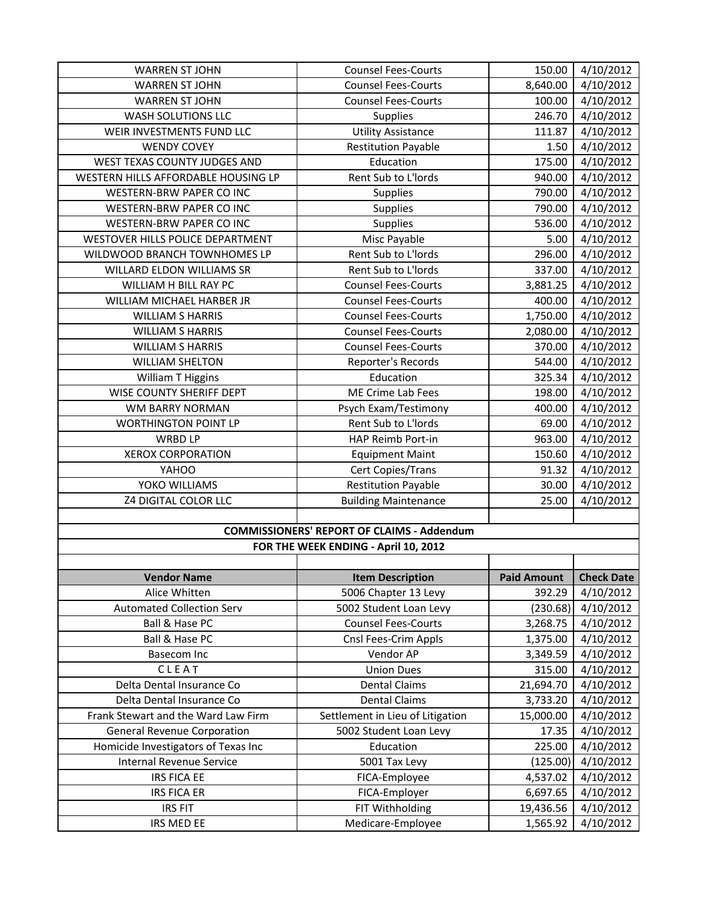| <b>WARREN ST JOHN</b>                             | <b>Counsel Fees-Courts</b>           | 150.00                | 4/10/2012              |
|---------------------------------------------------|--------------------------------------|-----------------------|------------------------|
| <b>WARREN ST JOHN</b>                             | <b>Counsel Fees-Courts</b>           | 8,640.00              | 4/10/2012              |
| <b>WARREN ST JOHN</b>                             | <b>Counsel Fees-Courts</b>           | 100.00                | 4/10/2012              |
| WASH SOLUTIONS LLC                                | Supplies                             | 246.70                | 4/10/2012              |
| WEIR INVESTMENTS FUND LLC                         | <b>Utility Assistance</b>            | 111.87                | 4/10/2012              |
| <b>WENDY COVEY</b>                                | <b>Restitution Payable</b>           | 1.50                  | 4/10/2012              |
| WEST TEXAS COUNTY JUDGES AND                      | Education                            | 175.00                | 4/10/2012              |
| WESTERN HILLS AFFORDABLE HOUSING LP               | Rent Sub to L'Iords                  | 940.00                | 4/10/2012              |
| WESTERN-BRW PAPER CO INC                          | <b>Supplies</b>                      | 790.00                | 4/10/2012              |
| WESTERN-BRW PAPER CO INC                          | Supplies                             | 790.00                | 4/10/2012              |
| WESTERN-BRW PAPER CO INC                          | Supplies                             | 536.00                | 4/10/2012              |
| WESTOVER HILLS POLICE DEPARTMENT                  | Misc Payable                         | 5.00                  | 4/10/2012              |
| WILDWOOD BRANCH TOWNHOMES LP                      | Rent Sub to L'Iords                  | 296.00                | 4/10/2012              |
| WILLARD ELDON WILLIAMS SR                         | Rent Sub to L'Iords                  | 337.00                | 4/10/2012              |
| WILLIAM H BILL RAY PC                             | <b>Counsel Fees-Courts</b>           | 3,881.25              | 4/10/2012              |
| WILLIAM MICHAEL HARBER JR                         | <b>Counsel Fees-Courts</b>           | 400.00                | 4/10/2012              |
| <b>WILLIAM S HARRIS</b>                           | <b>Counsel Fees-Courts</b>           | 1,750.00              | 4/10/2012              |
| <b>WILLIAM S HARRIS</b>                           | <b>Counsel Fees-Courts</b>           | 2,080.00              | 4/10/2012              |
| <b>WILLIAM S HARRIS</b>                           | <b>Counsel Fees-Courts</b>           | 370.00                | 4/10/2012              |
| <b>WILLIAM SHELTON</b>                            | Reporter's Records                   | 544.00                | 4/10/2012              |
| William T Higgins                                 | Education                            | 325.34                | 4/10/2012              |
| WISE COUNTY SHERIFF DEPT                          | ME Crime Lab Fees                    | 198.00                | 4/10/2012              |
| WM BARRY NORMAN                                   | Psych Exam/Testimony                 | 400.00                | 4/10/2012              |
| <b>WORTHINGTON POINT LP</b>                       | Rent Sub to L'Iords                  | 69.00                 | 4/10/2012              |
| WRBD LP                                           | HAP Reimb Port-in                    | 963.00                | $\frac{1}{4}$ /10/2012 |
| <b>XEROX CORPORATION</b>                          | <b>Equipment Maint</b>               | 150.60                | 4/10/2012              |
| YAHOO                                             | Cert Copies/Trans                    | 91.32                 | 4/10/2012              |
| YOKO WILLIAMS                                     | <b>Restitution Payable</b>           | 30.00                 | 4/10/2012              |
| <b>Z4 DIGITAL COLOR LLC</b>                       | <b>Building Maintenance</b>          | 25.00                 | 4/10/2012              |
|                                                   |                                      |                       |                        |
| <b>COMMISSIONERS' REPORT OF CLAIMS - Addendum</b> |                                      |                       |                        |
|                                                   | FOR THE WEEK ENDING - April 10, 2012 |                       |                        |
|                                                   |                                      |                       |                        |
| <b>Vendor Name</b>                                | <b>Item Description</b>              | <b>Paid Amount</b>    | <b>Check Date</b>      |
| Alice Whitten                                     | 5006 Chapter 13 Levy                 | 392.29                | 4/10/2012              |
| <b>Automated Collection Serv</b>                  | 5002 Student Loan Levy               | (230.68)              | 4/10/2012              |
| Ball & Hase PC                                    | <b>Counsel Fees-Courts</b>           | 3,268.75              | 4/10/2012              |
| Ball & Hase PC                                    | Cnsl Fees-Crim Appls                 | 1,375.00              | 4/10/2012              |
| Basecom Inc                                       | Vendor AP                            | 3,349.59              | 4/10/2012              |
| CLEAT                                             | <b>Union Dues</b>                    | 315.00                | 4/10/2012              |
| Delta Dental Insurance Co                         | <b>Dental Claims</b>                 | 21,694.70             | 4/10/2012              |
| Delta Dental Insurance Co                         | <b>Dental Claims</b>                 | 3,733.20              | 4/10/2012              |
| Frank Stewart and the Ward Law Firm               | Settlement in Lieu of Litigation     | 15,000.00             | 4/10/2012              |
| <b>General Revenue Corporation</b>                | 5002 Student Loan Levy               | 17.35                 | 4/10/2012              |
| Homicide Investigators of Texas Inc               | Education                            | 225.00                | 4/10/2012              |
| <b>Internal Revenue Service</b>                   | 5001 Tax Levy                        | (125.00)              | 4/10/2012              |
| <b>IRS FICA EE</b>                                |                                      |                       |                        |
|                                                   | FICA-Employee                        | 4,537.02              | 4/10/2012              |
| <b>IRS FICA ER</b>                                | FICA-Employer                        | 6,697.65              | 4/10/2012              |
| <b>IRS FIT</b><br>IRS MED EE                      | FIT Withholding<br>Medicare-Employee | 19,436.56<br>1,565.92 | 4/10/2012<br>4/10/2012 |